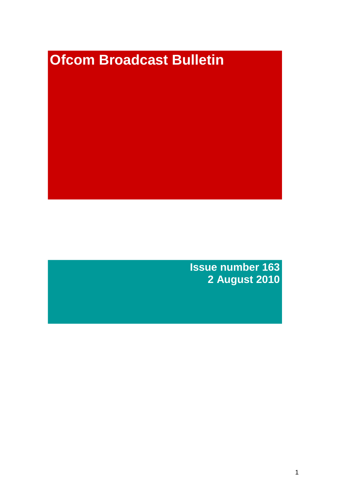# **Ofcom Broadcast Bulletin**

**Issue number 163 2 August 2010**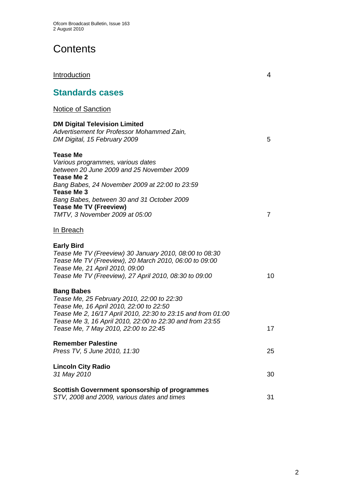# **Contents**

## **Introduction** 4

# **Standards cases**

## Notice of Sanction

| <b>DM Digital Television Limited</b><br>Advertisement for Professor Mohammed Zain,<br>DM Digital, 15 February 2009                                                                                                                                                                               | 5  |
|--------------------------------------------------------------------------------------------------------------------------------------------------------------------------------------------------------------------------------------------------------------------------------------------------|----|
| <b>Tease Me</b><br>Various programmes, various dates<br>between 20 June 2009 and 25 November 2009<br>Tease Me 2<br>Bang Babes, 24 November 2009 at 22:00 to 23:59<br>Tease Me 3<br>Bang Babes, between 30 and 31 October 2009<br><b>Tease Me TV (Freeview)</b><br>TMTV, 3 November 2009 at 05:00 | 7  |
| <u>In Breach</u>                                                                                                                                                                                                                                                                                 |    |
| <b>Early Bird</b><br>Tease Me TV (Freeview) 30 January 2010, 08:00 to 08:30<br>Tease Me TV (Freeview), 20 March 2010, 06:00 to 09:00<br>Tease Me, 21 April 2010, 09:00<br>Tease Me TV (Freeview), 27 April 2010, 08:30 to 09:00                                                                  | 10 |
| <b>Bang Babes</b><br>Tease Me, 25 February 2010, 22:00 to 22:30<br>Tease Me, 16 April 2010, 22:00 to 22:50<br>Tease Me 2, 16/17 April 2010, 22:30 to 23:15 and from 01:00<br>Tease Me 3, 16 April 2010, 22:00 to 22:30 and from 23:55<br>Tease Me, 7 May 2010, 22:00 to 22:45                    | 17 |
| <b>Remember Palestine</b><br>Press TV, 5 June 2010, 11:30                                                                                                                                                                                                                                        | 25 |
| <b>Lincoln City Radio</b><br>31 May 2010                                                                                                                                                                                                                                                         | 30 |
| Scottish Government sponsorship of programmes<br>STV, 2008 and 2009, various dates and times                                                                                                                                                                                                     | 31 |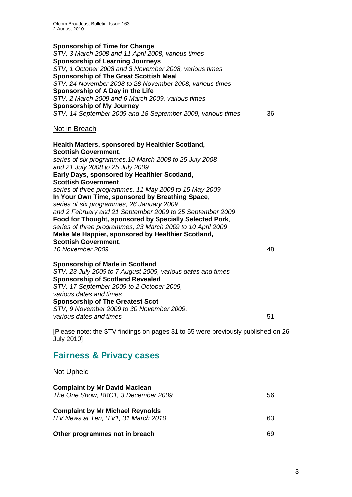**Sponsorship of Time for Change** *STV, 3 March 2008 and 11 April 2008, various times* **Sponsorship of Learning Journeys** *STV, 1 October 2008 and 3 November 2008, various times* **Sponsorship of The Great Scottish Meal** *STV, 24 November 2008 to 28 November 2008, various times* **Sponsorship of A Day in the Life** *STV, 2 March 2009 and 6 March 2009, various times* **Sponsorship of My Journey** *STV, 14 September 2009 and 18 September 2009, various times* 36 Not in Breach **Health Matters, sponsored by Healthier Scotland, Scottish Government**, *series of six programmes,10 March 2008 to 25 July 2008 and 21 July 2008 to 25 July 2009* **Early Days, sponsored by Healthier Scotland, Scottish Government**, *series of three programmes, 11 May 2009 to 15 May 2009* **In Your Own Time, sponsored by Breathing Space**, *series of six programmes, 26 January 2009 and 2 February and 21 September 2009 to 25 September 2009* **Food for Thought, sponsored by Specially Selected Pork**, *series of three programmes, 23 March 2009 to 10 April 2009* **Make Me Happier, sponsored by Healthier Scotland, Scottish Government**, *10 November 2009* 48 **Sponsorship of Made in Scotland** *STV, 23 July 2009 to 7 August 2009, various dates and times* **Sponsorship of Scotland Revealed**

*STV, 17 September 2009 to 2 October 2009, various dates and times* **Sponsorship of The Greatest Scot** *STV, 9 November 2009 to 30 November 2009, various dates and times* 51

[Please note: the STV findings on pages 31 to 55 were previously published on 26 July 2010]

# **Fairness & Privacy cases**

#### Not Upheld

| <b>Complaint by Mr David Maclean</b><br>The One Show, BBC1, 3 December 2009     | 56. |
|---------------------------------------------------------------------------------|-----|
| <b>Complaint by Mr Michael Reynolds</b><br>ITV News at Ten, ITV1, 31 March 2010 | 63  |
| Other programmes not in breach                                                  | 69  |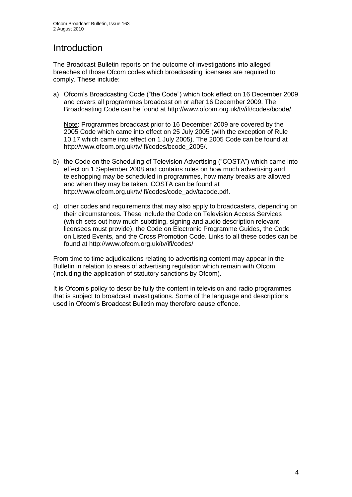# **Introduction**

The Broadcast Bulletin reports on the outcome of investigations into alleged breaches of those Ofcom codes which broadcasting licensees are required to comply. These include:

a) Ofcom"s Broadcasting Code ("the Code") which took effect on 16 December 2009 and covers all programmes broadcast on or after 16 December 2009. The Broadcasting Code can be found at http://www.ofcom.org.uk/tv/ifi/codes/bcode/.

Note: Programmes broadcast prior to 16 December 2009 are covered by the 2005 Code which came into effect on 25 July 2005 (with the exception of Rule 10.17 which came into effect on 1 July 2005). The 2005 Code can be found at http://www.ofcom.org.uk/tv/ifi/codes/bcode\_2005/.

- b) the Code on the Scheduling of Television Advertising ("COSTA") which came into effect on 1 September 2008 and contains rules on how much advertising and teleshopping may be scheduled in programmes, how many breaks are allowed and when they may be taken. COSTA can be found at [http://www.ofcom.org.uk/tv/ifi/codes/code\\_adv/tacode.pdf.](http://www.ofcom.org.uk/tv/ifi/codes/code_adv/tacode.pdf)
- c) other codes and requirements that may also apply to broadcasters, depending on their circumstances. These include the Code on Television Access Services (which sets out how much subtitling, signing and audio description relevant licensees must provide), the Code on Electronic Programme Guides, the Code on Listed Events, and the Cross Promotion Code. Links to all these codes can be found at http://www.ofcom.org.uk/tv/ifi/codes/

From time to time adjudications relating to advertising content may appear in the Bulletin in relation to areas of advertising regulation which remain with Ofcom (including the application of statutory sanctions by Ofcom).

It is Ofcom"s policy to describe fully the content in television and radio programmes that is subject to broadcast investigations. Some of the language and descriptions used in Ofcom"s Broadcast Bulletin may therefore cause offence.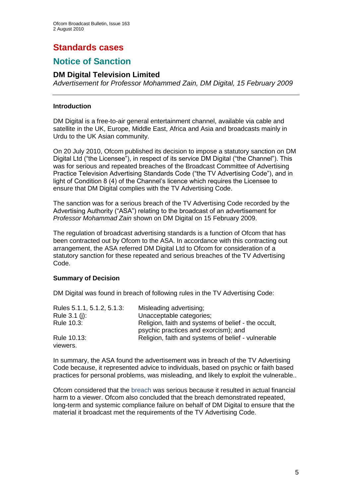# **Standards cases**

# **Notice of Sanction**

#### **DM Digital Television Limited**

*Advertisement for Professor Mohammed Zain, DM Digital, 15 February 2009*

#### **Introduction**

DM Digital is a free-to-air general entertainment channel, available via cable and satellite in the UK, Europe, Middle East, Africa and Asia and broadcasts mainly in Urdu to the UK Asian community.

On 20 July 2010, Ofcom published its decision to impose a statutory sanction on DM Digital Ltd ("the Licensee"), in respect of its service DM Digital ("the Channel"). This was for serious and repeated breaches of the Broadcast Committee of Advertising Practice Television Advertising Standards Code ("the TV Advertising Code"), and in light of Condition 8 (4) of the Channel"s licence which requires the Licensee to ensure that DM Digital complies with the TV Advertising Code.

The sanction was for a serious breach of the TV Advertising Code recorded by the Advertising Authority ("ASA") relating to the broadcast of an advertisement for *Professor Mohammad Zain* shown on DM Digital on 15 February 2009.

The regulation of broadcast advertising standards is a function of Ofcom that has been contracted out by Ofcom to the ASA. In accordance with this contracting out arrangement, the ASA referred DM Digital Ltd to Ofcom for consideration of a statutory sanction for these repeated and serious breaches of the TV Advertising Code.

#### **Summary of Decision**

DM Digital was found in breach of following rules in the TV Advertising Code:

| Rules 5.1.1, 5.1.2, 5.1.3: | Misleading advertising;                                                                     |
|----------------------------|---------------------------------------------------------------------------------------------|
| Rule $3.1$ (i):            | Unacceptable categories;                                                                    |
| Rule 10.3:                 | Religion, faith and systems of belief - the occult,<br>psychic practices and exorcism); and |
| Rule 10.13:<br>viewers.    | Religion, faith and systems of belief - vulnerable                                          |

In summary, the ASA found the advertisement was in breach of the TV Advertising Code because, it represented advice to individuals, based on psychic or faith based practices for personal problems, was misleading, and likely to exploit the vulnerable..

Ofcom considered that the breach was serious because it resulted in actual financial harm to a viewer. Ofcom also concluded that the breach demonstrated repeated, long-term and systemic compliance failure on behalf of DM Digital to ensure that the material it broadcast met the requirements of the TV Advertising Code.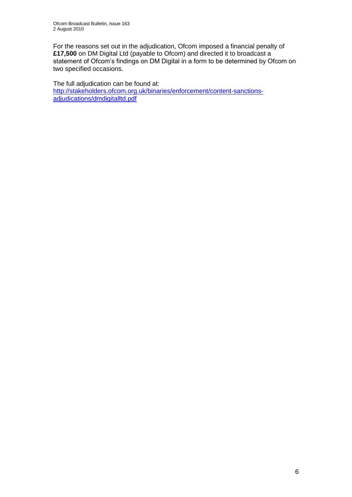For the reasons set out in the adjudication, Ofcom imposed a financial penalty of **£17,500** on DM Digital Ltd (payable to Ofcom) and directed it to broadcast a statement of Ofcom's findings on DM Digital in a form to be determined by Ofcom on two specified occasions.

The full adjudication can be found at: [http://stakeholders.ofcom.org.uk/binaries/enforcement/content-sanctions](http://stakeholders.ofcom.org.uk/binaries/enforcement/content-sanctions-adjudications/dmdigitalltd.pdf)[adjudications/dmdigitalltd.pdf](http://stakeholders.ofcom.org.uk/binaries/enforcement/content-sanctions-adjudications/dmdigitalltd.pdf)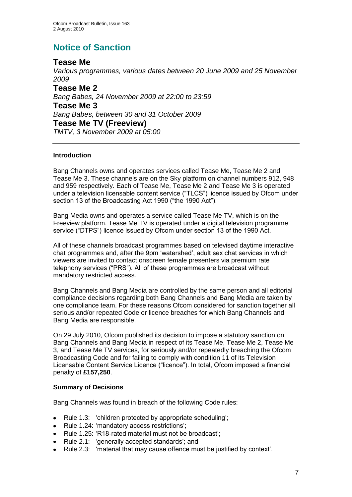# **Notice of Sanction**

#### **Tease Me**

*Various programmes, various dates between 20 June 2009 and 25 November 2009* **Tease Me 2** *Bang Babes, 24 November 2009 at 22:00 to 23:59*  **Tease Me 3** *Bang Babes, between 30 and 31 October 2009*  **Tease Me TV (Freeview)** *TMTV, 3 November 2009 at 05:00*

#### **Introduction**

Bang Channels owns and operates services called Tease Me, Tease Me 2 and Tease Me 3. These channels are on the Sky platform on channel numbers 912, 948 and 959 respectively. Each of Tease Me, Tease Me 2 and Tease Me 3 is operated under a television licensable content service ("TLCS") licence issued by Ofcom under section 13 of the Broadcasting Act 1990 ("the 1990 Act").

Bang Media owns and operates a service called Tease Me TV, which is on the Freeview platform. Tease Me TV is operated under a digital television programme service ("DTPS") licence issued by Ofcom under section 13 of the 1990 Act.

All of these channels broadcast programmes based on televised daytime interactive chat programmes and, after the 9pm "watershed", adult sex chat services in which viewers are invited to contact onscreen female presenters via premium rate telephony services ("PRS"). All of these programmes are broadcast without mandatory restricted access.

Bang Channels and Bang Media are controlled by the same person and all editorial compliance decisions regarding both Bang Channels and Bang Media are taken by one compliance team. For these reasons Ofcom considered for sanction together all serious and/or repeated Code or licence breaches for which Bang Channels and Bang Media are responsible.

On 29 July 2010, Ofcom published its decision to impose a statutory sanction on Bang Channels and Bang Media in respect of its Tease Me, Tease Me 2, Tease Me 3, and Tease Me TV services, for seriously and/or repeatedly breaching the Ofcom Broadcasting Code and for failing to comply with condition 11 of its Television Licensable Content Service Licence ("licence"). In total, Ofcom imposed a financial penalty of **£157,250**.

#### **Summary of Decisions**

Bang Channels was found in breach of the following Code rules:

- Rule 1.3: 'children protected by appropriate scheduling';
- Rule 1.24: 'mandatory access restrictions';
- Rule 1.25: "R18-rated material must not be broadcast";
- Rule 2.1: "generally accepted standards"; and  $\bullet$
- Rule 2.3: "material that may cause offence must be justified by context".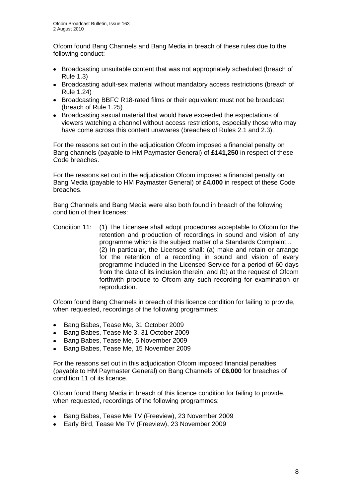Ofcom found Bang Channels and Bang Media in breach of these rules due to the following conduct:

- Broadcasting unsuitable content that was not appropriately scheduled (breach of Rule 1.3)
- Broadcasting adult-sex material without mandatory access restrictions (breach of Rule 1.24)
- Broadcasting BBFC R18-rated films or their equivalent must not be broadcast (breach of Rule 1.25)
- Broadcasting sexual material that would have exceeded the expectations of viewers watching a channel without access restrictions, especially those who may have come across this content unawares (breaches of Rules 2.1 and 2.3).

For the reasons set out in the adjudication Ofcom imposed a financial penalty on Bang channels (payable to HM Paymaster General) of **£141,250** in respect of these Code breaches.

For the reasons set out in the adjudication Ofcom imposed a financial penalty on Bang Media (payable to HM Paymaster General) of **£4,000** in respect of these Code breaches.

Bang Channels and Bang Media were also both found in breach of the following condition of their licences:

Condition 11: (1) The Licensee shall adopt procedures acceptable to Ofcom for the retention and production of recordings in sound and vision of any programme which is the subject matter of a Standards Complaint... (2) In particular, the Licensee shall: (a) make and retain or arrange for the retention of a recording in sound and vision of every programme included in the Licensed Service for a period of 60 days from the date of its inclusion therein; and (b) at the request of Ofcom forthwith produce to Ofcom any such recording for examination or reproduction.

Ofcom found Bang Channels in breach of this licence condition for failing to provide, when requested, recordings of the following programmes:

- Bang Babes, Tease Me, 31 October 2009  $\bullet$
- Bang Babes, Tease Me 3, 31 October 2009
- Bang Babes, Tease Me, 5 November 2009  $\bullet$
- $\bullet$ Bang Babes, Tease Me, 15 November 2009

For the reasons set out in this adjudication Ofcom imposed financial penalties (payable to HM Paymaster General) on Bang Channels of **£6,000** for breaches of condition 11 of its licence.

Ofcom found Bang Media in breach of this licence condition for failing to provide, when requested, recordings of the following programmes:

- Bang Babes, Tease Me TV (Freeview), 23 November 2009
- Early Bird, Tease Me TV (Freeview), 23 November 2009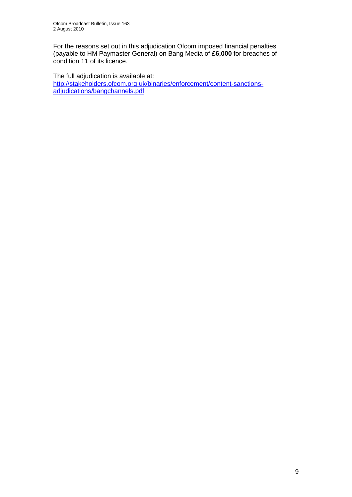For the reasons set out in this adjudication Ofcom imposed financial penalties (payable to HM Paymaster General) on Bang Media of **£6,000** for breaches of condition 11 of its licence.

The full adjudication is available at: [http://stakeholders.ofcom.org.uk/binaries/enforcement/content-sanctions](http://stakeholders.ofcom.org.uk/binaries/enforcement/content-sanctions-adjudications/bangchannels.pdf)[adjudications/bangchannels.pdf](http://stakeholders.ofcom.org.uk/binaries/enforcement/content-sanctions-adjudications/bangchannels.pdf)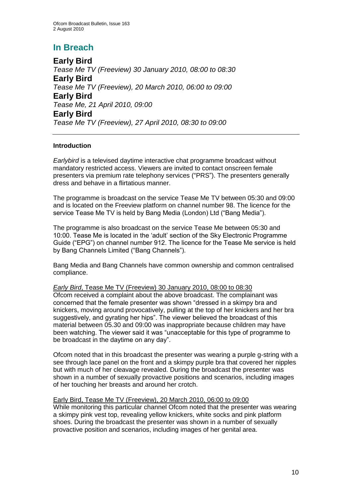# **In Breach**

**Early Bird** *Tease Me TV (Freeview) 30 January 2010, 08:00 to 08:30*  **Early Bird** *Tease Me TV (Freeview), 20 March 2010, 06:00 to 09:00*  **Early Bird** *Tease Me, 21 April 2010, 09:00*  **Early Bird** *Tease Me TV (Freeview), 27 April 2010, 08:30 to 09:00*

#### **Introduction**

*Earlybird* is a televised daytime interactive chat programme broadcast without mandatory restricted access. Viewers are invited to contact onscreen female presenters via premium rate telephony services ("PRS"). The presenters generally dress and behave in a flirtatious manner.

The programme is broadcast on the service Tease Me TV between 05:30 and 09:00 and is located on the Freeview platform on channel number 98. The licence for the service Tease Me TV is held by Bang Media (London) Ltd ("Bang Media").

The programme is also broadcast on the service Tease Me between 05:30 and 10:00. Tease Me is located in the "adult" section of the Sky Electronic Programme Guide ("EPG") on channel number 912. The licence for the Tease Me service is held by Bang Channels Limited ("Bang Channels").

Bang Media and Bang Channels have common ownership and common centralised compliance.

#### *Early Bird*, Tease Me TV (Freeview) 30 January 2010, 08:00 to 08:30

Ofcom received a complaint about the above broadcast. The complainant was concerned that the female presenter was shown "dressed in a skimpy bra and knickers, moving around provocatively, pulling at the top of her knickers and her bra suggestively, and gyrating her hips". The viewer believed the broadcast of this material between 05.30 and 09:00 was inappropriate because children may have been watching. The viewer said it was "unacceptable for this type of programme to be broadcast in the daytime on any day".

Ofcom noted that in this broadcast the presenter was wearing a purple g-string with a see through lace panel on the front and a skimpy purple bra that covered her nipples but with much of her cleavage revealed. During the broadcast the presenter was shown in a number of sexually provactive positions and scenarios, including images of her touching her breasts and around her crotch.

#### Early Bird, Tease Me TV (Freeview), 20 March 2010, 06:00 to 09:00

While monitoring this particular channel Ofcom noted that the presenter was wearing a skimpy pink vest top, revealing yellow knickers, white socks and pink platform shoes. During the broadcast the presenter was shown in a number of sexually provactive position and scenarios, including images of her genital area.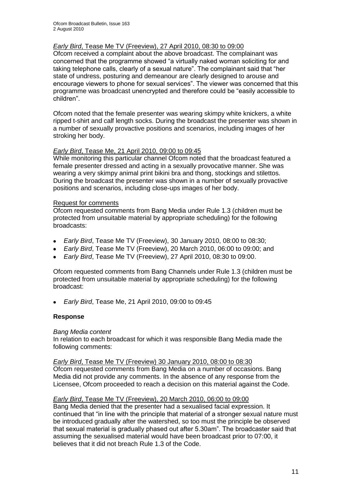#### *Early Bird*, Tease Me TV (Freeview), 27 April 2010, 08:30 to 09:00

Ofcom received a complaint about the above broadcast. The complainant was concerned that the programme showed "a virtually naked woman soliciting for and taking telephone calls, clearly of a sexual nature". The complainant said that "her state of undress, posturing and demeanour are clearly designed to arouse and encourage viewers to phone for sexual services". The viewer was concerned that this programme was broadcast unencrypted and therefore could be "easily accessible to children".

Ofcom noted that the female presenter was wearing skimpy white knickers, a white ripped t-shirt and calf length socks. During the broadcast the presenter was shown in a number of sexually provactive positions and scenarios, including images of her stroking her body.

#### *Early Bird*, Tease Me, 21 April 2010, 09:00 to 09:45

While monitoring this particular channel Ofcom noted that the broadcast featured a female presenter dressed and acting in a sexually provocative manner. She was wearing a very skimpy animal print bikini bra and thong, stockings and stilettos. During the broadcast the presenter was shown in a number of sexually provactive positions and scenarios, including close-ups images of her body.

#### Request for comments

Ofcom requested comments from Bang Media under Rule 1.3 (children must be protected from unsuitable material by appropriate scheduling) for the following broadcasts:

- *Early Bird*, Tease Me TV (Freeview), 30 January 2010, 08:00 to 08:30;  $\bullet$
- *Early Bird*, Tease Me TV (Freeview), 20 March 2010, 06:00 to 09:00; and  $\bullet$
- *Early Bird*, Tease Me TV (Freeview), 27 April 2010, 08:30 to 09:00.

Ofcom requested comments from Bang Channels under Rule 1.3 (children must be protected from unsuitable material by appropriate scheduling) for the following broadcast:

*Early Bird*, Tease Me, 21 April 2010, 09:00 to 09:45  $\bullet$ 

#### **Response**

#### *Bang Media content*

In relation to each broadcast for which it was responsible Bang Media made the following comments:

#### *Early Bird*, Tease Me TV (Freeview) 30 January 2010, 08:00 to 08:30

Ofcom requested comments from Bang Media on a number of occasions. Bang Media did not provide any comments. In the absence of any response from the Licensee, Ofcom proceeded to reach a decision on this material against the Code.

#### *Early Bird*, Tease Me TV (Freeview), 20 March 2010, 06:00 to 09:00

Bang Media denied that the presenter had a sexualised facial expression. It continued that "in line with the principle that material of a stronger sexual nature must be introduced gradually after the watershed, so too must the principle be observed that sexual material is gradually phased out after 5.30am". The broadcaster said that assuming the sexualised material would have been broadcast prior to 07:00, it believes that it did not breach Rule 1.3 of the Code.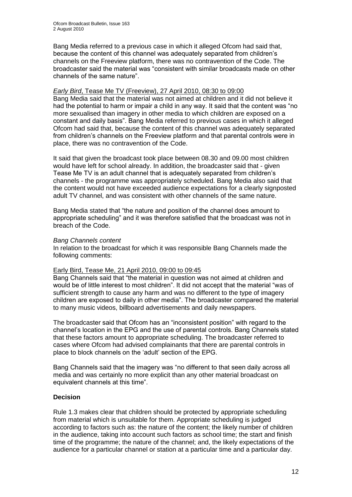Bang Media referred to a previous case in which it alleged Ofcom had said that, because the content of this channel was adequately separated from children"s channels on the Freeview platform, there was no contravention of the Code. The broadcaster said the material was "consistent with similar broadcasts made on other channels of the same nature".

#### *Early Bird*, Tease Me TV (Freeview), 27 April 2010, 08:30 to 09:00

Bang Media said that the material was not aimed at children and it did not believe it had the potential to harm or impair a child in any way. It said that the content was "no more sexualised than imagery in other media to which children are exposed on a constant and daily basis". Bang Media referred to previous cases in which it alleged Ofcom had said that, because the content of this channel was adequately separated from children"s channels on the Freeview platform and that parental controls were in place, there was no contravention of the Code.

It said that given the broadcast took place between 08.30 and 09.00 most children would have left for school already. In addition, the broadcaster said that - given Tease Me TV is an adult channel that is adequately separated from children"s channels - the programme was appropriately scheduled. Bang Media also said that the content would not have exceeded audience expectations for a clearly signposted adult TV channel, and was consistent with other channels of the same nature.

Bang Media stated that "the nature and position of the channel does amount to appropriate scheduling" and it was therefore satisfied that the broadcast was not in breach of the Code.

#### *Bang Channels content*

In relation to the broadcast for which it was responsible Bang Channels made the following comments:

#### Early Bird, Tease Me, 21 April 2010, 09:00 to 09:45

Bang Channels said that "the material in question was not aimed at children and would be of little interest to most children". It did not accept that the material "was of sufficient strength to cause any harm and was no different to the type of imagery children are exposed to daily in other media". The broadcaster compared the material to many music videos, billboard advertisements and daily newspapers.

The broadcaster said that Ofcom has an "inconsistent position" with regard to the channel"s location in the EPG and the use of parental controls. Bang Channels stated that these factors amount to appropriate scheduling. The broadcaster referred to cases where Ofcom had advised complainants that there are parental controls in place to block channels on the "adult" section of the EPG.

Bang Channels said that the imagery was "no different to that seen daily across all media and was certainly no more explicit than any other material broadcast on equivalent channels at this time".

#### **Decision**

Rule 1.3 makes clear that children should be protected by appropriate scheduling from material which is unsuitable for them. Appropriate scheduling is judged according to factors such as: the nature of the content; the likely number of children in the audience, taking into account such factors as school time; the start and finish time of the programme; the nature of the channel; and, the likely expectations of the audience for a particular channel or station at a particular time and a particular day.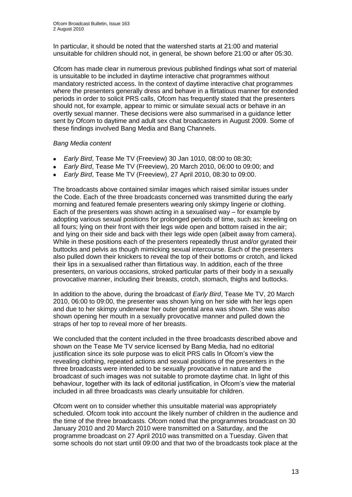In particular, it should be noted that the watershed starts at 21:00 and material unsuitable for children should not, in general, be shown before 21:00 or after 05:30.

Ofcom has made clear in numerous previous published findings what sort of material is unsuitable to be included in daytime interactive chat programmes without mandatory restricted access. In the context of daytime interactive chat programmes where the presenters generally dress and behave in a flirtatious manner for extended periods in order to solicit PRS calls, Ofcom has frequently stated that the presenters should not, for example, appear to mimic or simulate sexual acts or behave in an overtly sexual manner. These decisions were also summarised in a guidance letter sent by Ofcom to daytime and adult sex chat broadcasters in August 2009. Some of these findings involved Bang Media and Bang Channels.

#### *Bang Media content*

- *Early Bird*, Tease Me TV (Freeview) 30 Jan 1010, 08:00 to 08:30;
- *Early Bird*, Tease Me TV (Freeview), 20 March 2010, 06:00 to 09:00; and
- $\bullet$ *Early Bird*, Tease Me TV (Freeview), 27 April 2010, 08:30 to 09:00.

The broadcasts above contained similar images which raised similar issues under the Code. Each of the three broadcasts concerned was transmitted during the early morning and featured female presenters wearing only skimpy lingerie or clothing. Each of the presenters was shown acting in a sexualised way – for example by adopting various sexual positions for prolonged periods of time, such as: kneeling on all fours; lying on their front with their legs wide open and bottom raised in the air; and lying on their side and back with their legs wide open (albeit away from camera). While in these positions each of the presenters repeatedly thrust and/or gyrated their buttocks and pelvis as though mimicking sexual intercourse. Each of the presenters also pulled down their knickers to reveal the top of their bottoms or crotch, and licked their lips in a sexualised rather than flirtatious way. In addition, each of the three presenters, on various occasions, stroked particular parts of their body in a sexually provocative manner, including their breasts, crotch, stomach, thighs and buttocks.

In addition to the above, during the broadcast of *Early Bird*, Tease Me TV, 20 March 2010, 06:00 to 09:00, the presenter was shown lying on her side with her legs open and due to her skimpy underwear her outer genital area was shown. She was also shown opening her mouth in a sexually provocative manner and pulled down the straps of her top to reveal more of her breasts.

We concluded that the content included in the three broadcasts described above and shown on the Tease Me TV service licensed by Bang Media, had no editorial justification since its sole purpose was to elicit PRS calls In Ofcom's view the revealing clothing, repeated actions and sexual positions of the presenters in the three broadcasts were intended to be sexually provocative in nature and the broadcast of such images was not suitable to promote daytime chat. In light of this behaviour, together with its lack of editorial justification, in Ofcom"s view the material included in all three broadcasts was clearly unsuitable for children.

Ofcom went on to consider whether this unsuitable material was appropriately scheduled. Ofcom took into account the likely number of children in the audience and the time of the three broadcasts. Ofcom noted that the programmes broadcast on 30 January 2010 and 20 March 2010 were transmitted on a Saturday, and the programme broadcast on 27 April 2010 was transmitted on a Tuesday. Given that some schools do not start until 09:00 and that two of the broadcasts took place at the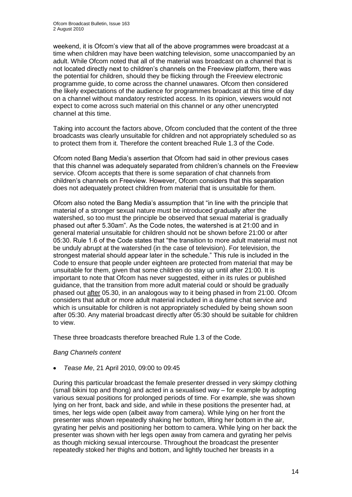weekend, it is Ofcom"s view that all of the above programmes were broadcast at a time when children may have been watching television, some unaccompanied by an adult. While Ofcom noted that all of the material was broadcast on a channel that is not located directly next to children"s channels on the Freeview platform, there was the potential for children, should they be flicking through the Freeview electronic programme guide, to come across the channel unawares. Ofcom then considered the likely expectations of the audience for programmes broadcast at this time of day on a channel without mandatory restricted access. In its opinion, viewers would not expect to come across such material on this channel or any other unencrypted channel at this time.

Taking into account the factors above, Ofcom concluded that the content of the three broadcasts was clearly unsuitable for children and not appropriately scheduled so as to protect them from it. Therefore the content breached Rule 1.3 of the Code.

Ofcom noted Bang Media"s assertion that Ofcom had said in other previous cases that this channel was adequately separated from children"s channels on the Freeview service. Ofcom accepts that there is some separation of chat channels from children"s channels on Freeview. However, Ofcom considers that this separation does not adequately protect children from material that is unsuitable for them.

Ofcom also noted the Bang Media"s assumption that "in line with the principle that material of a stronger sexual nature must be introduced gradually after the watershed, so too must the principle be observed that sexual material is gradually phased out after 5.30am". As the Code notes, the watershed is at 21:00 and in general material unsuitable for children should not be shown before 21:00 or after 05:30. Rule 1.6 of the Code states that "the transition to more adult material must not be unduly abrupt at the watershed (in the case of television). For television, the strongest material should appear later in the schedule." This rule is included in the Code to ensure that people under eighteen are protected from material that may be unsuitable for them, given that some children do stay up until after 21:00. It is important to note that Ofcom has never suggested, either in its rules or published guidance, that the transition from more adult material could or should be gradually phased out after 05.30, in an analogous way to it being phased in from 21:00. Ofcom considers that adult or more adult material included in a daytime chat service and which is unsuitable for children is not appropriately scheduled by being shown soon after 05:30. Any material broadcast directly after 05:30 should be suitable for children to view.

These three broadcasts therefore breached Rule 1.3 of the Code.

#### *Bang Channels content*

*Tease Me*, 21 April 2010, 09:00 to 09:45  $\bullet$ 

During this particular broadcast the female presenter dressed in very skimpy clothing (small bikini top and thong) and acted in a sexualised way – for example by adopting various sexual positions for prolonged periods of time. For example, she was shown lying on her front, back and side, and while in these positions the presenter had, at times, her legs wide open (albeit away from camera). While lying on her front the presenter was shown repeatedly shaking her bottom, lifting her bottom in the air, gyrating her pelvis and positioning her bottom to camera. While lying on her back the presenter was shown with her legs open away from camera and gyrating her pelvis as though micking sexual intercourse. Throughout the broadcast the presenter repeatedly stoked her thighs and bottom, and lightly touched her breasts in a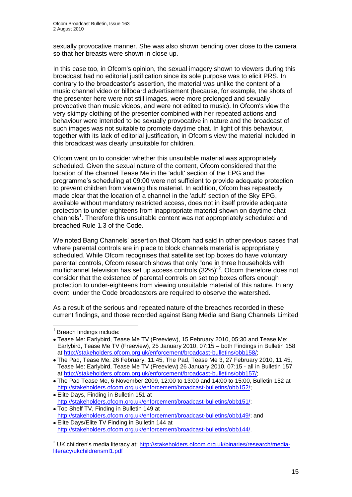sexually provocative manner. She was also shown bending over close to the camera so that her breasts were shown in close up.

In this case too, in Ofcom's opinion, the sexual imagery shown to viewers during this broadcast had no editorial justification since its sole purpose was to elicit PRS. In contrary to the broadcaster"s assertion, the material was unlike the content of a music channel video or billboard advertisement (because, for example, the shots of the presenter here were not still images, were more prolonged and sexually provocative than music videos, and were not edited to music). In Ofcom's view the very skimpy clothing of the presenter combined with her repeated actions and behaviour were intended to be sexually provocative in nature and the broadcast of such images was not suitable to promote daytime chat. In light of this behaviour, together with its lack of editorial justification, in Ofcom's view the material included in this broadcast was clearly unsuitable for children.

Ofcom went on to consider whether this unsuitable material was appropriately scheduled. Given the sexual nature of the content, Ofcom considered that the location of the channel Tease Me in the 'adult' section of the EPG and the programme"s scheduling at 09:00 were not sufficient to provide adequate protection to prevent children from viewing this material. In addition, Ofcom has repeatedly made clear that the location of a channel in the 'adult' section of the Sky EPG, available without mandatory restricted access, does not in itself provide adequate protection to under-eighteens from inappropriate material shown on daytime chat channels<sup>1</sup>. Therefore this unsuitable content was not appropriately scheduled and breached Rule 1.3 of the Code.

We noted Bang Channels" assertion that Ofcom had said in other previous cases that where parental controls are in place to block channels material is appropriately scheduled. While Ofcom recognises that satellite set top boxes do have voluntary parental controls, Ofcom research shows that only "one in three households with multichannel television has set up access controls (32%)<sup>"2</sup>. Ofcom therefore does not consider that the existence of parental controls on set top boxes offers enough protection to under-eighteens from viewing unsuitable material of this nature. In any event, under the Code broadcasters are required to observe the watershed.

As a result of the serious and repeated nature of the breaches recorded in these current findings, and those recorded against Bang Media and Bang Channels Limited

1

 $1$  Breach findings include:

Tease Me: Earlybird, Tease Me TV (Freeview), 15 February 2010, 05:30 and Tease Me: Earlybird, Tease Me TV (Freeview), 25 January 2010, 07:15 – both Findings in Bulletin 158 at [http://stakeholders.ofcom.org.uk/enforcement/broadcast-bulletins/obb158/;](http://stakeholders.ofcom.org.uk/enforcement/broadcast-bulletins/obb158/)

The Pad, Tease Me, 26 February, 11:45, The Pad, Tease Me 3, 27 February 2010, 11:45, Tease Me: Earlybird, Tease Me TV (Freeview) 26 January 2010, 07:15 - all in Bulletin 157 at [http://stakeholders.ofcom.org.uk/enforcement/broadcast-bulletins/obb157/;](http://stakeholders.ofcom.org.uk/enforcement/broadcast-bulletins/obb157/)

The Pad Tease Me, 6 November 2009, 12:00 to 13:00 and 14:00 to 15:00, Bulletin 152 at [http://stakeholders.ofcom.org.uk/enforcement/broadcast-bulletins/obb152/;](http://stakeholders.ofcom.org.uk/enforcement/broadcast-bulletins/obb152/)

Elite Days, Finding in Bulletin 151 at [http://stakeholders.ofcom.org.uk/enforcement/broadcast-bulletins/obb151/;](http://stakeholders.ofcom.org.uk/enforcement/broadcast-bulletins/obb151/)

Top Shelf TV, Finding in Bulletin 149 at [http://stakeholders.ofcom.org.uk/enforcement/broadcast-bulletins/obb149/;](http://stakeholders.ofcom.org.uk/enforcement/broadcast-bulletins/obb149/) and

Elite Days/Elite TV Finding in Bulletin 144 at [http://stakeholders.ofcom.org.uk/enforcement/broadcast-bulletins/obb144/.](http://stakeholders.ofcom.org.uk/enforcement/broadcast-bulletins/obb144/)

<sup>&</sup>lt;sup>2</sup> UK children's media literacy at: [http://stakeholders.ofcom.org.uk/binaries/research/media](http://stakeholders.ofcom.org.uk/binaries/research/media-literacy/ukchildrensml1.pdf)[literacy/ukchildrensml1.pdf](http://stakeholders.ofcom.org.uk/binaries/research/media-literacy/ukchildrensml1.pdf)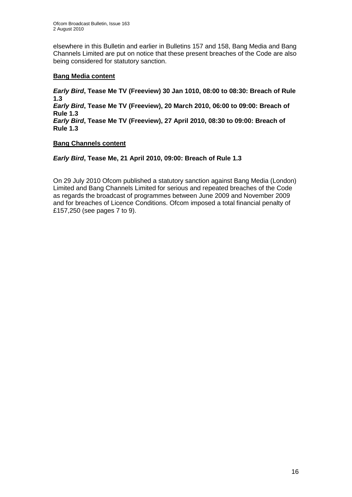elsewhere in this Bulletin and earlier in Bulletins 157 and 158, Bang Media and Bang Channels Limited are put on notice that these present breaches of the Code are also being considered for statutory sanction.

#### **Bang Media content**

*Early Bird***, Tease Me TV (Freeview) 30 Jan 1010, 08:00 to 08:30: Breach of Rule 1.3** *Early Bird***, Tease Me TV (Freeview), 20 March 2010, 06:00 to 09:00: Breach of Rule 1.3** *Early Bird***, Tease Me TV (Freeview), 27 April 2010, 08:30 to 09:00: Breach of Rule 1.3**

#### **Bang Channels content**

#### *Early Bird***, Tease Me, 21 April 2010, 09:00: Breach of Rule 1.3**

On 29 July 2010 Ofcom published a statutory sanction against Bang Media (London) Limited and Bang Channels Limited for serious and repeated breaches of the Code as regards the broadcast of programmes between June 2009 and November 2009 and for breaches of Licence Conditions. Ofcom imposed a total financial penalty of £157,250 (see pages 7 to 9).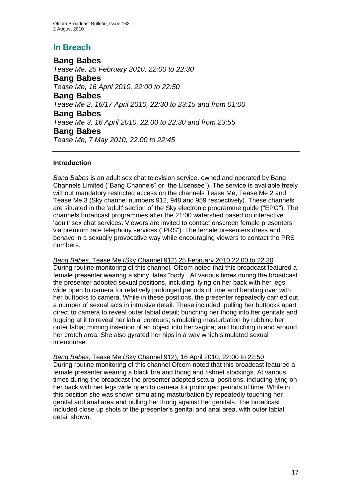# **In Breach**

**Bang Babes** *Tease Me, 25 February 2010, 22:00 to 22:30*  **Bang Babes** *Tease Me, 16 April 2010, 22:00 to 22:50* **Bang Babes** *Tease Me 2, 16/17 April 2010, 22:30 to 23:15 and from 01:00*  **Bang Babes** *Tease Me 3, 16 April 2010, 22.00 to 22:30 and from 23:55* **Bang Babes** *Tease Me, 7 May 2010, 22:00 to 22:45*

#### **Introduction**

*Bang Babes* is an adult sex chat television service, owned and operated by Bang Channels Limited ("Bang Channels" or "the Licensee"). The service is available freely without mandatory restricted access on the channels Tease Me, Tease Me 2 and Tease Me 3 (Sky channel numbers 912, 948 and 959 respectively). These channels are situated in the 'adult' section of the Sky electronic programme guide ("EPG"). The channels broadcast programmes after the 21:00 watershed based on interactive 'adult' sex chat services. Viewers are invited to contact onscreen female presenters via premium rate telephony services ("PRS"). The female presenters dress and behave in a sexually provocative way while encouraging viewers to contact the PRS numbers.

*Bang Babes*, Tease Me (Sky Channel 912) 25 February 2010 22.00 to 22.30 During routine monitoring of this channel, Ofcom noted that this broadcast featured a female presenter wearing a shiny, latex "body". At various times during the broadcast the presenter adopted sexual positions, including: lying on her back with her legs wide open to camera for relatively prolonged periods of time and bending over with her buttocks to camera. While in these positions, the presenter repeatedly carried out a number of sexual acts in intrusive detail. These included: pulling her buttocks apart direct to camera to reveal outer labial detail; bunching her thong into her genitals and tugging at it to reveal her labial contours; simulating masturbation by rubbing her outer labia; miming insertion of an object into her vagina; and touching in and around her crotch area. She also gyrated her hips in a way which simulated sexual intercourse.

*Bang Babes*, Tease Me (Sky Channel 912), 16 April 2010, 22:00 to 22:50 During routine monitoring of this channel Ofcom noted that this broadcast featured a female presenter wearing a black bra and thong and fishnet stockings. At various times during the broadcast the presenter adopted sexual positions, including lying on her back with her legs wide open to camera for prolonged periods of time. While in this position she was shown simulating masturbation by repeatedly touching her genital and anal area and pulling her thong against her genitals. The broadcast included close up shots of the presenter"s genital and anal area, with outer labial detail shown.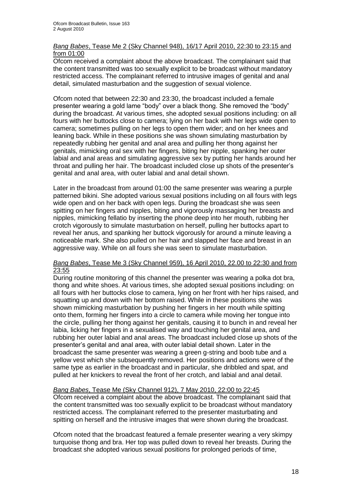#### *Bang Babes*, Tease Me 2 (Sky Channel 948), 16/17 April 2010, 22:30 to 23:15 and from 01:00

Ofcom received a complaint about the above broadcast. The complainant said that the content transmitted was too sexually explicit to be broadcast without mandatory restricted access. The complainant referred to intrusive images of genital and anal detail, simulated masturbation and the suggestion of sexual violence.

Ofcom noted that between 22:30 and 23:30, the broadcast included a female presenter wearing a gold lame "body" over a black thong. She removed the "body" during the broadcast. At various times, she adopted sexual positions including: on all fours with her buttocks close to camera; lying on her back with her legs wide open to camera; sometimes pulling on her legs to open them wider; and on her knees and leaning back. While in these positions she was shown simulating masturbation by repeatedly rubbing her genital and anal area and pulling her thong against her genitals, mimicking oral sex with her fingers, biting her nipple, spanking her outer labial and anal areas and simulating aggressive sex by putting her hands around her throat and pulling her hair. The broadcast included close up shots of the presenter"s genital and anal area, with outer labial and anal detail shown.

Later in the broadcast from around 01:00 the same presenter was wearing a purple patterned bikini. She adopted various sexual positions including on all fours with legs wide open and on her back with open legs. During the broadcast she was seen spitting on her fingers and nipples, biting and vigorously massaging her breasts and nipples, mimicking fellatio by inserting the phone deep into her mouth, rubbing her crotch vigorously to simulate masturbation on herself, pulling her buttocks apart to reveal her anus, and spanking her buttock vigorously for around a minute leaving a noticeable mark. She also pulled on her hair and slapped her face and breast in an aggressive way. While on all fours she was seen to simulate masturbation.

#### *Bang Babes*, Tease Me 3 (Sky Channel 959), 16 April 2010, 22.00 to 22:30 and from 23:55

During routine monitoring of this channel the presenter was wearing a polka dot bra, thong and white shoes. At various times, she adopted sexual positions including: on all fours with her buttocks close to camera, lying on her front with her hips raised, and squatting up and down with her bottom raised. While in these positions she was shown mimicking masturbation by pushing her fingers in her mouth while spitting onto them, forming her fingers into a circle to camera while moving her tongue into the circle, pulling her thong against her genitals, causing it to bunch in and reveal her labia, licking her fingers in a sexualised way and touching her genital area, and rubbing her outer labial and anal areas. The broadcast included close up shots of the presenter"s genital and anal area, with outer labial detail shown. Later in the broadcast the same presenter was wearing a green g-string and boob tube and a yellow vest which she subsequently removed. Her positions and actions were of the same type as earlier in the broadcast and in particular, she dribbled and spat, and pulled at her knickers to reveal the front of her crotch, and labial and anal detail.

#### *Bang Babes*, Tease Me (Sky Channel 912), 7 May 2010, 22:00 to 22:45

Ofcom received a complaint about the above broadcast. The complainant said that the content transmitted was too sexually explicit to be broadcast without mandatory restricted access. The complainant referred to the presenter masturbating and spitting on herself and the intrusive images that were shown during the broadcast.

Ofcom noted that the broadcast featured a female presenter wearing a very skimpy turquoise thong and bra. Her top was pulled down to reveal her breasts. During the broadcast she adopted various sexual positions for prolonged periods of time,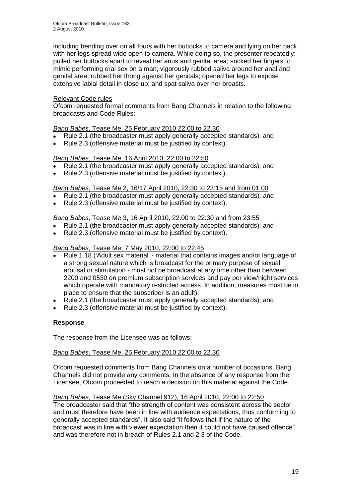including bending over on all fours with her buttocks to camera and lying on her back with her legs spread wide open to camera. While doing so, the presenter repeatedly: pulled her buttocks apart to reveal her anus and genital area; sucked her fingers to mimic performing oral sex on a man; vigorously rubbed saliva around her anal and genital area; rubbed her thong against her genitals; opened her legs to expose extensive labial detail in close up; and spat saliva over her breasts.

#### Relevant Code rules

Ofcom requested formal comments from Bang Channels in relation to the following broadcasts and Code Rules:

#### *Bang Babes*, Tease Me, 25 February 2010 22.00 to 22.30

- Rule 2.1 (the broadcaster must apply generally accepted standards); and  $\bullet$
- Rule 2.3 (offensive material must be justified by context).

#### *Bang Babes*, Tease Me, 16 April 2010, 22:00 to 22:50

- Rule 2.1 (the broadcaster must apply generally accepted standards); and
- Rule 2.3 (offensive material must be justified by context).  $\bullet$

#### *Bang Babes*, Tease Me 2, 16/17 April 2010, 22:30 to 23:15 and from 01:00

- Rule 2.1 (the broadcaster must apply generally accepted standards); and  $\bullet$
- Rule 2.3 (offensive material must be justified by context).  $\bullet$

#### *Bang Babes*, Tease Me 3, 16 April 2010, 22.00 to 22:30 and from 23:55

- Rule 2.1 (the broadcaster must apply generally accepted standards); and
- Rule 2.3 (offensive material must be justified by context).

#### *Bang Babes*, Tease Me, 7 May 2010, 22:00 to 22:45

- Rule 1.18 ('Adult sex material' material that contains images and/or language of  $\bullet$ a strong sexual nature which is broadcast for the primary purpose of sexual arousal or stimulation - must not be broadcast at any time other than between 2200 and 0530 on premium subscription services and pay per view/night services which operate with mandatory restricted access. In addition, measures must be in place to ensure that the subscriber is an adult);
- Rule 2.1 (the broadcaster must apply generally accepted standards); and
- $\bullet$ Rule 2.3 (offensive material must be justified by context).

#### **Response**

The response from the Licensee was as follows:

#### *Bang Babes*, Tease Me, 25 February 2010 22.00 to 22.30

Ofcom requested comments from Bang Channels on a number of occasions. Bang Channels did not provide any comments. In the absence of any response from the Licensee, Ofcom proceeded to reach a decision on this material against the Code.

#### *Bang Babes*, Tease Me (Sky Channel 912), 16 April 2010, 22:00 to 22:50

The broadcaster said that "the strength of content was consistent across the sector and must therefore have been in line with audience expectations, thus conforming to generally accepted standards". It also said "it follows that if the nature of the broadcast was in line with viewer expectation then it could not have caused offence" and was therefore not in breach of Rules 2.1 and 2.3 of the Code.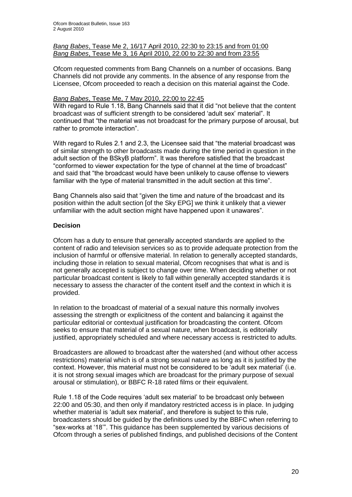#### *Bang Babes*, Tease Me 2, 16/17 April 2010, 22:30 to 23:15 and from 01:00 *Bang Babes*, Tease Me 3, 16 April 2010, 22.00 to 22:30 and from 23:55

Ofcom requested comments from Bang Channels on a number of occasions. Bang Channels did not provide any comments. In the absence of any response from the Licensee, Ofcom proceeded to reach a decision on this material against the Code.

#### *Bang Babes*, Tease Me, 7 May 2010, 22:00 to 22:45

With regard to Rule 1.18, Bang Channels said that it did "not believe that the content broadcast was of sufficient strength to be considered "adult sex" material". It continued that "the material was not broadcast for the primary purpose of arousal, but rather to promote interaction".

With regard to Rules 2.1 and 2.3, the Licensee said that "the material broadcast was of similar strength to other broadcasts made during the time period in question in the adult section of the BSkyB platform". It was therefore satisfied that the broadcast "conformed to viewer expectation for the type of channel at the time of broadcast" and said that "the broadcast would have been unlikely to cause offense to viewers familiar with the type of material transmitted in the adult section at this time".

Bang Channels also said that "given the time and nature of the broadcast and its position within the adult section [of the Sky EPG] we think it unlikely that a viewer unfamiliar with the adult section might have happened upon it unawares".

#### **Decision**

Ofcom has a duty to ensure that generally accepted standards are applied to the content of radio and television services so as to provide adequate protection from the inclusion of harmful or offensive material. In relation to generally accepted standards, including those in relation to sexual material, Ofcom recognises that what is and is not generally accepted is subject to change over time. When deciding whether or not particular broadcast content is likely to fall within generally accepted standards it is necessary to assess the character of the content itself and the context in which it is provided.

In relation to the broadcast of material of a sexual nature this normally involves assessing the strength or explicitness of the content and balancing it against the particular editorial or contextual justification for broadcasting the content. Ofcom seeks to ensure that material of a sexual nature, when broadcast, is editorially justified, appropriately scheduled and where necessary access is restricted to adults.

Broadcasters are allowed to broadcast after the watershed (and without other access restrictions) material which is of a strong sexual nature as long as it is justified by the context. However, this material must not be considered to be "adult sex material" (i.e. it is not strong sexual images which are broadcast for the primary purpose of sexual arousal or stimulation), or BBFC R-18 rated films or their equivalent.

Rule 1.18 of the Code requires "adult sex material" to be broadcast only between 22:00 and 05:30, and then only if mandatory restricted access is in place. In judging whether material is 'adult sex material', and therefore is subject to this rule, broadcasters should be guided by the definitions used by the BBFC when referring to "sex-works at "18"". This guidance has been supplemented by various decisions of Ofcom through a series of published findings, and published decisions of the Content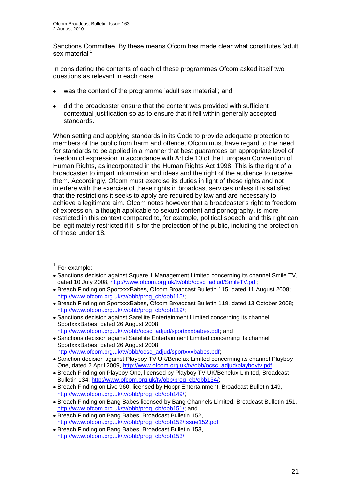Sanctions Committee. By these means Ofcom has made clear what constitutes "adult sex material'<sup>1</sup>.

In considering the contents of each of these programmes Ofcom asked itself two questions as relevant in each case:

- was the content of the programme 'adult sex material"; and
- did the broadcaster ensure that the content was provided with sufficient contextual justification so as to ensure that it fell within generally accepted standards.

When setting and applying standards in its Code to provide adequate protection to members of the public from harm and offence, Ofcom must have regard to the need for standards to be applied in a manner that best guarantees an appropriate level of freedom of expression in accordance with Article 10 of the European Convention of Human Rights, as incorporated in the Human Rights Act 1998. This is the right of a broadcaster to impart information and ideas and the right of the audience to receive them. Accordingly, Ofcom must exercise its duties in light of these rights and not interfere with the exercise of these rights in broadcast services unless it is satisfied that the restrictions it seeks to apply are required by law and are necessary to achieve a legitimate aim. Ofcom notes however that a broadcaster's right to freedom of expression, although applicable to sexual content and pornography, is more restricted in this context compared to, for example, political speech, and this right can be legitimately restricted if it is for the protection of the public, including the protection of those under 18.

1

<sup>1</sup> For example:

Sanctions decision against Square 1 Management Limited concerning its channel Smile TV, dated 10 July 2008, [http://www.ofcom.org.uk/tv/obb/ocsc\\_adjud/SmileTV.pdf;](http://www.ofcom.org.uk/tv/obb/ocsc_adjud/SmileTV.pdf)

Breach Finding on SportxxxBabes, Ofcom Broadcast Bulletin 115, dated 11 August 2008; [http://www.ofcom.org.uk/tv/obb/prog\\_cb/obb115/;](http://www.ofcom.org.uk/tv/obb/prog_cb/obb115/)

Breach Finding on SportxxxBabes, Ofcom Broadcast Bulletin 119, dated 13 October 2008; [http://www.ofcom.org.uk/tv/obb/prog\\_cb/obb119/;](http://www.ofcom.org.uk/tv/obb/prog_cb/obb119/)

Sanctions decision against Satellite Entertainment Limited concerning its channel SportxxxBabes, dated 26 August 2008, [http://www.ofcom.org.uk/tv/obb/ocsc\\_adjud/sportxxxbabes.pdf;](http://www.ofcom.org.uk/tv/obb/ocsc_adjud/sportxxxbabes.pdf) and

Sanctions decision against Satellite Entertainment Limited concerning its channel SportxxxBabes, dated 26 August 2008, [http://www.ofcom.org.uk/tv/obb/ocsc\\_adjud/sportxxxbabes.pdf;](http://www.ofcom.org.uk/tv/obb/ocsc_adjud/sportxxxbabes.pdf)

<sup>•</sup> Sanction decision against Playboy TV UK/Benelux Limited concerning its channel Playboy One, dated 2 April 2009, [http://www.ofcom.org.uk/tv/obb/ocsc\\_adjud/playboytv.pdf;](http://www.ofcom.org.uk/tv/obb/ocsc_adjud/playboytv.pdf)

Breach Finding on Playboy One, licensed by Playboy TV UK/Benelux Limited, Broadcast Bulletin 134, [http://www.ofcom.org.uk/tv/obb/prog\\_cb/obb134/;](http://www.ofcom.org.uk/tv/obb/prog_cb/obb134/)

Breach Finding on Live 960, licensed by Hoppr Entertainment, Broadcast Bulletin 149, [http://www.ofcom.org.uk/tv/obb/prog\\_cb/obb149/](http://www.ofcom.org.uk/tv/obb/prog_cb/obb149/);

Breach Finding on Bang Babes licensed by Bang Channels Limited, Broadcast Bulletin 151, [http://www.ofcom.org.uk/tv/obb/prog\\_cb/obb151/;](http://www.ofcom.org.uk/tv/obb/prog_cb/obb151/) and

Breach Finding on Bang Babes, Broadcast Bulletin 152, [http://www.ofcom.org.uk/tv/obb/prog\\_cb/obb152/Issue152.pdf](http://www.ofcom.org.uk/tv/obb/prog_cb/obb152/Issue152.pdf)

Breach Finding on Bang Babes, Broadcast Bulletin 153, [http://www.ofcom.org.uk/tv/obb/prog\\_cb/obb153/](http://www.ofcom.org.uk/tv/obb/prog_cb/obb153/)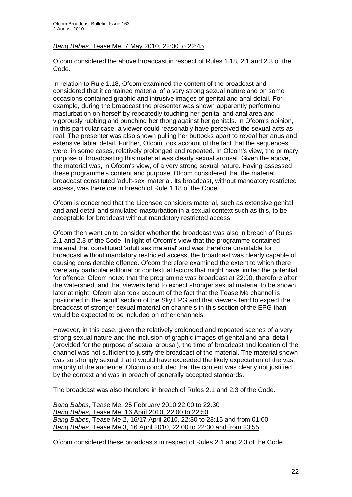#### *Bang Babes*, Tease Me, 7 May 2010, 22:00 to 22:45

Ofcom considered the above broadcast in respect of Rules 1.18, 2.1 and 2.3 of the Code.

In relation to Rule 1.18, Ofcom examined the content of the broadcast and considered that it contained material of a very strong sexual nature and on some occasions contained graphic and intrusive images of genital and anal detail. For example, during the broadcast the presenter was shown apparently performing masturbation on herself by repeatedly touching her genital and anal area and vigorously rubbing and bunching her thong against her genitals. In Ofcom's opinion, in this particular case, a viewer could reasonably have perceived the sexual acts as real. The presenter was also shown pulling her buttocks apart to reveal her anus and extensive labial detail. Further, Ofcom took account of the fact that the sequences were, in some cases, relatively prolonged and repeated. In Ofcom's view, the primary purpose of broadcasting this material was clearly sexual arousal. Given the above, the material was, in Ofcom's view, of a very strong sexual nature. Having assessed these programme"s content and purpose, Ofcom considered that the material broadcast constituted 'adult-sex' material. Its broadcast, without mandatory restricted access, was therefore in breach of Rule 1.18 of the Code.

Ofcom is concerned that the Licensee considers material, such as extensive genital and anal detail and simulated masturbation in a sexual context such as this, to be acceptable for broadcast without mandatory restricted access.

Ofcom then went on to consider whether the broadcast was also in breach of Rules 2.1 and 2.3 of the Code. In light of Ofcom's view that the programme contained material that constituted 'adult sex material' and was therefore unsuitable for broadcast without mandatory restricted access, the broadcast was clearly capable of causing considerable offence. Ofcom therefore examined the extent to which there were any particular editorial or contextual factors that might have limited the potential for offence. Ofcom noted that the programme was broadcast at 22:00, therefore after the watershed, and that viewers tend to expect stronger sexual material to be shown later at night. Ofcom also took account of the fact that the Tease Me channel is positioned in the 'adult' section of the Sky EPG and that viewers tend to expect the broadcast of stronger sexual material on channels in this section of the EPG than would be expected to be included on other channels.

However, in this case, given the relatively prolonged and repeated scenes of a very strong sexual nature and the inclusion of graphic images of genital and anal detail (provided for the purpose of sexual arousal), the time of broadcast and location of the channel was not sufficient to justify the broadcast of the material. The material shown was so strongly sexual that it would have exceeded the likely expectation of the vast majority of the audience. Ofcom concluded that the content was clearly not justified by the context and was in breach of generally accepted standards.

The broadcast was also therefore in breach of Rules 2.1 and 2.3 of the Code.

*Bang Babes*, Tease Me, 25 February 2010 22.00 to 22.30 *Bang Babes*, Tease Me, 16 April 2010, 22:00 to 22:50 *Bang Babes*, Tease Me 2, 16/17 April 2010, 22:30 to 23:15 and from 01:00 *Bang Babes*, Tease Me 3, 16 April 2010, 22.00 to 22:30 and from 23:55

Ofcom considered these broadcasts in respect of Rules 2.1 and 2.3 of the Code.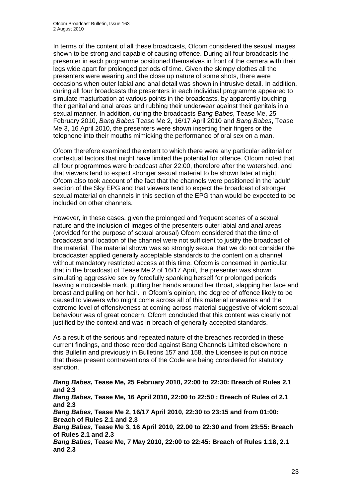In terms of the content of all these broadcasts, Ofcom considered the sexual images shown to be strong and capable of causing offence. During all four broadcasts the presenter in each programme positioned themselves in front of the camera with their legs wide apart for prolonged periods of time. Given the skimpy clothes all the presenters were wearing and the close up nature of some shots, there were occasions when outer labial and anal detail was shown in intrusive detail. In addition, during all four broadcasts the presenters in each individual programme appeared to simulate masturbation at various points in the broadcasts, by apparently touching their genital and anal areas and rubbing their underwear against their genitals in a sexual manner. In addition, during the broadcasts *Bang Babes*, Tease Me, 25 February 2010, *Bang Babes* Tease Me 2, 16/17 April 2010 and *Bang Babes*, Tease Me 3, 16 April 2010, the presenters were shown inserting their fingers or the telephone into their mouths mimicking the performance of oral sex on a man.

Ofcom therefore examined the extent to which there were any particular editorial or contextual factors that might have limited the potential for offence. Ofcom noted that all four programmes were broadcast after 22:00, therefore after the watershed, and that viewers tend to expect stronger sexual material to be shown later at night. Ofcom also took account of the fact that the channels were positioned in the 'adult' section of the Sky EPG and that viewers tend to expect the broadcast of stronger sexual material on channels in this section of the EPG than would be expected to be included on other channels.

However, in these cases, given the prolonged and frequent scenes of a sexual nature and the inclusion of images of the presenters outer labial and anal areas (provided for the purpose of sexual arousal) Ofcom considered that the time of broadcast and location of the channel were not sufficient to justify the broadcast of the material. The material shown was so strongly sexual that we do not consider the broadcaster applied generally acceptable standards to the content on a channel without mandatory restricted access at this time. Ofcom is concerned in particular, that in the broadcast of Tease Me 2 of 16/17 April, the presenter was shown simulating aggressive sex by forcefully spanking herself for prolonged periods leaving a noticeable mark, putting her hands around her throat, slapping her face and breast and pulling on her hair. In Ofcom"s opinion, the degree of offence likely to be caused to viewers who might come across all of this material unawares and the extreme level of offensiveness at coming across material suggestive of violent sexual behaviour was of great concern. Ofcom concluded that this content was clearly not justified by the context and was in breach of generally accepted standards.

As a result of the serious and repeated nature of the breaches recorded in these current findings, and those recorded against Bang Channels Limited elsewhere in this Bulletin and previously in Bulletins 157 and 158, the Licensee is put on notice that these present contraventions of the Code are being considered for statutory sanction.

*Bang Babes***, Tease Me, 25 February 2010, 22:00 to 22:30: Breach of Rules 2.1 and 2.3** *Bang Babes***, Tease Me, 16 April 2010, 22:00 to 22:50 : Breach of Rules of 2.1 and 2.3** *Bang Babes***, Tease Me 2, 16/17 April 2010, 22:30 to 23:15 and from 01:00: Breach of Rules 2.1 and 2.3** *Bang Babes***, Tease Me 3, 16 April 2010, 22.00 to 22:30 and from 23:55: Breach of Rules 2.1 and 2.3** *Bang Babes***, Tease Me, 7 May 2010, 22:00 to 22:45: Breach of Rules 1.18, 2.1 and 2.3**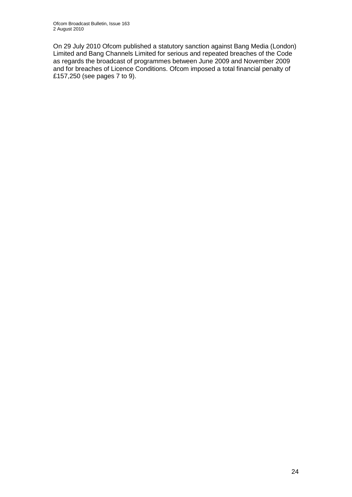On 29 July 2010 Ofcom published a statutory sanction against Bang Media (London) Limited and Bang Channels Limited for serious and repeated breaches of the Code as regards the broadcast of programmes between June 2009 and November 2009 and for breaches of Licence Conditions. Ofcom imposed a total financial penalty of £157,250 (see pages 7 to 9).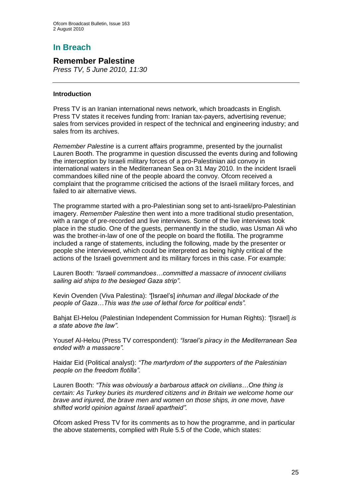# **In Breach**

## **Remember Palestine**

*Press TV, 5 June 2010, 11:30*

#### **Introduction**

Press TV is an Iranian international news network, which broadcasts in English. Press TV states it receives funding from: Iranian tax-payers, advertising revenue; sales from services provided in respect of the technical and engineering industry; and sales from its archives.

*Remember Palestine* is a current affairs programme, presented by the journalist Lauren Booth. The programme in question discussed the events during and following the interception by Israeli military forces of a pro-Palestinian aid convoy in international waters in the Mediterranean Sea on 31 May 2010. In the incident Israeli commandoes killed nine of the people aboard the convoy. Ofcom received a complaint that the programme criticised the actions of the Israeli military forces, and failed to air alternative views.

The programme started with a pro-Palestinian song set to anti-Israeli/pro-Palestinian imagery. *Remember Palestine* then went into a more traditional studio presentation, with a range of pre-recorded and live interviews. Some of the live interviews took place in the studio. One of the guests, permanently in the studio, was Usman Ali who was the brother-in-law of one of the people on board the flotilla. The programme included a range of statements, including the following, made by the presenter or people she interviewed, which could be interpreted as being highly critical of the actions of the Israeli government and its military forces in this case. For example:

Lauren Booth: *"Israeli commandoes…committed a massacre of innocent civilians sailing aid ships to the besieged Gaza strip"*.

Kevin Ovenden (Viva Palestina): *"*[Israel"s] *inhuman and illegal blockade of the people of Gaza…This was the use of lethal force for political ends".*

Bahjat El-Helou (Palestinian Independent Commission for Human Rights): *"*[Israel] *is a state above the law"*.

Yousef Al-Helou (Press TV correspondent): *"Israel"s piracy in the Mediterranean Sea ended with a massacre".*

Haidar Eid (Political analyst): *"The martyrdom of the supporters of the Palestinian people on the freedom flotilla".*

Lauren Booth: *"This was obviously a barbarous attack on civilians…One thing is certain: As Turkey buries its murdered citizens and in Britain we welcome home our brave and injured, the brave men and women on those ships, in one move, have shifted world opinion against Israeli apartheid".*

Ofcom asked Press TV for its comments as to how the programme, and in particular the above statements, complied with Rule 5.5 of the Code, which states: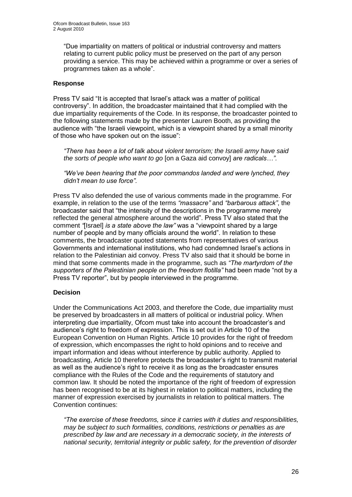"Due impartiality on matters of political or industrial controversy and matters relating to current public policy must be preserved on the part of any person providing a service. This may be achieved within a programme or over a series of programmes taken as a whole".

#### **Response**

Press TV said "It is accepted that Israel"s attack was a matter of political controversy". In addition, the broadcaster maintained that it had complied with the due impartiality requirements of the Code. In its response, the broadcaster pointed to the following statements made by the presenter Lauren Booth, as providing the audience with "the Israeli viewpoint, which is a viewpoint shared by a small minority of those who have spoken out on the issue":

*"There has been a lot of talk about violent terrorism; the Israeli army have said the sorts of people who want to go* [on a Gaza aid convoy] *are radicals…".* 

*"We"ve been hearing that the poor commandos landed and were lynched, they didn"t mean to use force".*

Press TV also defended the use of various comments made in the programme. For example, in relation to the use of the terms *"massacre"* and *"barbarous attack"*, the broadcaster said that "the intensity of the descriptions in the programme merely reflected the general atmosphere around the world". Press TV also stated that the comment *"*[Israel] *is a state above the law"* was a "viewpoint shared by a large number of people and by many officials around the world". In relation to these comments, the broadcaster quoted statements from representatives of various Governments and international institutions, who had condemned Israel"s actions in relation to the Palestinian aid convoy. Press TV also said that it should be borne in mind that some comments made in the programme, such as *"The martyrdom of the supporters of the Palestinian people on the freedom flotilla"* had been made "not by a Press TV reporter", but by people interviewed in the programme.

#### **Decision**

Under the Communications Act 2003, and therefore the Code, due impartiality must be preserved by broadcasters in all matters of political or industrial policy. When interpreting due impartiality, Ofcom must take into account the broadcaster"s and audience"s right to freedom of expression. This is set out in Article 10 of the European Convention on Human Rights. Article 10 provides for the right of freedom of expression, which encompasses the right to hold opinions and to receive and impart information and ideas without interference by public authority. Applied to broadcasting, Article 10 therefore protects the broadcaster"s right to transmit material as well as the audience"s right to receive it as long as the broadcaster ensures compliance with the Rules of the Code and the requirements of statutory and common law. It should be noted the importance of the right of freedom of expression has been recognised to be at its highest in relation to political matters, including the manner of expression exercised by journalists in relation to political matters. The Convention continues:

*"The exercise of these freedoms, since it carries with it duties and responsibilities, may be subject to such formalities, conditions, restrictions or penalties as are prescribed by law and are necessary in a democratic society, in the interests of national security, territorial integrity or public safety, for the prevention of disorder*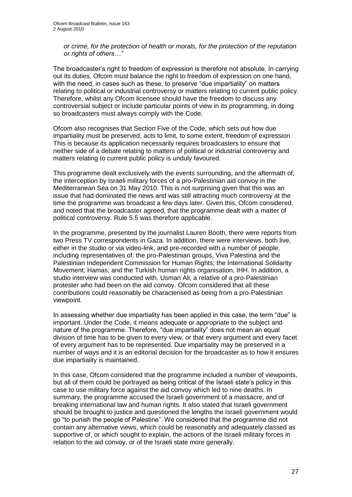*or crime, for the protection of health or morals, for the protection of the reputation or rights of others…"* 

The broadcaster"s right to freedom of expression is therefore not absolute. In carrying out its duties, Ofcom must balance the right to freedom of expression on one hand, with the need, in cases such as these, to preserve "due impartiality" on matters relating to political or industrial controversy or matters relating to current public policy. Therefore, whilst any Ofcom licensee should have the freedom to discuss any controversial subject or include particular points of view in its programming, in doing so broadcasters must always comply with the Code.

Ofcom also recognises that Section Five of the Code, which sets out how due impartiality must be preserved, acts to limit, to some extent, freedom of expression. This is because its application necessarily requires broadcasters to ensure that neither side of a debate relating to matters of political or industrial controversy and matters relating to current public policy is unduly favoured.

This programme dealt exclusively with the events surrounding, and the aftermath of, the interception by Israeli military forces of a pro-Palestinian aid convoy in the Mediterranean Sea on 31 May 2010. This is not surprising given that this was an issue that had dominated the news and was still attracting much controversy at the time the programme was broadcast a few days later. Given this, Ofcom considered, and noted that the broadcaster agreed, that the programme dealt with a matter of political controversy. Rule 5.5 was therefore applicable.

In the programme, presented by the journalist Lauren Booth, there were reports from two Press TV correspondents in Gaza. In addition, there were interviews, both live, either in the studio or via video-link, and pre-recorded with a number of people, including representatives of: the pro-Palestinian groups, Viva Palestina and the Palestinian Independent Commission for Human Rights; the International Solidarity Movement; Hamas; and the Turkish human rights organisation, IHH. In addition, a studio interview was conducted with, Usman Ali, a relative of a pro-Palestinian protester who had been on the aid convoy. Ofcom considered that all these contributions could reasonably be characterised as being from a pro-Palestinian viewpoint.

In assessing whether due impartiality has been applied in this case, the term "due" is important. Under the Code, it means adequate or appropriate to the subject and nature of the programme. Therefore, "due impartiality" does not mean an equal division of time has to be given to every view, or that every argument and every facet of every argument has to be represented. Due impartiality may be preserved in a number of ways and it is an editorial decision for the broadcaster as to how it ensures due impartiality is maintained.

In this case, Ofcom considered that the programme included a number of viewpoints, but all of them could be portrayed as being critical of the Israeli state"s policy in this case to use military force against the aid convoy which led to nine deaths. In summary, the programme accused the Israeli government of a massacre, and of breaking international law and human rights. It also stated that Israeli government should be brought to justice and questioned the lengths the Israeli government would go "to punish the people of Palestine". We considered that the programme did not contain any alternative views, which could be reasonably and adequately classed as supportive of, or which sought to explain, the actions of the Israeli military forces in relation to the aid convoy, or of the Israeli state more generally.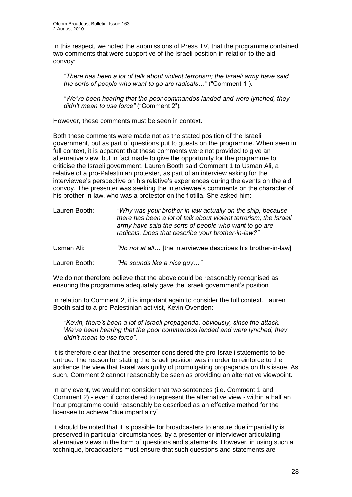In this respect, we noted the submissions of Press TV, that the programme contained two comments that were supportive of the Israeli position in relation to the aid convoy:

*"There has been a lot of talk about violent terrorism; the Israeli army have said the sorts of people who want to go are radicals…"* ("Comment 1")*.* 

*"We"ve been hearing that the poor commandos landed and were lynched, they didn"t mean to use force"* ("Comment 2")*.*

However, these comments must be seen in context.

Both these comments were made not as the stated position of the Israeli government, but as part of questions put to guests on the programme. When seen in full context, it is apparent that these comments were not provided to give an alternative view, but in fact made to give the opportunity for the programme to criticise the Israeli government. Lauren Booth said Comment 1 to Usman Ali, a relative of a pro-Palestinian protester, as part of an interview asking for the interviewee"s perspective on his relative"s experiences during the events on the aid convoy. The presenter was seeking the interviewee"s comments on the character of his brother-in-law, who was a protestor on the flotilla. She asked him:

| Lauren Booth: | "Why was your brother-in-law actually on the ship, because<br>there has been a lot of talk about violent terrorism; the Israeli<br>army have said the sorts of people who want to go are<br>radicals. Does that describe your brother-in-law?" |
|---------------|------------------------------------------------------------------------------------------------------------------------------------------------------------------------------------------------------------------------------------------------|
| Usman Ali:    | "No not at all"[the interviewee describes his brother-in-law]                                                                                                                                                                                  |
| Lauren Booth: | "He sounds like a nice guy"                                                                                                                                                                                                                    |

We do not therefore believe that the above could be reasonably recognised as ensuring the programme adequately gave the Israeli government's position.

In relation to Comment 2, it is important again to consider the full context. Lauren Booth said to a pro-Palestinian activist, Kevin Ovenden:

"*Kevin, there"s been a lot of Israeli propaganda, obviously, since the attack. We"ve been hearing that the poor commandos landed and were lynched, they didn"t mean to use force"*.

It is therefore clear that the presenter considered the pro-Israeli statements to be untrue. The reason for stating the Israeli position was in order to reinforce to the audience the view that Israel was guilty of promulgating propaganda on this issue. As such, Comment 2 cannot reasonably be seen as providing an alternative viewpoint.

In any event, we would not consider that two sentences (i.e. Comment 1 and Comment 2) - even if considered to represent the alternative view - within a half an hour programme could reasonably be described as an effective method for the licensee to achieve "due impartiality".

It should be noted that it is possible for broadcasters to ensure due impartiality is preserved in particular circumstances, by a presenter or interviewer articulating alternative views in the form of questions and statements. However, in using such a technique, broadcasters must ensure that such questions and statements are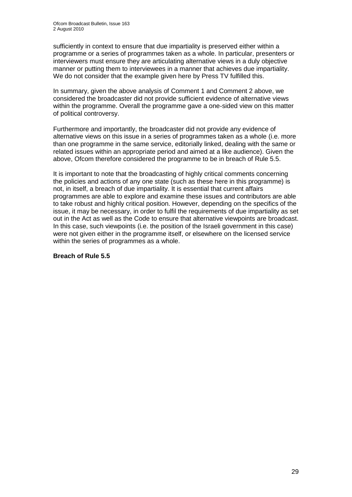sufficiently in context to ensure that due impartiality is preserved either within a programme or a series of programmes taken as a whole. In particular, presenters or interviewers must ensure they are articulating alternative views in a duly objective manner or putting them to interviewees in a manner that achieves due impartiality. We do not consider that the example given here by Press TV fulfilled this.

In summary, given the above analysis of Comment 1 and Comment 2 above, we considered the broadcaster did not provide sufficient evidence of alternative views within the programme. Overall the programme gave a one-sided view on this matter of political controversy.

Furthermore and importantly, the broadcaster did not provide any evidence of alternative views on this issue in a series of programmes taken as a whole (i.e. more than one programme in the same service, editorially linked, dealing with the same or related issues within an appropriate period and aimed at a like audience). Given the above, Ofcom therefore considered the programme to be in breach of Rule 5.5.

It is important to note that the broadcasting of highly critical comments concerning the policies and actions of any one state (such as these here in this programme) is not, in itself, a breach of due impartiality. It is essential that current affairs programmes are able to explore and examine these issues and contributors are able to take robust and highly critical position. However, depending on the specifics of the issue, it may be necessary, in order to fulfil the requirements of due impartiality as set out in the Act as well as the Code to ensure that alternative viewpoints are broadcast. In this case, such viewpoints (i.e. the position of the Israeli government in this case) were not given either in the programme itself, or elsewhere on the licensed service within the series of programmes as a whole.

#### **Breach of Rule 5.5**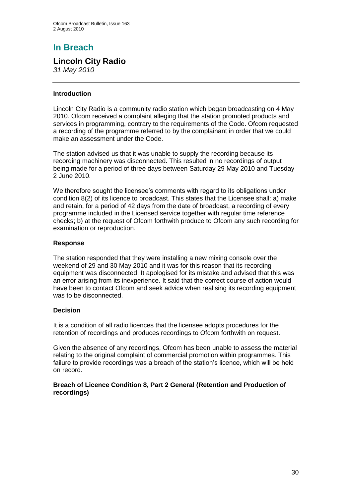# **In Breach**

## **Lincoln City Radio**

*31 May 2010* 

#### **Introduction**

Lincoln City Radio is a community radio station which began broadcasting on 4 May 2010. Ofcom received a complaint alleging that the station promoted products and services in programming, contrary to the requirements of the Code. Ofcom requested a recording of the programme referred to by the complainant in order that we could make an assessment under the Code.

The station advised us that it was unable to supply the recording because its recording machinery was disconnected. This resulted in no recordings of output being made for a period of three days between Saturday 29 May 2010 and Tuesday 2 June 2010.

We therefore sought the licensee's comments with regard to its obligations under condition 8(2) of its licence to broadcast. This states that the Licensee shall: a) make and retain, for a period of 42 days from the date of broadcast, a recording of every programme included in the Licensed service together with regular time reference checks; b) at the request of Ofcom forthwith produce to Ofcom any such recording for examination or reproduction.

#### **Response**

The station responded that they were installing a new mixing console over the weekend of 29 and 30 May 2010 and it was for this reason that its recording equipment was disconnected. It apologised for its mistake and advised that this was an error arising from its inexperience. It said that the correct course of action would have been to contact Ofcom and seek advice when realising its recording equipment was to be disconnected.

#### **Decision**

It is a condition of all radio licences that the licensee adopts procedures for the retention of recordings and produces recordings to Ofcom forthwith on request.

Given the absence of any recordings, Ofcom has been unable to assess the material relating to the original complaint of commercial promotion within programmes. This failure to provide recordings was a breach of the station's licence, which will be held on record.

#### **Breach of Licence Condition 8, Part 2 General (Retention and Production of recordings)**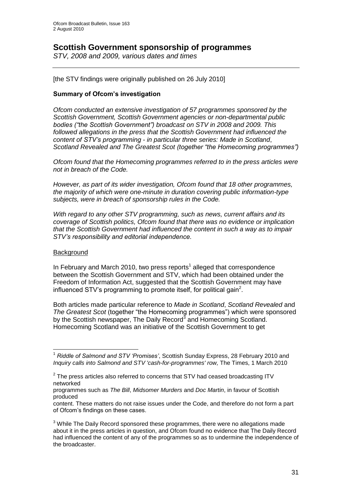## **Scottish Government sponsorship of programmes**

*STV, 2008 and 2009, various dates and times*

[the STV findings were originally published on 26 July 2010]

#### **Summary of Ofcom's investigation**

*Ofcom conducted an extensive investigation of 57 programmes sponsored by the Scottish Government, Scottish Government agencies or non-departmental public bodies ("the Scottish Government") broadcast on STV in 2008 and 2009. This followed allegations in the press that the Scottish Government had influenced the content of STV"s programming - in particular three series: Made in Scotland*, *Scotland Revealed and The Greatest Scot (together "the Homecoming programmes")*

*Ofcom found that the Homecoming programmes referred to in the press articles were not in breach of the Code.* 

*However, as part of its wider investigation, Ofcom found that 18 other programmes, the majority of which were one-minute in duration covering public information-type subjects, were in breach of sponsorship rules in the Code.*

*With regard to any other STV programming, such as news, current affairs and its coverage of Scottish politics, Ofcom found that there was no evidence or implication that the Scottish Government had influenced the content in such a way as to impair STV"s responsibility and editorial independence.* 

#### **Background**

In February and March 2010, two press reports<sup>1</sup> alleged that correspondence between the Scottish Government and STV, which had been obtained under the Freedom of Information Act, suggested that the Scottish Government may have influenced STV's programming to promote itself, for political gain<sup>2</sup>.

Both articles made particular reference to *Made in Scotland*, *Scotland Revealed* and *The Greatest Scot* (together "the Homecoming programmes") which were sponsored by the Scottish newspaper, The Daily Record<sup>3</sup> and Homecoming Scotland. Homecoming Scotland was an initiative of the Scottish Government to get

<sup>1</sup> <sup>1</sup> *Riddle of Salmond and STV "Promises"*, Scottish Sunday Express, 28 February 2010 and *Inquiry calls into Salmond and STV 'cash-for-programmes' row,* The Times, 1 March 2010

 $2$  The press articles also referred to concerns that STV had ceased broadcasting ITV networked

programmes such as *The Bill*, *Midsomer Murders* and *Doc Martin*, in favour of Scottish produced

content. These matters do not raise issues under the Code, and therefore do not form a part of Ofcom"s findings on these cases.

 $3$  While The Daily Record sponsored these programmes, there were no allegations made about it in the press articles in question, and Ofcom found no evidence that The Daily Record had influenced the content of any of the programmes so as to undermine the independence of the broadcaster.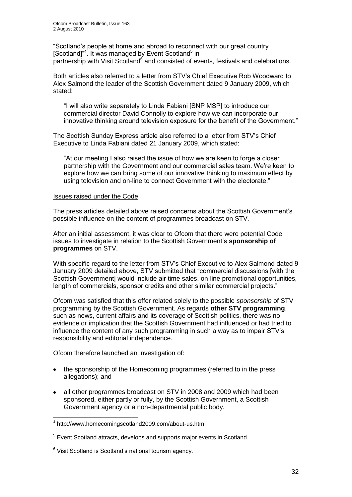"Scotland"s people at home and abroad to reconnect with our great country [Scotland]<sup>"4</sup>. It was managed by Event Scotland<sup>5</sup> in partnership with Visit Scotland<sup>6</sup> and consisted of events, festivals and celebrations.

Both articles also referred to a letter from STV"s Chief Executive Rob Woodward to Alex Salmond the leader of the Scottish Government dated 9 January 2009, which stated:

"I will also write separately to Linda Fabiani [SNP MSP] to introduce our commercial director David Connolly to explore how we can incorporate our innovative thinking around television exposure for the benefit of the Government."

The Scottish Sunday Express article also referred to a letter from STV"s Chief Executive to Linda Fabiani dated 21 January 2009, which stated:

"At our meeting I also raised the issue of how we are keen to forge a closer partnership with the Government and our commercial sales team. We"re keen to explore how we can bring some of our innovative thinking to maximum effect by using television and on-line to connect Government with the electorate."

#### Issues raised under the Code

The press articles detailed above raised concerns about the Scottish Government"s possible influence on the content of programmes broadcast on STV.

After an initial assessment, it was clear to Ofcom that there were potential Code issues to investigate in relation to the Scottish Government"s **sponsorship of programmes** on STV.

With specific regard to the letter from STV"s Chief Executive to Alex Salmond dated 9 January 2009 detailed above, STV submitted that "commercial discussions [with the Scottish Governmentl would include air time sales, on-line promotional opportunities, length of commercials, sponsor credits and other similar commercial projects."

Ofcom was satisfied that this offer related solely to the possible *sponsorship* of STV programming by the Scottish Government. As regards **other STV programming**, such as news, current affairs and its coverage of Scottish politics, there was no evidence or implication that the Scottish Government had influenced or had tried to influence the content of any such programming in such a way as to impair STV"s responsibility and editorial independence.

Ofcom therefore launched an investigation of:

- the sponsorship of the Homecoming programmes (referred to in the press allegations); and
- all other programmes broadcast on STV in 2008 and 2009 which had been sponsored, either partly or fully, by the Scottish Government, a Scottish Government agency or a non-departmental public body.

1

<sup>4</sup> http://www.homecomingscotland2009.com/about-us.html

<sup>&</sup>lt;sup>5</sup> Event Scotland attracts, develops and supports major events in Scotland.

<sup>&</sup>lt;sup>6</sup> Visit Scotland is Scotland's national tourism agency.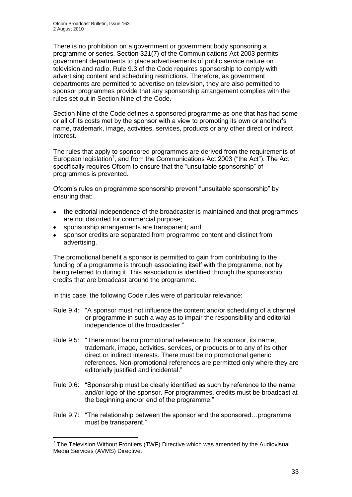There is no prohibition on a government or government body sponsoring a programme or series. Section 321(7) of the Communications Act 2003 permits government departments to place advertisements of public service nature on television and radio. Rule 9.3 of the Code requires sponsorship to comply with advertising content and scheduling restrictions. Therefore, as government departments are permitted to advertise on television, they are also permitted to sponsor programmes provide that any sponsorship arrangement complies with the rules set out in Section Nine of the Code.

Section Nine of the Code defines a sponsored programme as one that has had some or all of its costs met by the sponsor with a view to promoting its own or another"s name, trademark, image, activities, services, products or any other direct or indirect interest.

The rules that apply to sponsored programmes are derived from the requirements of European legislation<sup>7</sup>, and from the Communications Act 2003 ("the Act"). The Act specifically requires Ofcom to ensure that the "unsuitable sponsorship" of programmes is prevented.

Ofcom"s rules on programme sponsorship prevent "unsuitable sponsorship" by ensuring that:

- the editorial independence of the broadcaster is maintained and that programmes are not distorted for commercial purpose;
- sponsorship arrangements are transparent; and

1

sponsor credits are separated from programme content and distinct from advertising.

The promotional benefit a sponsor is permitted to gain from contributing to the funding of a programme is through associating itself with the programme, not by being referred to during it. This association is identified through the sponsorship credits that are broadcast around the programme.

In this case, the following Code rules were of particular relevance:

- Rule 9.4: "A sponsor must not influence the content and/or scheduling of a channel or programme in such a way as to impair the responsibility and editorial independence of the broadcaster."
- Rule 9.5: "There must be no promotional reference to the sponsor, its name, trademark, image, activities, services, or products or to any of its other direct or indirect interests. There must be no promotional generic references. Non-promotional references are permitted only where they are editorially justified and incidental."
- Rule 9.6: "Sponsorship must be clearly identified as such by reference to the name and/or logo of the sponsor. For programmes, credits must be broadcast at the beginning and/or end of the programme."
- Rule 9.7: "The relationship between the sponsor and the sponsored…programme must be transparent."

 $7$  The Television Without Frontiers (TWF) Directive which was amended by the Audiovisual Media Services (AVMS) Directive.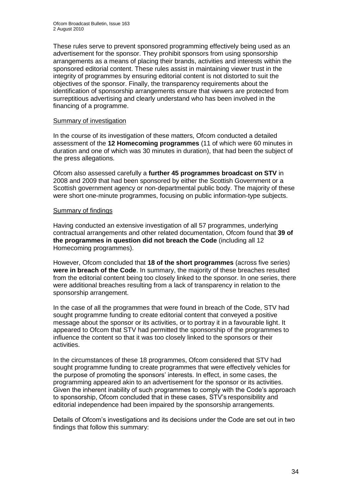These rules serve to prevent sponsored programming effectively being used as an advertisement for the sponsor. They prohibit sponsors from using sponsorship arrangements as a means of placing their brands, activities and interests within the sponsored editorial content. These rules assist in maintaining viewer trust in the integrity of programmes by ensuring editorial content is not distorted to suit the objectives of the sponsor. Finally, the transparency requirements about the identification of sponsorship arrangements ensure that viewers are protected from surreptitious advertising and clearly understand who has been involved in the financing of a programme.

#### Summary of investigation

In the course of its investigation of these matters, Ofcom conducted a detailed assessment of the **12 Homecoming programmes** (11 of which were 60 minutes in duration and one of which was 30 minutes in duration), that had been the subject of the press allegations.

Ofcom also assessed carefully a **further 45 programmes broadcast on STV** in 2008 and 2009 that had been sponsored by either the Scottish Government or a Scottish government agency or non-departmental public body. The majority of these were short one-minute programmes, focusing on public information-type subjects.

#### Summary of findings

Having conducted an extensive investigation of all 57 programmes, underlying contractual arrangements and other related documentation, Ofcom found that **39 of the programmes in question did not breach the Code** (including all 12 Homecoming programmes).

However, Ofcom concluded that **18 of the short programmes** (across five series) **were in breach of the Code**. In summary, the majority of these breaches resulted from the editorial content being too closely linked to the sponsor. In one series, there were additional breaches resulting from a lack of transparency in relation to the sponsorship arrangement.

In the case of all the programmes that were found in breach of the Code, STV had sought programme funding to create editorial content that conveyed a positive message about the sponsor or its activities, or to portray it in a favourable light. It appeared to Ofcom that STV had permitted the sponsorship of the programmes to influence the content so that it was too closely linked to the sponsors or their activities.

In the circumstances of these 18 programmes, Ofcom considered that STV had sought programme funding to create programmes that were effectively vehicles for the purpose of promoting the sponsors" interests. In effect, in some cases, the programming appeared akin to an advertisement for the sponsor or its activities. Given the inherent inability of such programmes to comply with the Code"s approach to sponsorship, Ofcom concluded that in these cases, STV"s responsibility and editorial independence had been impaired by the sponsorship arrangements.

Details of Ofcom"s investigations and its decisions under the Code are set out in two findings that follow this summary: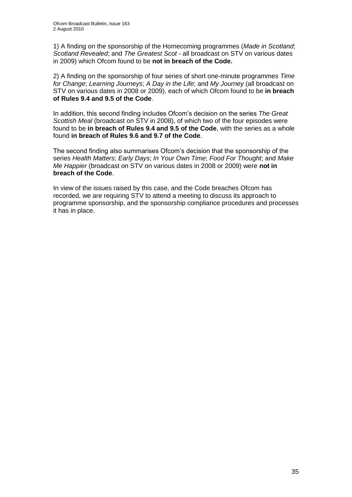1) A finding on the sponsorship of the Homecoming programmes (*Made in Scotland*; *Scotland Revealed*; and *The Greatest Scot -* all broadcast on STV on various dates in 2009) which Ofcom found to be **not in breach of the Code.**

2) A finding on the sponsorship of four series of short one-minute programmes *Time for Change*; *Learning Journeys*; *A Day in the Life*; and *My Journey* (all broadcast on STV on various dates in 2008 or 2009), each of which Ofcom found to be **in breach of Rules 9.4 and 9.5 of the Code**.

In addition, this second finding includes Ofcom"s decision on the series *The Great Scottish Meal* (broadcast on STV in 2008), of which two of the four episodes were found to be **in breach of Rules 9.4 and 9.5 of the Code**, with the series as a whole found **in breach of Rules 9.6 and 9.7 of the Code**.

The second finding also summarises Ofcom"s decision that the sponsorship of the series *Health Matters*; *Early Days*; *In Your Own Time*; *Food For Thought*; and *Make Me Happier* (broadcast on STV on various dates in 2008 or 2009) were **not in breach of the Code**.

In view of the issues raised by this case, and the Code breaches Ofcom has recorded, we are requiring STV to attend a meeting to discuss its approach to programme sponsorship, and the sponsorship compliance procedures and processes it has in place.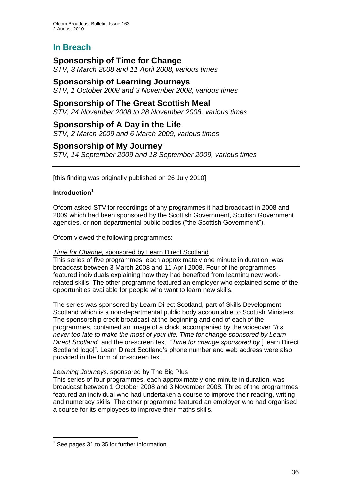# **In Breach**

## **Sponsorship of Time for Change**

*STV, 3 March 2008 and 11 April 2008, various times*

### **Sponsorship of Learning Journeys**

*STV, 1 October 2008 and 3 November 2008, various times*

## **Sponsorship of The Great Scottish Meal**

*STV, 24 November 2008 to 28 November 2008, various times*

#### **Sponsorship of A Day in the Life**

*STV, 2 March 2009 and 6 March 2009, various times*

#### **Sponsorship of My Journey**

*STV, 14 September 2009 and 18 September 2009, various times*

[this finding was originally published on 26 July 2010]

#### **Introduction<sup>1</sup>**

Ofcom asked STV for recordings of any programmes it had broadcast in 2008 and 2009 which had been sponsored by the Scottish Government, Scottish Government agencies, or non-departmental public bodies ("the Scottish Government").

Ofcom viewed the following programmes:

#### *Time for Change,* sponsored by Learn Direct Scotland

This series of five programmes, each approximately one minute in duration, was broadcast between 3 March 2008 and 11 April 2008. Four of the programmes featured individuals explaining how they had benefited from learning new workrelated skills. The other programme featured an employer who explained some of the opportunities available for people who want to learn new skills.

The series was sponsored by Learn Direct Scotland, part of Skills Development Scotland which is a non-departmental public body accountable to Scottish Ministers. The sponsorship credit broadcast at the beginning and end of each of the programmes, contained an image of a clock, accompanied by the voiceover *"It"s never too late to make the most of your life. Time for change sponsored by Learn Direct Scotland"* and the on-screen text, *"Time for change sponsored by* [Learn Direct Scotland logo]". Learn Direct Scotland"s phone number and web address were also provided in the form of on-screen text.

#### *Learning Journeys,* sponsored by The Big Plus

This series of four programmes, each approximately one minute in duration, was broadcast between 1 October 2008 and 3 November 2008. Three of the programmes featured an individual who had undertaken a course to improve their reading, writing and numeracy skills. The other programme featured an employer who had organised a course for its employees to improve their maths skills.

1

 $<sup>1</sup>$  See pages 31 to 35 for further information.</sup>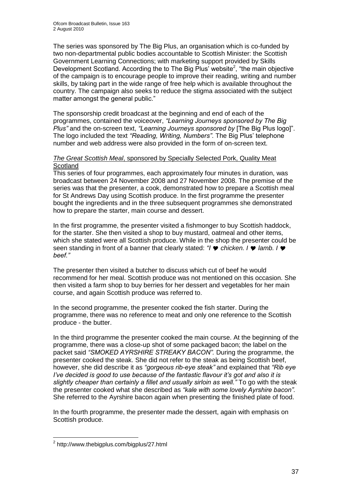The series was sponsored by The Big Plus, an organisation which is co-funded by two non-departmental public bodies accountable to Scottish Minister: the Scottish Government Learning Connections; with marketing support provided by Skills Development Scotland. According the to The Big Plus' website<sup>2</sup>, "the main objective of the campaign is to encourage people to improve their reading, writing and number skills, by taking part in the wide range of free help which is available throughout the country. The campaign also seeks to reduce the stigma associated with the subject matter amongst the general public."

The sponsorship credit broadcast at the beginning and end of each of the programmes, contained the voiceover, *"Learning Journeys sponsored by The Big Plus"* and the on-screen text, *"Learning Journeys sponsored by* [The Big Plus logo]". The logo included the text *"Reading, Writing, Numbers"*. The Big Plus" telephone number and web address were also provided in the form of on-screen text.

#### *The Great Scottish Meal*, sponsored by Specially Selected Pork, Quality Meat **Scotland**

This series of four programmes, each approximately four minutes in duration, was broadcast between 24 November 2008 and 27 November 2008. The premise of the series was that the presenter, a cook, demonstrated how to prepare a Scottish meal for St Andrews Day using Scottish produce. In the first programme the presenter bought the ingredients and in the three subsequent programmes she demonstrated how to prepare the starter, main course and dessert.

In the first programme, the presenter visited a fishmonger to buy Scottish haddock, for the starter. She then visited a shop to buy mustard, oatmeal and other items, which she stated were all Scottish produce. While in the shop the presenter could be seen standing in front of a banner that clearly stated: "I  $\bullet$  chicken. I  $\bullet$  lamb. I  $\bullet$ *beef."*

The presenter then visited a butcher to discuss which cut of beef he would recommend for her meal. Scottish produce was not mentioned on this occasion. She then visited a farm shop to buy berries for her dessert and vegetables for her main course, and again Scottish produce was referred to.

In the second programme, the presenter cooked the fish starter. During the programme, there was no reference to meat and only one reference to the Scottish produce - the butter.

In the third programme the presenter cooked the main course. At the beginning of the programme, there was a close-up shot of some packaged bacon; the label on the packet said *"SMOKED AYRSHIRE STREAKY BACON".* During the programme, the presenter cooked the steak. She did not refer to the steak as being Scottish beef, however, she did describe it as *"gorgeous rib-eye steak"* and explained that *"Rib eye I've decided is good to use because of the fantastic flavour it's got and also it is slightly cheaper than certainly a fillet and usually sirloin as well."* To go with the steak the presenter cooked what she described as *"kale with some lovely Ayrshire bacon".*  She referred to the Ayrshire bacon again when presenting the finished plate of food.

In the fourth programme, the presenter made the dessert, again with emphasis on Scottish produce.

1

<sup>&</sup>lt;sup>2</sup> http://www.thebigplus.com/bigplus/27.html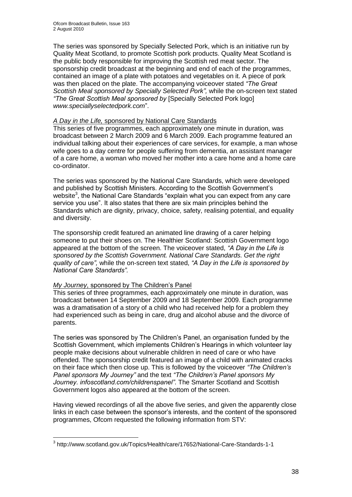The series was sponsored by Specially Selected Pork, which is an initiative run by Quality Meat Scotland, to promote Scottish pork products. Quality Meat Scotland is the public body responsible for improving the Scottish red meat sector. The sponsorship credit broadcast at the beginning and end of each of the programmes, contained an image of a plate with potatoes and vegetables on it. A piece of pork was then placed on the plate. The accompanying voiceover stated *"The Great Scottish Meal sponsored by Specially Selected Pork",* while the on-screen text stated *"The Great Scottish Meal sponsored by* [Specially Selected Pork logo] *www.speciallyselectedpork.com*".

#### *A Day in the Life,* sponsored by National Care Standards

This series of five programmes, each approximately one minute in duration, was broadcast between 2 March 2009 and 6 March 2009. Each programme featured an individual talking about their experiences of care services, for example, a man whose wife goes to a day centre for people suffering from dementia, an assistant manager of a care home, a woman who moved her mother into a care home and a home care co-ordinator.

The series was sponsored by the National Care Standards, which were developed and published by Scottish Ministers. According to the Scottish Government"s website<sup>3</sup>, the National Care Standards "explain what you can expect from any care service you use". It also states that there are six main principles behind the Standards which are dignity, privacy, choice, safety, realising potential, and equality and diversity.

The sponsorship credit featured an animated line drawing of a carer helping someone to put their shoes on. The Healthier Scotland: Scottish Government logo appeared at the bottom of the screen. The voiceover stated, *"A Day in the Life is sponsored by the Scottish Government. National Care Standards. Get the right quality of care",* while the on-screen text stated, *"A Day in the Life is sponsored by National Care Standards".*

#### *My Journey*, sponsored by The Children"s Panel

1

This series of three programmes, each approximately one minute in duration, was broadcast between 14 September 2009 and 18 September 2009. Each programme was a dramatisation of a story of a child who had received help for a problem they had experienced such as being in care, drug and alcohol abuse and the divorce of parents.

The series was sponsored by The Children"s Panel, an organisation funded by the Scottish Government, which implements Children"s Hearings in which volunteer lay people make decisions about vulnerable children in need of care or who have offended. The sponsorship credit featured an image of a child with animated cracks on their face which then close up. This is followed by the voiceover *"The Children"s Panel sponsors My Journey"* and the text *"The Children"s Panel sponsors My Journey. infoscotland.com/childrenspanel"*. The Smarter Scotland and Scottish Government logos also appeared at the bottom of the screen.

Having viewed recordings of all the above five series, and given the apparently close links in each case between the sponsor"s interests, and the content of the sponsored programmes, Ofcom requested the following information from STV:

<sup>&</sup>lt;sup>3</sup> http://www.scotland.gov.uk/Topics/Health/care/17652/National-Care-Standards-1-1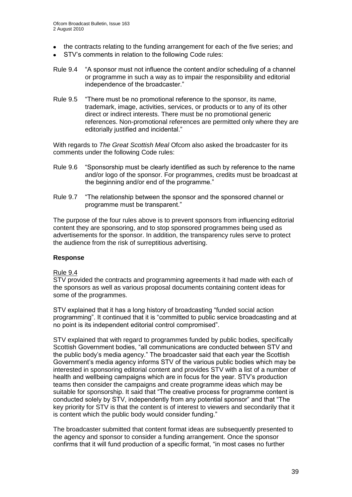- the contracts relating to the funding arrangement for each of the five series; and
- STV"s comments in relation to the following Code rules:
- Rule 9.4 "A sponsor must not influence the content and/or scheduling of a channel or programme in such a way as to impair the responsibility and editorial independence of the broadcaster."
- Rule 9.5 "There must be no promotional reference to the sponsor, its name, trademark, image, activities, services, or products or to any of its other direct or indirect interests. There must be no promotional generic references. Non-promotional references are permitted only where they are editorially justified and incidental."

With regards to *The Great Scottish Meal* Ofcom also asked the broadcaster for its comments under the following Code rules:

- Rule 9.6 "Sponsorship must be clearly identified as such by reference to the name and/or logo of the sponsor. For programmes, credits must be broadcast at the beginning and/or end of the programme."
- Rule 9.7 "The relationship between the sponsor and the sponsored channel or programme must be transparent."

The purpose of the four rules above is to prevent sponsors from influencing editorial content they are sponsoring, and to stop sponsored programmes being used as advertisements for the sponsor. In addition, the transparency rules serve to protect the audience from the risk of surreptitious advertising.

#### **Response**

#### Rule 9.4

STV provided the contracts and programming agreements it had made with each of the sponsors as well as various proposal documents containing content ideas for some of the programmes.

STV explained that it has a long history of broadcasting "funded social action programming". It continued that it is "committed to public service broadcasting and at no point is its independent editorial control compromised".

STV explained that with regard to programmes funded by public bodies, specifically Scottish Government bodies, "all communications are conducted between STV and the public body"s media agency." The broadcaster said that each year the Scottish Government"s media agency informs STV of the various public bodies which may be interested in sponsoring editorial content and provides STV with a list of a number of health and wellbeing campaigns which are in focus for the year. STV"s production teams then consider the campaigns and create programme ideas which may be suitable for sponsorship. It said that "The creative process for programme content is conducted solely by STV, independently from any potential sponsor" and that "The key priority for STV is that the content is of interest to viewers and secondarily that it is content which the public body would consider funding."

The broadcaster submitted that content format ideas are subsequently presented to the agency and sponsor to consider a funding arrangement. Once the sponsor confirms that it will fund production of a specific format, "in most cases no further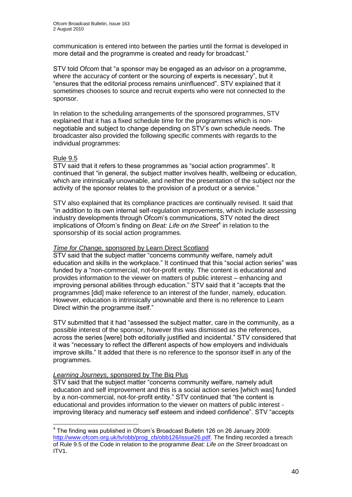communication is entered into between the parties until the format is developed in more detail and the programme is created and ready for broadcast."

STV told Ofcom that "a sponsor may be engaged as an advisor on a programme, where the accuracy of content or the sourcing of experts is necessary", but it "ensures that the editorial process remains uninfluenced". STV explained that it sometimes chooses to source and recruit experts who were not connected to the sponsor.

In relation to the scheduling arrangements of the sponsored programmes, STV explained that it has a fixed schedule time for the programmes which is nonnegotiable and subject to change depending on STV"s own schedule needs. The broadcaster also provided the following specific comments with regards to the individual programmes:

#### Rule 9.5

STV said that it refers to these programmes as "social action programmes". It continued that "in general, the subject matter involves health, wellbeing or education, which are intrinsically unownable, and neither the presentation of the subject nor the activity of the sponsor relates to the provision of a product or a service."

STV also explained that its compliance practices are continually revised. It said that "in addition to its own internal self-regulation improvements, which include assessing industry developments through Ofcom"s communications, STV noted the direct implications of Ofcom's finding on *Beat: Life on the Street<sup>4</sup>* in relation to the sponsorship of its social action programmes.

#### *Time for Change,* sponsored by Learn Direct Scotland

STV said that the subject matter "concerns community welfare, namely adult education and skills in the workplace." It continued that this "social action series" was funded by a "non-commercial, not-for-profit entity. The content is educational and provides information to the viewer on matters of public interest – enhancing and improving personal abilities through education." STV said that it "accepts that the programmes [did] make reference to an interest of the funder, namely, education. However, education is intrinsically unownable and there is no reference to Learn Direct within the programme itself."

STV submitted that it had "assessed the subject matter, care in the community, as a possible interest of the sponsor, however this was dismissed as the references, across the series [were] both editorially justified and incidental." STV considered that it was "necessary to reflect the different aspects of how employers and individuals improve skills." It added that there is no reference to the sponsor itself in any of the programmes.

#### *Learning Journeys,* sponsored by The Big Plus

STV said that the subject matter "concerns community welfare, namely adult education and self improvement and this is a social action series [which was] funded by a non-commercial, not-for-profit entity." STV continued that "the content is educational and provides information to the viewer on matters of public interest improving literacy and numeracy self esteem and indeed confidence". STV "accepts

 4 The finding was published in Ofcom"s Broadcast Bulletin 126 on 26 January 2009: [http://www.ofcom.org.uk/tv/obb/prog\\_cb/obb126/issue26.pdf.](http://www.ofcom.org.uk/tv/obb/prog_cb/obb126/issue26.pdf) The finding recorded a breach of Rule 9.5 of the Code in relation to the programme *Beat: Life on the Street* broadcast on ITV1.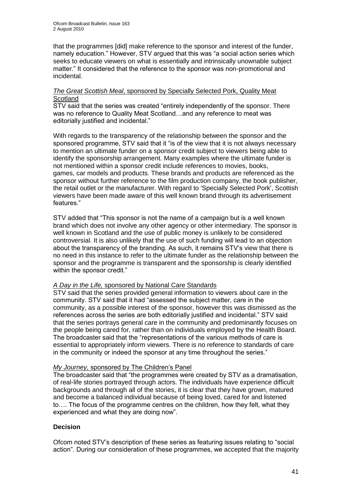that the programmes [did] make reference to the sponsor and interest of the funder, namely education." However, STV argued that this was "a social action series which seeks to educate viewers on what is essentially and intrinsically unownable subject matter." It considered that the reference to the sponsor was non-promotional and incidental.

#### *The Great Scottish Meal*, sponsored by Specially Selected Pork, Quality Meat **Scotland**

STV said that the series was created "entirely independently of the sponsor. There was no reference to Quality Meat Scotland…and any reference to meat was editorially justified and incidental."

With regards to the transparency of the relationship between the sponsor and the sponsored programme, STV said that it "is of the view that it is not always necessary to mention an ultimate funder on a sponsor credit subject to viewers being able to identify the sponsorship arrangement. Many examples where the ultimate funder is not mentioned within a sponsor credit include references to movies, books, games, car models and products. These brands and products are referenced as the sponsor without further reference to the film production company, the book publisher, the retail outlet or the manufacturer. With regard to 'Specially Selected Pork', Scottish viewers have been made aware of this well known brand through its advertisement features."

STV added that "This sponsor is not the name of a campaign but is a well known brand which does not involve any other agency or other intermediary. The sponsor is well known in Scotland and the use of public money is unlikely to be considered controversial. It is also unlikely that the use of such funding will lead to an objection about the transparency of the branding. As such, it remains STV"s view that there is no need in this instance to refer to the ultimate funder as the relationship between the sponsor and the programme is transparent and the sponsorship is clearly identified within the sponsor credit."

#### *A Day in the Life,* sponsored by National Care Standards

STV said that the series provided general information to viewers about care in the community. STV said that it had "assessed the subject matter, care in the community, as a possible interest of the sponsor, however this was dismissed as the references across the series are both editorially justified and incidental." STV said that the series portrays general care in the community and predominantly focuses on the people being cared for, rather than on individuals employed by the Health Board. The broadcaster said that the "representations of the various methods of care is essential to appropriately inform viewers. There is no reference to standards of care in the community or indeed the sponsor at any time throughout the series."

#### *My Journey*, sponsored by The Children"s Panel

The broadcaster said that "the programmes were created by STV as a dramatisation, of real-life stories portrayed through actors. The individuals have experience difficult backgrounds and through all of the stories, it is clear that they have grown, matured and become a balanced individual because of being loved, cared for and listened to…. The focus of the programme centres on the children, how they felt, what they experienced and what they are doing now".

#### **Decision**

Ofcom noted STV"s description of these series as featuring issues relating to "social action". During our consideration of these programmes, we accepted that the majority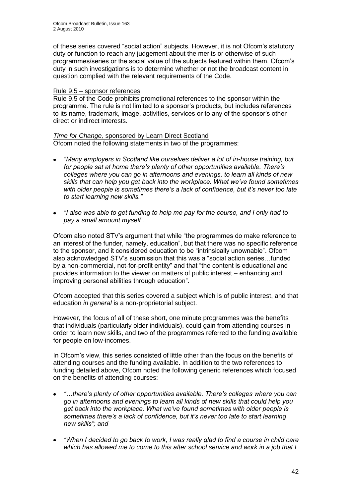of these series covered "social action" subjects. However, it is not Ofcom"s statutory duty or function to reach any judgement about the merits or otherwise of such programmes/series or the social value of the subjects featured within them. Ofcom"s duty in such investigations is to determine whether or not the broadcast content in question complied with the relevant requirements of the Code.

#### Rule 9.5 – sponsor references

Rule 9.5 of the Code prohibits promotional references to the sponsor within the programme. The rule is not limited to a sponsor's products, but includes references to its name, trademark, image, activities, services or to any of the sponsor's other direct or indirect interests.

#### *Time for Change,* sponsored by Learn Direct Scotland Ofcom noted the following statements in two of the programmes:

- *"Many employers in Scotland like ourselves deliver a lot of in-house training, but for people sat at home there"s plenty of other opportunities available. There"s colleges where you can go in afternoons and evenings, to learn all kinds of new skills that can help you get back into the workplace. What we"ve found sometimes with older people is sometimes there"s a lack of confidence, but it"s never too late to start learning new skills."*
- *"I also was able to get funding to help me pay for the course, and I only had to*   $\bullet$ *pay a small amount myself".*

Ofcom also noted STV"s argument that while "the programmes do make reference to an interest of the funder, namely, education", but that there was no specific reference to the sponsor, and it considered education to be "intrinsically unownable". Ofcom also acknowledged STV"s submission that this was a "social action series…funded by a non-commercial, not-for-profit entity" and that "the content is educational and provides information to the viewer on matters of public interest – enhancing and improving personal abilities through education".

Ofcom accepted that this series covered a subject which is of public interest, and that education *in general* is a non-proprietorial subject.

However, the focus of all of these short, one minute programmes was the benefits that individuals (particularly older individuals), could gain from attending courses in order to learn new skills, and two of the programmes referred to the funding available for people on low-incomes.

In Ofcom"s view, this series consisted of little other than the focus on the benefits of attending courses and the funding available. In addition to the two references to funding detailed above, Ofcom noted the following generic references which focused on the benefits of attending courses:

- *"…there"s plenty of other opportunities available. There"s colleges where you can go in afternoons and evenings to learn all kinds of new skills that could help you get back into the workplace. What we"ve found sometimes with older people is sometimes there"s a lack of confidence, but it"s never too late to start learning new skills"; and*
- *"When I decided to go back to work, I was really glad to find a course in child care*  $\bullet$ *which has allowed me to come to this after school service and work in a job that I*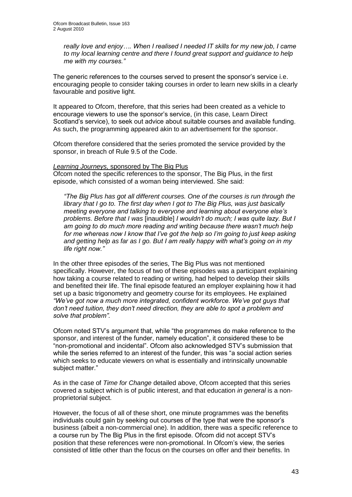*really love and enjoy…. When I realised I needed IT skills for my new job, I came to my local learning centre and there I found great support and guidance to help me with my courses."*

The generic references to the courses served to present the sponsor"s service i.e. encouraging people to consider taking courses in order to learn new skills in a clearly favourable and positive light.

It appeared to Ofcom, therefore, that this series had been created as a vehicle to encourage viewers to use the sponsor"s service, (in this case, Learn Direct Scotland"s service), to seek out advice about suitable courses and available funding. As such, the programming appeared akin to an advertisement for the sponsor.

Ofcom therefore considered that the series promoted the service provided by the sponsor, in breach of Rule 9.5 of the Code.

*Learning Journeys,* sponsored by The Big Plus Ofcom noted the specific references to the sponsor, The Big Plus, in the first episode, which consisted of a woman being interviewed. She said:

*"The Big Plus has got all different courses. One of the courses is run through the library that I go to. The first day when I got to The Big Plus, was just basically meeting everyone and talking to everyone and learning about everyone else"s problems. Before that I was* [inaudible] *I wouldn"t do much; I was quite lazy. But I am going to do much more reading and writing because there wasn"t much help for me whereas now I know that I"ve got the help so I"m going to just keep asking and getting help as far as I go. But I am really happy with what"s going on in my life right now."*

In the other three episodes of the series, The Big Plus was not mentioned specifically. However, the focus of two of these episodes was a participant explaining how taking a course related to reading or writing, had helped to develop their skills and benefited their life. The final episode featured an employer explaining how it had set up a basic trigonometry and geometry course for its employees. He explained *"We"ve got now a much more integrated, confident workforce. We"ve got guys that don"t need tuition, they don"t need direction, they are able to spot a problem and solve that problem".*

Ofcom noted STV"s argument that, while "the programmes do make reference to the sponsor, and interest of the funder, namely education", it considered these to be "non-promotional and incidental". Ofcom also acknowledged STV"s submission that while the series referred to an interest of the funder, this was "a social action series which seeks to educate viewers on what is essentially and intrinsically unownable subject matter."

As in the case of *Time for Change* detailed above, Ofcom accepted that this series covered a subject which is of public interest, and that education *in general* is a nonproprietorial subject.

However, the focus of all of these short, one minute programmes was the benefits individuals could gain by seeking out courses of the type that were the sponsor"s business (albeit a non-commercial one). In addition, there was a specific reference to a course run by The Big Plus in the first episode. Ofcom did not accept STV"s position that these references were non-promotional. In Ofcom"s view, the series consisted of little other than the focus on the courses on offer and their benefits. In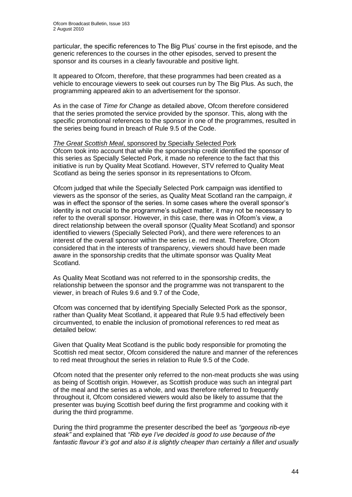particular, the specific references to The Big Plus" course in the first episode, and the generic references to the courses in the other episodes, served to present the sponsor and its courses in a clearly favourable and positive light.

It appeared to Ofcom, therefore, that these programmes had been created as a vehicle to encourage viewers to seek out courses run by The Big Plus. As such, the programming appeared akin to an advertisement for the sponsor.

As in the case of *Time for Change* as detailed above, Ofcom therefore considered that the series promoted the service provided by the sponsor. This, along with the specific promotional references to the sponsor in one of the programmes, resulted in the series being found in breach of Rule 9.5 of the Code.

#### *The Great Scottish Meal*, sponsored by Specially Selected Pork

Ofcom took into account that while the sponsorship credit identified the sponsor of this series as Specially Selected Pork, it made no reference to the fact that this initiative is run by Quality Meat Scotland. However, STV referred to Quality Meat Scotland as being the series sponsor in its representations to Ofcom.

Ofcom judged that while the Specially Selected Pork campaign was identified to viewers as the sponsor of the series, as Quality Meat Scotland ran the campaign, *it* was in effect the sponsor of the series. In some cases where the overall sponsor's identity is not crucial to the programme"s subject matter, it may not be necessary to refer to the overall sponsor. However, in this case, there was in Ofcom"s view, a direct relationship between the overall sponsor (Quality Meat Scotland) and sponsor identified to viewers (Specially Selected Pork), and there were references to an interest of the overall sponsor within the series i.e. red meat. Therefore, Ofcom considered that in the interests of transparency, viewers should have been made aware in the sponsorship credits that the ultimate sponsor was Quality Meat Scotland.

As Quality Meat Scotland was not referred to in the sponsorship credits, the relationship between the sponsor and the programme was not transparent to the viewer, in breach of Rules 9.6 and 9.7 of the Code,

Ofcom was concerned that by identifying Specially Selected Pork as the sponsor, rather than Quality Meat Scotland, it appeared that Rule 9.5 had effectively been circumvented, to enable the inclusion of promotional references to red meat as detailed below:

Given that Quality Meat Scotland is the public body responsible for promoting the Scottish red meat sector, Ofcom considered the nature and manner of the references to red meat throughout the series in relation to Rule 9.5 of the Code.

Ofcom noted that the presenter only referred to the non-meat products she was using as being of Scottish origin. However, as Scottish produce was such an integral part of the meal and the series as a whole, and was therefore referred to frequently throughout it, Ofcom considered viewers would also be likely to assume that the presenter was buying Scottish beef during the first programme and cooking with it during the third programme.

During the third programme the presenter described the beef as *"gorgeous rib-eye steak"* and explained that *"Rib eye I"ve decided is good to use because of the*  fantastic flavour it's got and also it is slightly cheaper than certainly a fillet and usually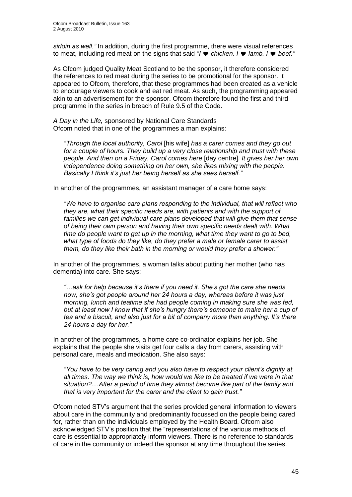*sirloin as well."* In addition, during the first programme, there were visual references to meat, including red meat on the signs that said *"I*  $\bullet$  *chicken. I*  $\bullet$  *lamb. I*  $\bullet$  *beef."* 

As Ofcom judged Quality Meat Scotland to be the sponsor, it therefore considered the references to red meat during the series to be promotional for the sponsor. It appeared to Ofcom, therefore, that these programmes had been created as a vehicle to encourage viewers to cook and eat red meat. As such, the programming appeared akin to an advertisement for the sponsor. Ofcom therefore found the first and third programme in the series in breach of Rule 9.5 of the Code.

*A Day in the Life,* sponsored by National Care Standards Ofcom noted that in one of the programmes a man explains:

*"Through the local authority, Carol* [his wife] *has a carer comes and they go out for a couple of hours. They build up a very close relationship and trust with these people. And then on a Friday, Carol comes here* [day centre]*. It gives her her own independence doing something on her own, she likes mixing with the people. Basically I think it"s just her being herself as she sees herself."*

In another of the programmes, an assistant manager of a care home says:

*"We have to organise care plans responding to the individual, that will reflect who they are, what their specific needs are, with patients and with the support of families we can get individual care plans developed that will give them that sense of being their own person and having their own specific needs dealt with. What time do people want to get up in the morning, what time they want to go to bed, what type of foods do they like, do they prefer a male or female carer to assist them, do they like their bath in the morning or would they prefer a shower."* 

In another of the programmes, a woman talks about putting her mother (who has dementia) into care. She says:

*"…ask for help because it"s there if you need it. She"s got the care she needs now, she"s got people around her 24 hours a day, whereas before it was just morning, lunch and teatime she had people coming in making sure she was fed, but at least now I know that if she"s hungry there"s someone to make her a cup of tea and a biscuit, and also just for a bit of company more than anything. It"s there 24 hours a day for her."*

In another of the programmes, a home care co-ordinator explains her job. She explains that the people she visits get four calls a day from carers, assisting with personal care, meals and medication. She also says:

*"You have to be very caring and you also have to respect your client"s dignity at all times. The way we think is, how would we like to be treated if we were in that situation?....After a period of time they almost become like part of the family and that is very important for the carer and the client to gain trust."*

Ofcom noted STV"s argument that the series provided general information to viewers about care in the community and predominantly focussed on the people being cared for, rather than on the individuals employed by the Health Board. Ofcom also acknowledged STV"s position that the "representations of the various methods of care is essential to appropriately inform viewers. There is no reference to standards of care in the community or indeed the sponsor at any time throughout the series.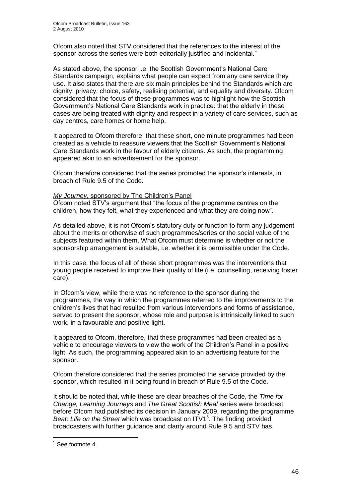Ofcom also noted that STV considered that the references to the interest of the sponsor across the series were both editorially justified and incidental."

As stated above, the sponsor i.e. the Scottish Government's National Care Standards campaign, explains what people can expect from any care service they use. It also states that there are six main principles behind the Standards which are dignity, privacy, choice, safety, realising potential, and equality and diversity. Ofcom considered that the focus of these programmes was to highlight how the Scottish Government"s National Care Standards work in practice: that the elderly in these cases are being treated with dignity and respect in a variety of care services, such as day centres, care homes or home help.

It appeared to Ofcom therefore, that these short, one minute programmes had been created as a vehicle to reassure viewers that the Scottish Government"s National Care Standards work in the favour of elderly citizens. As such, the programming appeared akin to an advertisement for the sponsor.

Ofcom therefore considered that the series promoted the sponsor"s interests, in breach of Rule 9.5 of the Code.

#### *My Journey*, sponsored by The Children"s Panel

Ofcom noted STV"s argument that "the focus of the programme centres on the children, how they felt, what they experienced and what they are doing now".

As detailed above, it is not Ofcom"s statutory duty or function to form any judgement about the merits or otherwise of such programmes/series or the social value of the subjects featured within them. What Ofcom must determine is whether or not the sponsorship arrangement is suitable, i.e. whether it is permissible under the Code.

In this case, the focus of all of these short programmes was the interventions that young people received to improve their quality of life (i.e. counselling, receiving foster care).

In Ofcom's view, while there was no reference to the sponsor during the programmes, the way in which the programmes referred to the improvements to the children"s lives that had resulted from various interventions and forms of assistance, served to present the sponsor, whose role and purpose is intrinsically linked to such work, in a favourable and positive light.

It appeared to Ofcom, therefore, that these programmes had been created as a vehicle to encourage viewers to view the work of the Children"s Panel in a positive light. As such, the programming appeared akin to an advertising feature for the sponsor.

Ofcom therefore considered that the series promoted the service provided by the sponsor, which resulted in it being found in breach of Rule 9.5 of the Code.

It should be noted that, while these are clear breaches of the Code, the *Time for Change, Learning Journeys* and *The Great Scottish Meal* series were broadcast before Ofcom had published its decision in January 2009, regarding the programme Beat: Life on the Street which was broadcast on ITV1<sup>5</sup>. The finding provided broadcasters with further guidance and clarity around Rule 9.5 and STV has

 5 See footnote 4.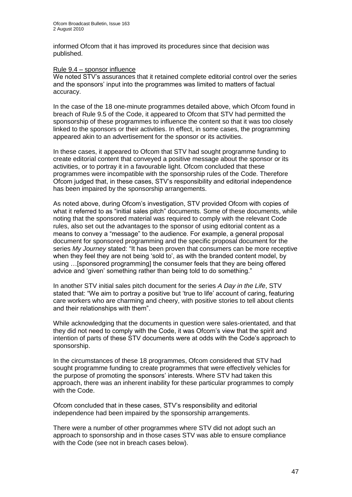informed Ofcom that it has improved its procedures since that decision was published.

#### Rule 9.4 – sponsor influence

We noted STV's assurances that it retained complete editorial control over the series and the sponsors' input into the programmes was limited to matters of factual accuracy.

In the case of the 18 one-minute programmes detailed above, which Ofcom found in breach of Rule 9.5 of the Code, it appeared to Ofcom that STV had permitted the sponsorship of these programmes to influence the content so that it was too closely linked to the sponsors or their activities. In effect, in some cases, the programming appeared akin to an advertisement for the sponsor or its activities.

In these cases, it appeared to Ofcom that STV had sought programme funding to create editorial content that conveyed a positive message about the sponsor or its activities, or to portray it in a favourable light. Ofcom concluded that these programmes were incompatible with the sponsorship rules of the Code. Therefore Ofcom judged that, in these cases, STV"s responsibility and editorial independence has been impaired by the sponsorship arrangements.

As noted above, during Ofcom's investigation, STV provided Ofcom with copies of what it referred to as "initial sales pitch" documents. Some of these documents, while noting that the sponsored material was required to comply with the relevant Code rules, also set out the advantages to the sponsor of using editorial content as a means to convey a "message" to the audience. For example, a general proposal document for sponsored programming and the specific proposal document for the series *My Journey* stated: "It has been proven that consumers can be more receptive when they feel they are not being 'sold to', as with the branded content model, by using …[sponsored programming] the consumer feels that they are being offered advice and "given" something rather than being told to do something."

In another STV initial sales pitch document for the series *A Day in the Life*, STV stated that: "We aim to portray a positive but "true to life" account of caring, featuring care workers who are charming and cheery, with positive stories to tell about clients and their relationships with them".

While acknowledging that the documents in question were sales-orientated, and that they did not need to comply with the Code, it was Ofcom"s view that the spirit and intention of parts of these STV documents were at odds with the Code"s approach to sponsorship.

In the circumstances of these 18 programmes, Ofcom considered that STV had sought programme funding to create programmes that were effectively vehicles for the purpose of promoting the sponsors' interests. Where STV had taken this approach, there was an inherent inability for these particular programmes to comply with the Code.

Ofcom concluded that in these cases, STV's responsibility and editorial independence had been impaired by the sponsorship arrangements.

There were a number of other programmes where STV did not adopt such an approach to sponsorship and in those cases STV was able to ensure compliance with the Code (see not in breach cases below).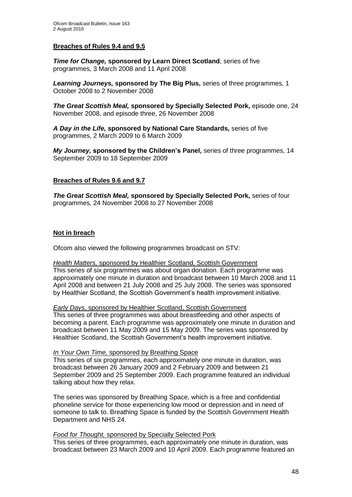#### **Breaches of Rules 9.4 and 9.5**

*Time for Change,* **sponsored by Learn Direct Scotland**, series of five programmes, 3 March 2008 and 11 April 2008

*Learning Journeys,* **sponsored by The Big Plus,** series of three programmes, 1 October 2008 to 2 November 2008

*The Great Scottish Meal,* **sponsored by Specially Selected Pork,** episode one, 24 November 2008, and episode three, 26 November 2008

*A Day in the Life,* **sponsored by National Care Standards,** series of five programmes, 2 March 2009 to 6 March 2009

*My Journey,* **sponsored by the Children's Panel,** series of three programmes, 14 September 2009 to 18 September 2009

#### **Breaches of Rules 9.6 and 9.7**

*The Great Scottish Meal,* **sponsored by Specially Selected Pork,** series of four programmes, 24 November 2008 to 27 November 2008

#### **Not in breach**

Ofcom also viewed the following programmes broadcast on STV:

#### *Health Matters,* sponsored by Healthier Scotland, Scottish Government

This series of six programmes was about organ donation. Each programme was approximately one minute in duration and broadcast between 10 March 2008 and 11 April 2008 and between 21 July 2008 and 25 July 2008. The series was sponsored by Healthier Scotland, the Scottish Government's health improvement initiative.

#### *Early Days, sponsored by Healthier Scotland, Scottish Government*

This series of three programmes was about breastfeeding and other aspects of becoming a parent. Each programme was approximately one minute in duration and broadcast between 11 May 2009 and 15 May 2009. The series was sponsored by Healthier Scotland, the Scottish Government's health improvement initiative.

#### *In Your Own Time,* sponsored by Breathing Space

This series of six programmes, each approximately one minute in duration, was broadcast between 26 January 2009 and 2 February 2009 and between 21 September 2009 and 25 September 2009. Each programme featured an individual talking about how they relax.

The series was sponsored by Breathing Space, which is a free and confidential phoneline service for those experiencing low mood or depression and in need of someone to talk to. Breathing Space is funded by the Scottish Government Health Department and [NHS 24.](http://www.nhs24.com/)

*Food for Thought,* sponsored by Specially Selected Pork

This series of three programmes, each approximately one minute in duration, was broadcast between 23 March 2009 and 10 April 2009. Each programme featured an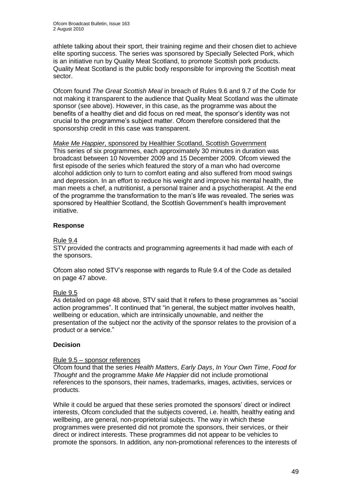athlete talking about their sport, their training regime and their chosen diet to achieve elite sporting success. The series was sponsored by Specially Selected Pork, which is an initiative run by Quality Meat Scotland, to promote Scottish pork products. Quality Meat Scotland is the public body responsible for improving the Scottish meat sector.

Ofcom found *The Great Scottish Meal* in breach of Rules 9.6 and 9.7 of the Code for not making it transparent to the audience that Quality Meat Scotland was the ultimate sponsor (see above). However, in this case, as the programme was about the benefits of a healthy diet and did focus on red meat, the sponsor"s identity was not crucial to the programme"s subject matter. Ofcom therefore considered that the sponsorship credit in this case was transparent.

*Make Me Happier*, sponsored by Healthier Scotland, Scottish Government This series of six programmes, each approximately 30 minutes in duration was broadcast between 10 November 2009 and 15 December 2009. Ofcom viewed the first episode of the series which featured the story of a man who had overcome alcohol addiction only to turn to comfort eating and also suffered from mood swings and depression. In an effort to reduce his weight and improve his mental health, the man meets a chef, a nutritionist, a personal trainer and a psychotherapist. At the end of the programme the transformation to the man"s life was revealed. The series was sponsored by Healthier Scotland, the Scottish Government"s health improvement initiative.

#### **Response**

#### Rule 9.4

STV provided the contracts and programming agreements it had made with each of the sponsors.

Ofcom also noted STV"s response with regards to Rule 9.4 of the Code as detailed on page 47 above.

#### Rule 9.5

As detailed on page 48 above, STV said that it refers to these programmes as "social action programmes". It continued that "in general, the subject matter involves health, wellbeing or education, which are intrinsically unownable, and neither the presentation of the subject nor the activity of the sponsor relates to the provision of a product or a service."

#### **Decision**

#### Rule 9.5 – sponsor references

Ofcom found that the series *Health Matters*, *Early Days*, *In Your Own Time*, *Food for Thought* and the programme *Make Me Happier* did not include promotional references to the sponsors, their names, trademarks, images, activities, services or products.

While it could be argued that these series promoted the sponsors' direct or indirect interests, Ofcom concluded that the subjects covered, i.e. health, healthy eating and wellbeing, are general, non-proprietorial subjects. The way in which these programmes were presented did not promote the sponsors, their services, or their direct or indirect interests. These programmes did not appear to be vehicles to promote the sponsors. In addition, any non-promotional references to the interests of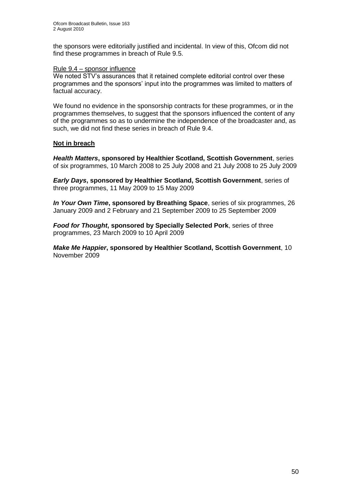the sponsors were editorially justified and incidental. In view of this, Ofcom did not find these programmes in breach of Rule 9.5.

#### Rule 9.4 – sponsor influence

We noted STV's assurances that it retained complete editorial control over these programmes and the sponsors' input into the programmes was limited to matters of factual accuracy.

We found no evidence in the sponsorship contracts for these programmes, or in the programmes themselves, to suggest that the sponsors influenced the content of any of the programmes so as to undermine the independence of the broadcaster and, as such, we did not find these series in breach of Rule 9.4.

#### **Not in breach**

*Health Matters***, sponsored by Healthier Scotland, Scottish Government**, series of six programmes, 10 March 2008 to 25 July 2008 and 21 July 2008 to 25 July 2009

*Early Days***, sponsored by Healthier Scotland, Scottish Government**, series of three programmes, 11 May 2009 to 15 May 2009

*In Your Own Time***, sponsored by Breathing Space**, series of six programmes, 26 January 2009 and 2 February and 21 September 2009 to 25 September 2009

*Food for Thought***, sponsored by Specially Selected Pork**, series of three programmes, 23 March 2009 to 10 April 2009

*Make Me Happier***, sponsored by Healthier Scotland, Scottish Government**, 10 November 2009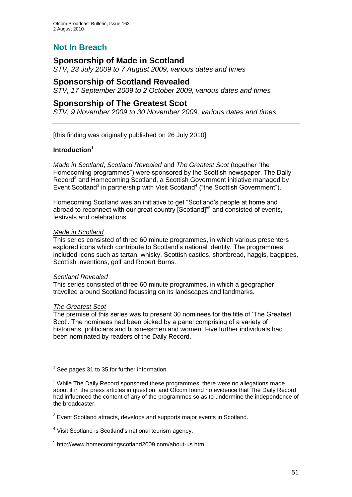# **Not In Breach**

## **Sponsorship of Made in Scotland**

*STV, 23 July 2009 to 7 August 2009, various dates and times*

## **Sponsorship of Scotland Revealed**

*STV, 17 September 2009 to 2 October 2009, various dates and times*

### **Sponsorship of The Greatest Scot**

*STV, 9 November 2009 to 30 November 2009, various dates and times*

[this finding was originally published on 26 July 2010]

#### **Introduction<sup>1</sup>**

*Made in Scotland*, *Scotland Revealed* and *The Greatest Scot* (together "the Homecoming programmes") were sponsored by the Scottish newspaper, The Daily Record<sup>2</sup> and Homecoming Scotland, a Scottish Government initiative managed by Event Scotland<sup>3</sup> in partnership with Visit Scotland<sup>4</sup> ("the Scottish Government").

Homecoming Scotland was an initiative to get "Scotland"s people at home and abroad to reconnect with our great country [Scotland]"<sup>5</sup> and consisted of events, festivals and celebrations.

#### *Made in Scotland*

This series consisted of three 60 minute programmes, in which various presenters explored icons which contribute to Scotland"s national identity. The programmes included icons such as tartan, whisky, Scottish castles, shortbread, haggis, bagpipes, Scottish inventions, golf and Robert Burns.

#### *Scotland Revealed*

This series consisted of three 60 minute programmes, in which a geographer travelled around Scotland focussing on its landscapes and landmarks.

#### *The Greatest Scot*

<u>.</u>

The premise of this series was to present 30 nominees for the title of "The Greatest Scot". The nominees had been picked by a panel comprising of a variety of historians, politicians and businessmen and women. Five further individuals had been nominated by readers of the Daily Record.

 $3$  Event Scotland attracts, develops and supports major events in Scotland.

<sup>1</sup> See pages 31 to 35 for further information.

 $2$  While The Daily Record sponsored these programmes, there were no allegations made about it in the press articles in question, and Ofcom found no evidence that The Daily Record had influenced the content of any of the programmes so as to undermine the independence of the broadcaster.

<sup>&</sup>lt;sup>4</sup> Visit Scotland is Scotland's national tourism agency.

<sup>5</sup> http://www.homecomingscotland2009.com/about-us.html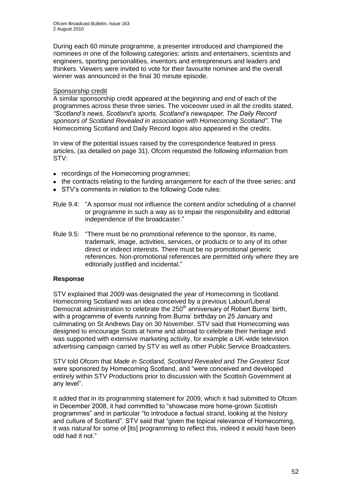During each 60 minute programme, a presenter introduced and championed the nominees in one of the following categories: artists and entertainers, scientists and engineers, sporting personalities, inventors and entrepreneurs and leaders and thinkers. Viewers were invited to vote for their favourite nominee and the overall winner was announced in the final 30 minute episode.

#### Sponsorship credit

A similar sponsorship credit appeared at the beginning and end of each of the programmes across these three series. The voiceover used in all the credits stated, *"Scotland"s news, Scotland"s sports, Scotland"s newspaper, The Daily Record sponsors of Scotland Revealed in association with Homecoming Scotland".* The Homecoming Scotland and Daily Record logos also appeared in the credits.

In view of the potential issues raised by the correspondence featured in press articles, (as detailed on page 31), Ofcom requested the following information from STV:

- recordings of the Homecoming programmes;
- the contracts relating to the funding arrangement for each of the three series; and
- STV"s comments in relation to the following Code rules:
- Rule 9.4: "A sponsor must not influence the content and/or scheduling of a channel or programme in such a way as to impair the responsibility and editorial independence of the broadcaster."
- Rule 9.5: "There must be no promotional reference to the sponsor, its name, trademark, image, activities, services, or products or to any of its other direct or indirect interests. There must be no promotional generic references. Non-promotional references are permitted only where they are editorially justified and incidental."

#### **Response**

STV explained that 2009 was designated the year of Homecoming in Scotland. Homecoming Scotland was an idea conceived by a previous Labour/Liberal Democrat administration to celebrate the 250<sup>th</sup> anniversary of Robert Burns' birth, with a programme of events running from Burns' birthday on 25 January and culminating on St Andrews Day on 30 November. STV said that Homecoming was designed to encourage Scots at home and abroad to celebrate their heritage and was supported with extensive marketing activity, for example a UK-wide television advertising campaign carried by STV as well as other Public Service Broadcasters.

STV told Ofcom that *Made in Scotland*, *Scotland Revealed* and *The Greatest Scot*  were sponsored by Homecoming Scotland, and "were conceived and developed entirely within STV Productions prior to discussion with the Scottish Government at any level".

It added that in its programming statement for 2009, which it had submitted to Ofcom in December 2008, it had committed to "showcase more home-grown Scottish programmes" and in particular "to introduce a factual strand, looking at the history and culture of Scotland". STV said that "given the topical relevance of Homecoming, it was natural for some of [its] programming to reflect this, indeed it would have been odd had it not."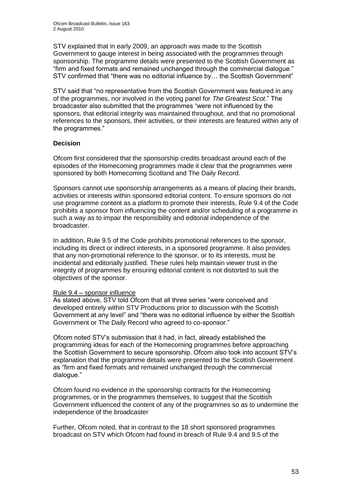STV explained that in early 2009, an approach was made to the Scottish Government to gauge interest in being associated with the programmes through sponsorship. The programme details were presented to the Scottish Government as "firm and fixed formats and remained unchanged through the commercial dialogue." STV confirmed that "there was no editorial influence by… the Scottish Government"

STV said that "no representative from the Scottish Government was featured in any of the programmes, nor involved in the voting panel for *The Greatest Scot*." The broadcaster also submitted that the programmes "were not influenced by the sponsors, that editorial integrity was maintained throughout, and that no promotional references to the sponsors, their activities, or their interests are featured within any of the programmes."

#### **Decision**

Ofcom first considered that the sponsorship credits broadcast around each of the episodes of the Homecoming programmes made it clear that the programmes were sponsored by both Homecoming Scotland and The Daily Record.

Sponsors cannot use sponsorship arrangements as a means of placing their brands, activities or interests within sponsored editorial content. To ensure sponsors do not use programme content as a platform to promote their interests, Rule 9.4 of the Code prohibits a sponsor from influencing the content and/or scheduling of a programme in such a way as to impair the responsibility and editorial independence of the broadcaster.

In addition, Rule 9.5 of the Code prohibits promotional references to the sponsor, including its direct or indirect interests, in a sponsored programme. It also provides that any non-promotional reference to the sponsor, or to its interests, must be incidental and editorially justified. These rules help maintain viewer trust in the integrity of programmes by ensuring editorial content is not distorted to suit the objectives of the sponsor.

#### Rule 9.4 – sponsor influence

As stated above, STV told Ofcom that all three series "were conceived and developed entirely within STV Productions prior to discussion with the Scottish Government at any level" and "there was no editorial influence by either the Scottish Government or The Daily Record who agreed to co-sponsor."

Ofcom noted STV"s submission that it had, in fact, already established the programming ideas for each of the Homecoming programmes before approaching the Scottish Government to secure sponsorship. Ofcom also took into account STV"s explanation that the programme details were presented to the Scottish Government as "firm and fixed formats and remained unchanged through the commercial dialogue."

Ofcom found no evidence in the sponsorship contracts for the Homecoming programmes, or in the programmes themselves, to suggest that the Scottish Government influenced the content of any of the programmes so as to undermine the independence of the broadcaster

Further, Ofcom noted, that in contrast to the 18 short sponsored programmes broadcast on STV which Ofcom had found in breach of Rule 9.4 and 9.5 of the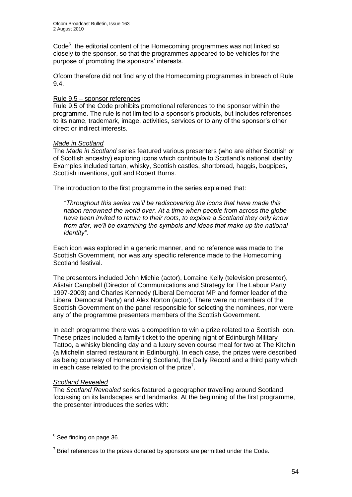Code<sup>6</sup>, the editorial content of the Homecoming programmes was not linked so closely to the sponsor, so that the programmes appeared to be vehicles for the purpose of promoting the sponsors' interests.

Ofcom therefore did not find any of the Homecoming programmes in breach of Rule 9.4.

### Rule 9.5 – sponsor references

Rule 9.5 of the Code prohibits promotional references to the sponsor within the programme. The rule is not limited to a sponsor"s products, but includes references to its name, trademark, image, activities, services or to any of the sponsor"s other direct or indirect interests.

#### *Made in Scotland*

The *Made in Scotland* series featured various presenters (who are either Scottish or of Scottish ancestry) exploring icons which contribute to Scotland"s national identity. Examples included tartan, whisky, Scottish castles, shortbread, haggis, bagpipes, Scottish inventions, golf and Robert Burns.

The introduction to the first programme in the series explained that:

*"Throughout this series we"ll be rediscovering the icons that have made this nation renowned the world over. At a time when people from across the globe have been invited to return to their roots, to explore a Scotland they only know from afar, we"ll be examining the symbols and ideas that make up the national identity".*

Each icon was explored in a generic manner, and no reference was made to the Scottish Government, nor was any specific reference made to the Homecoming Scotland festival.

The presenters included John Michie (actor), Lorraine Kelly (television presenter), Alistair Campbell (Director of Communications and Strategy for The Labour Party 1997-2003) and Charles Kennedy (Liberal Democrat MP and former leader of the Liberal Democrat Party) and Alex Norton (actor). There were no members of the Scottish Government on the panel responsible for selecting the nominees, nor were any of the programme presenters members of the Scottish Government.

In each programme there was a competition to win a prize related to a Scottish icon. These prizes included a family ticket to the opening night of Edinburgh Military Tattoo, a whisky blending day and a luxury seven course meal for two at The Kitchin (a Michelin starred restaurant in Edinburgh). In each case, the prizes were described as being courtesy of Homecoming Scotland, the Daily Record and a third party which in each case related to the provision of the prize<sup>7</sup>.

#### *Scotland Revealed*

The *Scotland Revealed* series featured a geographer travelling around Scotland focussing on its landscapes and landmarks. At the beginning of the first programme, the presenter introduces the series with:

1

<sup>&</sup>lt;sup>6</sup> See finding on page 36.

 $7$  Brief references to the prizes donated by sponsors are permitted under the Code.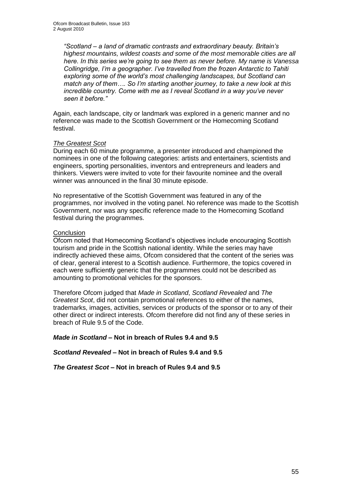*"Scotland – a land of dramatic contrasts and extraordinary beauty. Britain"s highest mountains, wildest coasts and some of the most memorable cities are all here. In this series we"re going to see them as never before. My name is Vanessa Collingridge, I"m a geographer. I"ve travelled from the frozen Antarctic to Tahiti exploring some of the world"s most challenging landscapes, but Scotland can match any of them…. So I"m starting another journey, to take a new look at this incredible country. Come with me as I reveal Scotland in a way you"ve never seen it before."*

Again, each landscape, city or landmark was explored in a generic manner and no reference was made to the Scottish Government or the Homecoming Scotland festival.

#### *The Greatest Scot*

During each 60 minute programme, a presenter introduced and championed the nominees in one of the following categories: artists and entertainers, scientists and engineers, sporting personalities, inventors and entrepreneurs and leaders and thinkers. Viewers were invited to vote for their favourite nominee and the overall winner was announced in the final 30 minute episode.

No representative of the Scottish Government was featured in any of the programmes, nor involved in the voting panel. No reference was made to the Scottish Government, nor was any specific reference made to the Homecoming Scotland festival during the programmes.

#### **Conclusion**

Ofcom noted that Homecoming Scotland"s objectives include encouraging Scottish tourism and pride in the Scottish national identity. While the series may have indirectly achieved these aims, Ofcom considered that the content of the series was of clear, general interest to a Scottish audience. Furthermore, the topics covered in each were sufficiently generic that the programmes could not be described as amounting to promotional vehicles for the sponsors.

Therefore Ofcom judged that *Made in Scotland*, *Scotland Revealed* and *The Greatest Scot*, did not contain promotional references to either of the names, trademarks, images, activities, services or products of the sponsor or to any of their other direct or indirect interests. Ofcom therefore did not find any of these series in breach of Rule 9.5 of the Code.

*Made in Scotland* **– Not in breach of Rules 9.4 and 9.5**

#### *Scotland Revealed* **– Not in breach of Rules 9.4 and 9.5**

*The Greatest Scot* **– Not in breach of Rules 9.4 and 9.5**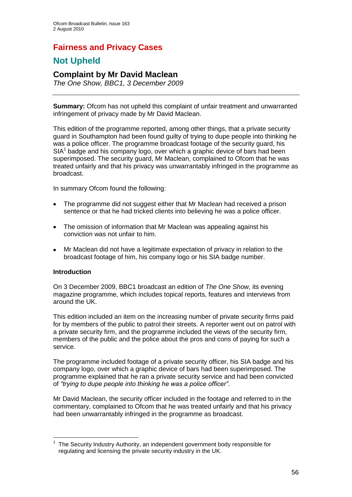# **Fairness and Privacy Cases**

# **Not Upheld**

## **Complaint by Mr David Maclean**

*The One Show, BBC1, 3 December 2009*

**Summary:** Ofcom has not upheld this complaint of unfair treatment and unwarranted infringement of privacy made by Mr David Maclean.

This edition of the programme reported, among other things, that a private security guard in Southampton had been found guilty of trying to dupe people into thinking he was a police officer. The programme broadcast footage of the security guard, his SIA<sup>1</sup> badge and his company logo, over which a graphic device of bars had been superimposed. The security guard, Mr Maclean, complained to Ofcom that he was treated unfairly and that his privacy was unwarrantably infringed in the programme as broadcast.

In summary Ofcom found the following:

- The programme did not suggest either that Mr Maclean had received a prison  $\bullet$ sentence or that he had tricked clients into believing he was a police officer.
- The omission of information that Mr Maclean was appealing against his  $\bullet$ conviction was not unfair to him.
- Mr Maclean did not have a legitimate expectation of privacy in relation to the  $\bullet$ broadcast footage of him, his company logo or his SIA badge number.

#### **Introduction**

1

On 3 December 2009, BBC1 broadcast an edition of *The One Show,* its evening magazine programme, which includes topical reports, features and interviews from around the UK.

This edition included an item on the increasing number of private security firms paid for by members of the public to patrol their streets. A reporter went out on patrol with a private security firm, and the programme included the views of the security firm, members of the public and the police about the pros and cons of paying for such a service.

The programme included footage of a private security officer, his SIA badge and his company logo, over which a graphic device of bars had been superimposed. The programme explained that he ran a private security service and had been convicted of *"trying to dupe people into thinking he was a police officer"*.

Mr David Maclean, the security officer included in the footage and referred to in the commentary, complained to Ofcom that he was treated unfairly and that his privacy had been unwarrantably infringed in the programme as broadcast.

<sup>1</sup> The [Security Industry Authority,](http://sia.homeoffice.gov.uk/home/about_sia/sia_mission.htm) an independent government body responsible for regulating and licensing the private security industry in the UK.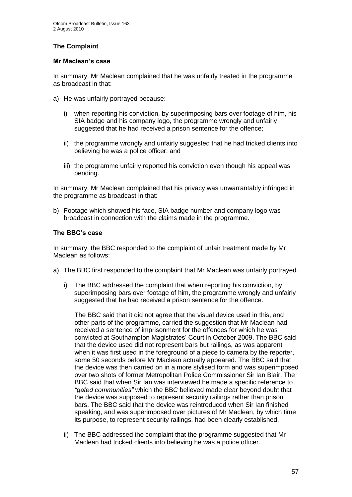#### **The Complaint**

#### **Mr Maclean's case**

In summary, Mr Maclean complained that he was unfairly treated in the programme as broadcast in that:

- a) He was unfairly portrayed because:
	- i) when reporting his conviction, by superimposing bars over footage of him, his SIA badge and his company logo, the programme wrongly and unfairly suggested that he had received a prison sentence for the offence;
	- ii) the programme wrongly and unfairly suggested that he had tricked clients into believing he was a police officer; and
	- iii) the programme unfairly reported his conviction even though his appeal was pending.

In summary, Mr Maclean complained that his privacy was unwarrantably infringed in the programme as broadcast in that:

b) Footage which showed his face, SIA badge number and company logo was broadcast in connection with the claims made in the programme.

#### **The BBC's case**

In summary, the BBC responded to the complaint of unfair treatment made by Mr Maclean as follows:

- a) The BBC first responded to the complaint that Mr Maclean was unfairly portrayed.
	- i) The BBC addressed the complaint that when reporting his conviction, by superimposing bars over footage of him, the programme wrongly and unfairly suggested that he had received a prison sentence for the offence.

The BBC said that it did not agree that the visual device used in this, and other parts of the programme, carried the suggestion that Mr Maclean had received a sentence of imprisonment for the offences for which he was convicted at Southampton Magistrates" Court in October 2009. The BBC said that the device used did not represent bars but railings, as was apparent when it was first used in the foreground of a piece to camera by the reporter, some 50 seconds before Mr Maclean actually appeared. The BBC said that the device was then carried on in a more stylised form and was superimposed over two shots of former Metropolitan Police Commissioner Sir Ian Blair. The BBC said that when Sir Ian was interviewed he made a specific reference to *"gated communities"* which the BBC believed made clear beyond doubt that the device was supposed to represent security railings rather than prison bars. The BBC said that the device was reintroduced when Sir Ian finished speaking, and was superimposed over pictures of Mr Maclean, by which time its purpose, to represent security railings, had been clearly established.

ii) The BBC addressed the complaint that the programme suggested that Mr Maclean had tricked clients into believing he was a police officer.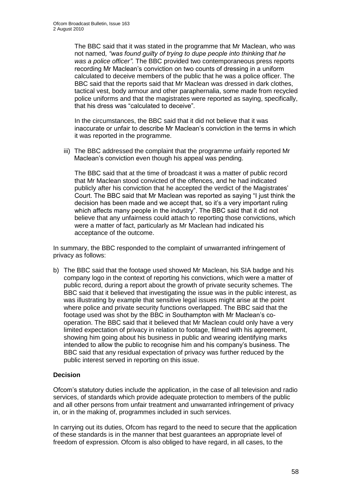The BBC said that it was stated in the programme that Mr Maclean, who was not named*, "was found guilty of trying to dupe people into thinking that he was a police officer".* The BBC provided two contemporaneous press reports recording Mr Maclean"s conviction on two counts of dressing in a uniform calculated to deceive members of the public that he was a police officer. The BBC said that the reports said that Mr Maclean was dressed in dark clothes, tactical vest, body armour and other paraphernalia, some made from recycled police uniforms and that the magistrates were reported as saying, specifically, that his dress was "calculated to deceive"*.* 

In the circumstances, the BBC said that it did not believe that it was inaccurate or unfair to describe Mr Maclean"s conviction in the terms in which it was reported in the programme.

iii) The BBC addressed the complaint that the programme unfairly reported Mr Maclean"s conviction even though his appeal was pending.

The BBC said that at the time of broadcast it was a matter of public record that Mr Maclean stood convicted of the offences, and he had indicated publicly after his conviction that he accepted the verdict of the Magistrates" Court. The BBC said that Mr Maclean was reported as saying "I just think the decision has been made and we accept that, so it's a very important ruling which affects many people in the industry". The BBC said that it did not believe that any unfairness could attach to reporting those convictions, which were a matter of fact, particularly as Mr Maclean had indicated his acceptance of the outcome.

In summary, the BBC responded to the complaint of unwarranted infringement of privacy as follows:

b) The BBC said that the footage used showed Mr Maclean, his SIA badge and his company logo in the context of reporting his convictions, which were a matter of public record, during a report about the growth of private security schemes. The BBC said that it believed that investigating the issue was in the public interest, as was illustrating by example that sensitive legal issues might arise at the point where police and private security functions overlapped. The BBC said that the footage used was shot by the BBC in Southampton with Mr Maclean"s cooperation. The BBC said that it believed that Mr Maclean could only have a very limited expectation of privacy in relation to footage, filmed with his agreement, showing him going about his business in public and wearing identifying marks intended to allow the public to recognise him and his company"s business. The BBC said that any residual expectation of privacy was further reduced by the public interest served in reporting on this issue.

#### **Decision**

Ofcom"s statutory duties include the application, in the case of all television and radio services, of standards which provide adequate protection to members of the public and all other persons from unfair treatment and unwarranted infringement of privacy in, or in the making of, programmes included in such services.

In carrying out its duties, Ofcom has regard to the need to secure that the application of these standards is in the manner that best guarantees an appropriate level of freedom of expression. Ofcom is also obliged to have regard, in all cases, to the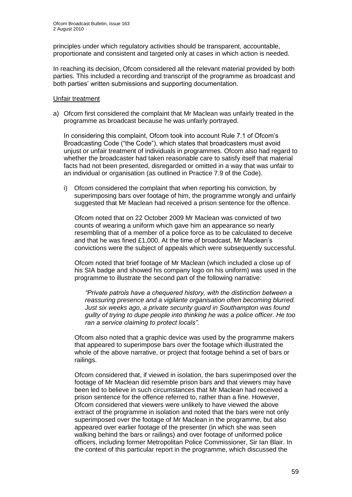principles under which regulatory activities should be transparent, accountable, proportionate and consistent and targeted only at cases in which action is needed.

In reaching its decision, Ofcom considered all the relevant material provided by both parties. This included a recording and transcript of the programme as broadcast and both parties' written submissions and supporting documentation.

#### Unfair treatment

a) Ofcom first considered the complaint that Mr Maclean was unfairly treated in the programme as broadcast because he was unfairly portrayed.

In considering this complaint, Ofcom took into account Rule 7.1 of Ofcom's Broadcasting Code ("the Code"), which states that broadcasters must avoid unjust or unfair treatment of individuals in programmes. Ofcom also had regard to whether the broadcaster had taken reasonable care to satisfy itself that material facts had not been presented, disregarded or omitted in a way that was unfair to an individual or organisation (as outlined in Practice 7.9 of the Code).

i) Ofcom considered the complaint that when reporting his conviction, by superimposing bars over footage of him, the programme wrongly and unfairly suggested that Mr Maclean had received a prison sentence for the offence.

Ofcom noted that on 22 October 2009 Mr Maclean was convicted of two counts of wearing a uniform which gave him an appearance so nearly resembling that of a member of a police force as to be calculated to deceive and that he was fined £1,000. At the time of broadcast, Mr Maclean"s convictions were the subject of appeals which were subsequently successful.

Ofcom noted that brief footage of Mr Maclean (which included a close up of his SIA badge and showed his company logo on his uniform) was used in the programme to illustrate the second part of the following narrative:

*"Private patrols have a chequered history, with the distinction between a reassuring presence and a vigilante organisation often becoming blurred. Just six weeks ago, a private security guard in Southampton was found guilty of trying to dupe people into thinking he was a police officer. He too ran a service claiming to protect locals".*

Ofcom also noted that a graphic device was used by the programme makers that appeared to superimpose bars over the footage which illustrated the whole of the above narrative, or project that footage behind a set of bars or railings.

Ofcom considered that, if viewed in isolation, the bars superimposed over the footage of Mr Maclean did resemble prison bars and that viewers may have been led to believe in such circumstances that Mr Maclean had received a prison sentence for the offence referred to, rather than a fine. However, Ofcom considered that viewers were unlikely to have viewed the above extract of the programme in isolation and noted that the bars were not only superimposed over the footage of Mr Maclean in the programme, but also appeared over earlier footage of the presenter (in which she was seen walking behind the bars or railings) and over footage of uniformed police officers, including former Metropolitan Police Commissioner, Sir Ian Blair. In the context of this particular report in the programme, which discussed the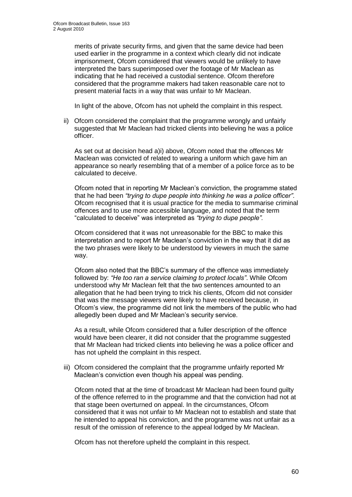merits of private security firms, and given that the same device had been used earlier in the programme in a context which clearly did not indicate imprisonment, Ofcom considered that viewers would be unlikely to have interpreted the bars superimposed over the footage of Mr Maclean as indicating that he had received a custodial sentence. Ofcom therefore considered that the programme makers had taken reasonable care not to present material facts in a way that was unfair to Mr Maclean.

In light of the above, Ofcom has not upheld the complaint in this respect.

ii) Ofcom considered the complaint that the programme wrongly and unfairly suggested that Mr Maclean had tricked clients into believing he was a police officer.

As set out at decision head a)i) above, Ofcom noted that the offences Mr Maclean was convicted of related to wearing a uniform which gave him an appearance so nearly resembling that of a member of a police force as to be calculated to deceive.

Ofcom noted that in reporting Mr Maclean"s conviction, the programme stated that he had been *"trying to dupe people into thinking he was a police officer"*. Ofcom recognised that it is usual practice for the media to summarise criminal offences and to use more accessible language, and noted that the term "calculated to deceive" was interpreted as *"trying to dupe people".*

Ofcom considered that it was not unreasonable for the BBC to make this interpretation and to report Mr Maclean"s conviction in the way that it did as the two phrases were likely to be understood by viewers in much the same way.

Ofcom also noted that the BBC"s summary of the offence was immediately followed by: *"He too ran a service claiming to protect locals"*. While Ofcom understood why Mr Maclean felt that the two sentences amounted to an allegation that he had been trying to trick his clients, Ofcom did not consider that was the message viewers were likely to have received because, in Ofcom"s view, the programme did not link the members of the public who had allegedly been duped and Mr Maclean"s security service.

As a result, while Ofcom considered that a fuller description of the offence would have been clearer, it did not consider that the programme suggested that Mr Maclean had tricked clients into believing he was a police officer and has not upheld the complaint in this respect.

iii) Ofcom considered the complaint that the programme unfairly reported Mr Maclean"s conviction even though his appeal was pending.

Ofcom noted that at the time of broadcast Mr Maclean had been found guilty of the offence referred to in the programme and that the conviction had not at that stage been overturned on appeal. In the circumstances, Ofcom considered that it was not unfair to Mr Maclean not to establish and state that he intended to appeal his conviction, and the programme was not unfair as a result of the omission of reference to the appeal lodged by Mr Maclean.

Ofcom has not therefore upheld the complaint in this respect.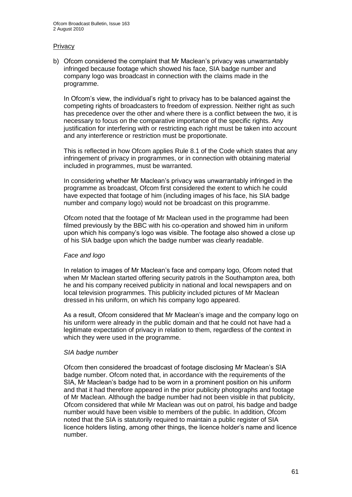#### **Privacy**

b) Ofcom considered the complaint that Mr Maclean"s privacy was unwarrantably infringed because footage which showed his face, SIA badge number and company logo was broadcast in connection with the claims made in the programme.

In Ofcom"s view, the individual"s right to privacy has to be balanced against the competing rights of broadcasters to freedom of expression. Neither right as such has precedence over the other and where there is a conflict between the two, it is necessary to focus on the comparative importance of the specific rights. Any justification for interfering with or restricting each right must be taken into account and any interference or restriction must be proportionate.

This is reflected in how Ofcom applies Rule 8.1 of the Code which states that any infringement of privacy in programmes, or in connection with obtaining material included in programmes, must be warranted.

In considering whether Mr Maclean"s privacy was unwarrantably infringed in the programme as broadcast, Ofcom first considered the extent to which he could have expected that footage of him (including images of his face, his SIA badge number and company logo) would not be broadcast on this programme.

Ofcom noted that the footage of Mr Maclean used in the programme had been filmed previously by the BBC with his co-operation and showed him in uniform upon which his company"s logo was visible. The footage also showed a close up of his SIA badge upon which the badge number was clearly readable.

#### *Face and logo*

In relation to images of Mr Maclean"s face and company logo, Ofcom noted that when Mr Maclean started offering security patrols in the Southampton area, both he and his company received publicity in national and local newspapers and on local television programmes. This publicity included pictures of Mr Maclean dressed in his uniform, on which his company logo appeared.

As a result, Ofcom considered that Mr Maclean"s image and the company logo on his uniform were already in the public domain and that he could not have had a legitimate expectation of privacy in relation to them, regardless of the context in which they were used in the programme.

#### *SIA badge number*

Ofcom then considered the broadcast of footage disclosing Mr Maclean"s SIA badge number. Ofcom noted that, in accordance with the requirements of the SIA, Mr Maclean"s badge had to be worn in a prominent position on his uniform and that it had therefore appeared in the prior publicity photographs and footage of Mr Maclean. Although the badge number had not been visible in that publicity, Ofcom considered that while Mr Maclean was out on patrol, his badge and badge number would have been visible to members of the public. In addition, Ofcom noted that the SIA is statutorily required to maintain a public register of SIA licence holders listing, among other things, the licence holder"s name and licence number.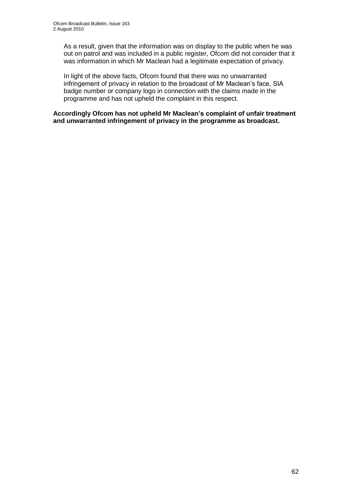As a result, given that the information was on display to the public when he was out on patrol and was included in a public register, Ofcom did not consider that it was information in which Mr Maclean had a legitimate expectation of privacy.

In light of the above facts, Ofcom found that there was no unwarranted infringement of privacy in relation to the broadcast of Mr Maclean's face, SIA badge number or company logo in connection with the claims made in the programme and has not upheld the complaint in this respect.

**Accordingly Ofcom has not upheld Mr Maclean's complaint of unfair treatment and unwarranted infringement of privacy in the programme as broadcast.**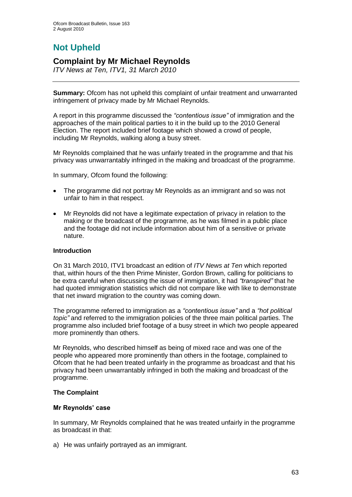# **Not Upheld**

## **Complaint by Mr Michael Reynolds**

*ITV News at Ten, ITV1, 31 March 2010*

**Summary:** Ofcom has not upheld this complaint of unfair treatment and unwarranted infringement of privacy made by Mr Michael Reynolds.

A report in this programme discussed the *"contentious issue"* of immigration and the approaches of the main political parties to it in the build up to the 2010 General Election. The report included brief footage which showed a crowd of people, including Mr Reynolds, walking along a busy street.

Mr Reynolds complained that he was unfairly treated in the programme and that his privacy was unwarrantably infringed in the making and broadcast of the programme.

In summary, Ofcom found the following:

- The programme did not portray Mr Reynolds as an immigrant and so was not  $\bullet$ unfair to him in that respect.
- Mr Reynolds did not have a legitimate expectation of privacy in relation to the making or the broadcast of the programme, as he was filmed in a public place and the footage did not include information about him of a sensitive or private nature.

#### **Introduction**

On 31 March 2010, ITV1 broadcast an edition of *ITV News at Ten* which reported that, within hours of the then Prime Minister, Gordon Brown, calling for politicians to be extra careful when discussing the issue of immigration, it had *"transpired"* that he had quoted immigration statistics which did not compare like with like to demonstrate that net inward migration to the country was coming down.

The programme referred to immigration as a *"contentious issue"* and a *"hot political topic"* and referred to the immigration policies of the three main political parties. The programme also included brief footage of a busy street in which two people appeared more prominently than others.

Mr Reynolds, who described himself as being of mixed race and was one of the people who appeared more prominently than others in the footage, complained to Ofcom that he had been treated unfairly in the programme as broadcast and that his privacy had been unwarrantably infringed in both the making and broadcast of the programme.

#### **The Complaint**

#### **Mr Reynolds' case**

In summary, Mr Reynolds complained that he was treated unfairly in the programme as broadcast in that:

a) He was unfairly portrayed as an immigrant.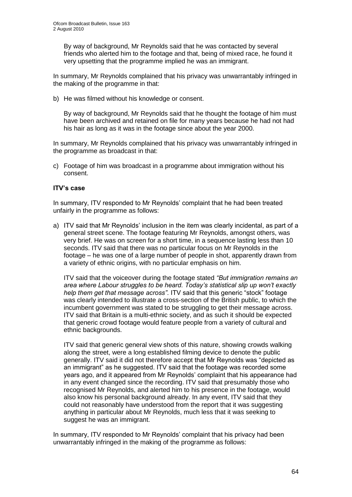By way of background, Mr Reynolds said that he was contacted by several friends who alerted him to the footage and that, being of mixed race, he found it very upsetting that the programme implied he was an immigrant.

In summary, Mr Reynolds complained that his privacy was unwarrantably infringed in the making of the programme in that:

b) He was filmed without his knowledge or consent.

By way of background, Mr Reynolds said that he thought the footage of him must have been archived and retained on file for many years because he had not had his hair as long as it was in the footage since about the year 2000.

In summary, Mr Reynolds complained that his privacy was unwarrantably infringed in the programme as broadcast in that:

c) Footage of him was broadcast in a programme about immigration without his consent.

#### **ITV's case**

In summary, ITV responded to Mr Reynolds" complaint that he had been treated unfairly in the programme as follows:

a) ITV said that Mr Reynolds' inclusion in the item was clearly incidental, as part of a general street scene. The footage featuring Mr Reynolds, amongst others, was very brief. He was on screen for a short time, in a sequence lasting less than 10 seconds. ITV said that there was no particular focus on Mr Reynolds in the footage – he was one of a large number of people in shot, apparently drawn from a variety of ethnic origins, with no particular emphasis on him.

ITV said that the voiceover during the footage stated *"But immigration remains an area where Labour struggles to be heard. Today"s statistical slip up won"t exactly help them get that message across"*. ITV said that this generic "stock" footage was clearly intended to illustrate a cross-section of the British public, to which the incumbent government was stated to be struggling to get their message across. ITV said that Britain is a multi-ethnic society, and as such it should be expected that generic crowd footage would feature people from a variety of cultural and ethnic backgrounds.

ITV said that generic general view shots of this nature, showing crowds walking along the street, were a long established filming device to denote the public generally. ITV said it did not therefore accept that Mr Reynolds was "depicted as an immigrant" as he suggested. ITV said that the footage was recorded some years ago, and it appeared from Mr Reynolds" complaint that his appearance had in any event changed since the recording. ITV said that presumably those who recognised Mr Reynolds, and alerted him to his presence in the footage, would also know his personal background already. In any event, ITV said that they could not reasonably have understood from the report that it was suggesting anything in particular about Mr Reynolds, much less that it was seeking to suggest he was an immigrant.

In summary, ITV responded to Mr Reynolds" complaint that his privacy had been unwarrantably infringed in the making of the programme as follows: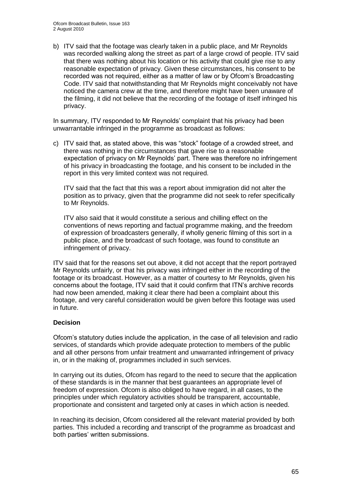b) ITV said that the footage was clearly taken in a public place, and Mr Reynolds was recorded walking along the street as part of a large crowd of people. ITV said that there was nothing about his location or his activity that could give rise to any reasonable expectation of privacy. Given these circumstances, his consent to be recorded was not required, either as a matter of law or by Ofcom"s Broadcasting Code. ITV said that notwithstanding that Mr Reynolds might conceivably not have noticed the camera crew at the time, and therefore might have been unaware of the filming, it did not believe that the recording of the footage of itself infringed his privacy.

In summary, ITV responded to Mr Reynolds" complaint that his privacy had been unwarrantable infringed in the programme as broadcast as follows:

c) ITV said that, as stated above, this was "stock" footage of a crowded street, and there was nothing in the circumstances that gave rise to a reasonable expectation of privacy on Mr Reynolds" part. There was therefore no infringement of his privacy in broadcasting the footage, and his consent to be included in the report in this very limited context was not required.

ITV said that the fact that this was a report about immigration did not alter the position as to privacy, given that the programme did not seek to refer specifically to Mr Reynolds.

ITV also said that it would constitute a serious and chilling effect on the conventions of news reporting and factual programme making, and the freedom of expression of broadcasters generally, if wholly generic filming of this sort in a public place, and the broadcast of such footage, was found to constitute an infringement of privacy.

ITV said that for the reasons set out above, it did not accept that the report portrayed Mr Reynolds unfairly, or that his privacy was infringed either in the recording of the footage or its broadcast. However, as a matter of courtesy to Mr Reynolds, given his concerns about the footage, ITV said that it could confirm that ITN"s archive records had now been amended, making it clear there had been a complaint about this footage, and very careful consideration would be given before this footage was used in future.

#### **Decision**

Ofcom"s statutory duties include the application, in the case of all television and radio services, of standards which provide adequate protection to members of the public and all other persons from unfair treatment and unwarranted infringement of privacy in, or in the making of, programmes included in such services.

In carrying out its duties, Ofcom has regard to the need to secure that the application of these standards is in the manner that best guarantees an appropriate level of freedom of expression. Ofcom is also obliged to have regard, in all cases, to the principles under which regulatory activities should be transparent, accountable, proportionate and consistent and targeted only at cases in which action is needed.

In reaching its decision, Ofcom considered all the relevant material provided by both parties. This included a recording and transcript of the programme as broadcast and both parties' written submissions.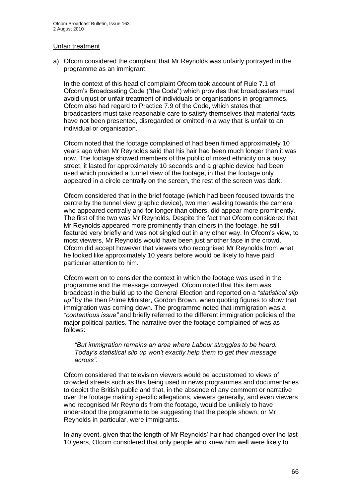#### Unfair treatment

a) Ofcom considered the complaint that Mr Reynolds was unfairly portrayed in the programme as an immigrant.

In the context of this head of complaint Ofcom took account of Rule 7.1 of Ofcom"s Broadcasting Code ("the Code") which provides that broadcasters must avoid unjust or unfair treatment of individuals or organisations in programmes. Ofcom also had regard to Practice 7.9 of the Code, which states that broadcasters must take reasonable care to satisfy themselves that material facts have not been presented, disregarded or omitted in a way that is unfair to an individual or organisation.

Ofcom noted that the footage complained of had been filmed approximately 10 years ago when Mr Reynolds said that his hair had been much longer than it was now. The footage showed members of the public of mixed ethnicity on a busy street, it lasted for approximately 10 seconds and a graphic device had been used which provided a tunnel view of the footage, in that the footage only appeared in a circle centrally on the screen, the rest of the screen was dark.

Ofcom considered that in the brief footage (which had been focused towards the centre by the tunnel view graphic device), two men walking towards the camera who appeared centrally and for longer than others, did appear more prominently. The first of the two was Mr Reynolds. Despite the fact that Ofcom considered that Mr Reynolds appeared more prominently than others in the footage, he still featured very briefly and was not singled out in any other way. In Ofcom"s view, to most viewers, Mr Reynolds would have been just another face in the crowd. Ofcom did accept however that viewers who recognised Mr Reynolds from what he looked like approximately 10 years before would be likely to have paid particular attention to him.

Ofcom went on to consider the context in which the footage was used in the programme and the message conveyed. Ofcom noted that this item was broadcast in the build up to the General Election and reported on a *"statistical slip up"* by the then Prime Minister, Gordon Brown, when quoting figures to show that immigration was coming down. The programme noted that immigration was a *"contentious issue"* and briefly referred to the different immigration policies of the major political parties. The narrative over the footage complained of was as follows:

*"But immigration remains an area where Labour struggles to be heard. Today"s statistical slip up won"t exactly help them to get their message across"*.

Ofcom considered that television viewers would be accustomed to views of crowded streets such as this being used in news programmes and documentaries to depict the British public and that, in the absence of any comment or narrative over the footage making specific allegations, viewers generally, and even viewers who recognised Mr Reynolds from the footage, would be unlikely to have understood the programme to be suggesting that the people shown, or Mr Reynolds in particular, were immigrants.

In any event, given that the length of Mr Reynolds" hair had changed over the last 10 years, Ofcom considered that only people who knew him well were likely to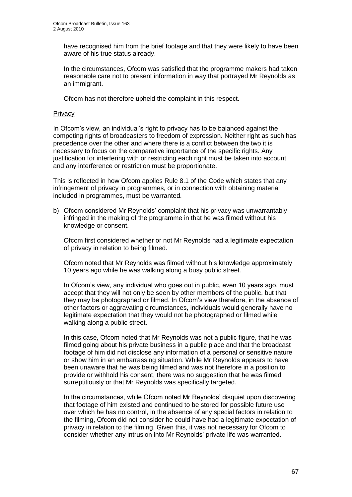have recognised him from the brief footage and that they were likely to have been aware of his true status already.

In the circumstances, Ofcom was satisfied that the programme makers had taken reasonable care not to present information in way that portrayed Mr Reynolds as an immigrant.

Ofcom has not therefore upheld the complaint in this respect.

#### **Privacy**

In Ofcom"s view, an individual"s right to privacy has to be balanced against the competing rights of broadcasters to freedom of expression. Neither right as such has precedence over the other and where there is a conflict between the two it is necessary to focus on the comparative importance of the specific rights. Any justification for interfering with or restricting each right must be taken into account and any interference or restriction must be proportionate.

This is reflected in how Ofcom applies Rule 8.1 of the Code which states that any infringement of privacy in programmes, or in connection with obtaining material included in programmes, must be warranted.

b) Ofcom considered Mr Reynolds" complaint that his privacy was unwarrantably infringed in the making of the programme in that he was filmed without his knowledge or consent.

Ofcom first considered whether or not Mr Reynolds had a legitimate expectation of privacy in relation to being filmed.

Ofcom noted that Mr Reynolds was filmed without his knowledge approximately 10 years ago while he was walking along a busy public street.

In Ofcom's view, any individual who goes out in public, even 10 years ago, must accept that they will not only be seen by other members of the public, but that they may be photographed or filmed. In Ofcom"s view therefore, in the absence of other factors or aggravating circumstances, individuals would generally have no legitimate expectation that they would not be photographed or filmed while walking along a public street.

In this case, Ofcom noted that Mr Reynolds was not a public figure, that he was filmed going about his private business in a public place and that the broadcast footage of him did not disclose any information of a personal or sensitive nature or show him in an embarrassing situation. While Mr Reynolds appears to have been unaware that he was being filmed and was not therefore in a position to provide or withhold his consent, there was no suggestion that he was filmed surreptitiously or that Mr Reynolds was specifically targeted.

In the circumstances, while Ofcom noted Mr Reynolds" disquiet upon discovering that footage of him existed and continued to be stored for possible future use over which he has no control, in the absence of any special factors in relation to the filming, Ofcom did not consider he could have had a legitimate expectation of privacy in relation to the filming. Given this, it was not necessary for Ofcom to consider whether any intrusion into Mr Reynolds" private life was warranted.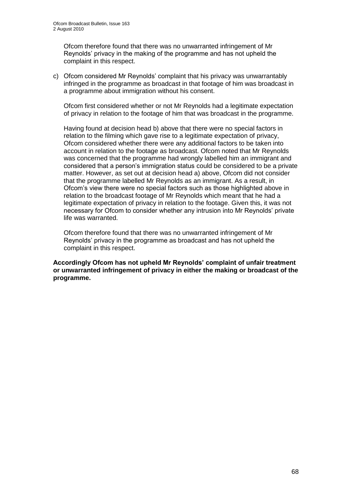Ofcom therefore found that there was no unwarranted infringement of Mr Reynolds" privacy in the making of the programme and has not upheld the complaint in this respect.

c) Ofcom considered Mr Reynolds" complaint that his privacy was unwarrantably infringed in the programme as broadcast in that footage of him was broadcast in a programme about immigration without his consent.

Ofcom first considered whether or not Mr Reynolds had a legitimate expectation of privacy in relation to the footage of him that was broadcast in the programme.

Having found at decision head b) above that there were no special factors in relation to the filming which gave rise to a legitimate expectation of privacy, Ofcom considered whether there were any additional factors to be taken into account in relation to the footage as broadcast. Ofcom noted that Mr Reynolds was concerned that the programme had wrongly labelled him an immigrant and considered that a person"s immigration status could be considered to be a private matter. However, as set out at decision head a) above, Ofcom did not consider that the programme labelled Mr Reynolds as an immigrant. As a result, in Ofcom"s view there were no special factors such as those highlighted above in relation to the broadcast footage of Mr Reynolds which meant that he had a legitimate expectation of privacy in relation to the footage. Given this, it was not necessary for Ofcom to consider whether any intrusion into Mr Reynolds" private life was warranted.

Ofcom therefore found that there was no unwarranted infringement of Mr Reynolds" privacy in the programme as broadcast and has not upheld the complaint in this respect.

**Accordingly Ofcom has not upheld Mr Reynolds' complaint of unfair treatment or unwarranted infringement of privacy in either the making or broadcast of the programme.**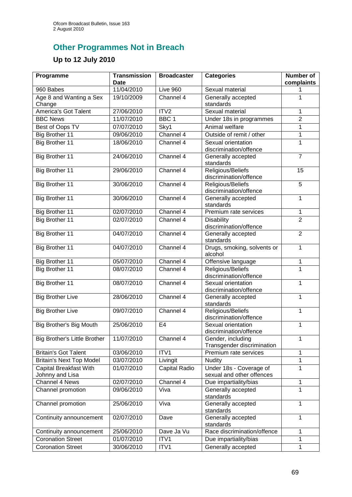# **Other Programmes Not in Breach**

# **Up to 12 July 2010**

| Programme                                        | <b>Transmission</b><br><b>Date</b> | <b>Broadcaster</b> | <b>Categories</b>                                    | <b>Number of</b><br>complaints |
|--------------------------------------------------|------------------------------------|--------------------|------------------------------------------------------|--------------------------------|
| 960 Babes                                        | 11/04/2010                         | Live 960           | Sexual material                                      | 1                              |
| Age 8 and Wanting a Sex<br>Change                | 19/10/2009                         | Channel 4          | Generally accepted<br>standards                      | 1                              |
| <b>America's Got Talent</b>                      | 27/06/2010                         | ITV <sub>2</sub>   | Sexual material                                      | 1                              |
| <b>BBC News</b>                                  | 11/07/2010                         | BBC <sub>1</sub>   | Under 18s in programmes                              | $\overline{2}$                 |
| Best of Oops TV                                  | 07/07/2010                         | Sky1               | Animal welfare                                       | 1                              |
| <b>Big Brother 11</b>                            | 09/06/2010                         | Channel 4          | Outside of remit / other                             | 1                              |
| <b>Big Brother 11</b>                            | 18/06/2010                         | Channel 4          | Sexual orientation<br>discrimination/offence         | $\mathbf 1$                    |
| Big Brother 11                                   | 24/06/2010                         | Channel $4$        | Generally accepted<br>standards                      | $\overline{7}$                 |
| <b>Big Brother 11</b>                            | 29/06/2010                         | Channel 4          | Religious/Beliefs<br>discrimination/offence          | $\overline{15}$                |
| <b>Big Brother 11</b>                            | 30/06/2010                         | Channel 4          | Religious/Beliefs<br>discrimination/offence          | $\overline{5}$                 |
| <b>Big Brother 11</b>                            | 30/06/2010                         | Channel 4          | Generally accepted<br>standards                      | 1                              |
| Big Brother 11                                   | 02/07/2010                         | Channel 4          | Premium rate services                                | 1                              |
| <b>Big Brother 11</b>                            | 02/07/2010                         | Channel 4          | <b>Disability</b><br>discrimination/offence          | $\overline{2}$                 |
| <b>Big Brother 11</b>                            | 04/07/2010                         | Channel 4          | Generally accepted<br>standards                      | $\overline{2}$                 |
| <b>Big Brother 11</b>                            | 04/07/2010                         | Channel 4          | Drugs, smoking, solvents or<br>alcohol               | 1                              |
| Big Brother 11                                   | 05/07/2010                         | Channel 4          | Offensive language                                   | 1                              |
| <b>Big Brother 11</b>                            | 08/07/2010                         | Channel 4          | Religious/Beliefs<br>discrimination/offence          | $\overline{1}$                 |
| Big Brother 11                                   | 08/07/2010                         | Channel 4          | Sexual orientation<br>discrimination/offence         | 1                              |
| <b>Big Brother Live</b>                          | 28/06/2010                         | Channel 4          | Generally accepted<br>standards                      | 1                              |
| <b>Big Brother Live</b>                          | 09/07/2010                         | Channel 4          | Religious/Beliefs<br>discrimination/offence          | 1                              |
| Big Brother's Big Mouth                          | 25/06/2010                         | E <sub>4</sub>     | Sexual orientation<br>discrimination/offence         | 1                              |
| Big Brother's Little Brother                     | 11/07/2010                         | Channel 4          | Gender, including<br>Transgender discrimination      | 1                              |
| <b>Britain's Got Talent</b>                      | 03/06/2010                         | ITV1               | Premium rate services                                | 1                              |
| <b>Britain's Next Top Model</b>                  | 03/07/2010                         | Livingit           | <b>Nudity</b>                                        | 1                              |
| <b>Capital Breakfast With</b><br>Johnny and Lisa | 01/07/2010                         | Capital Radio      | Under 18s - Coverage of<br>sexual and other offences | 1                              |
| Channel 4 News                                   | 02/07/2010                         | Channel 4          | Due impartiality/bias                                | 1                              |
| Channel promotion                                | 09/06/2010                         | Viva               | Generally accepted<br>standards                      | 1                              |
| Channel promotion                                | 25/06/2010                         | Viva               | Generally accepted<br>standards                      | 1                              |
| Continuity announcement                          | 02/07/2010                         | Dave               | Generally accepted<br>standards                      | 1                              |
| Continuity announcement                          | 25/06/2010                         | Dave Ja Vu         | Race discrimination/offence                          | 1                              |
| <b>Coronation Street</b>                         | 01/07/2010                         | ITV1               | Due impartiality/bias                                | 1                              |
| <b>Coronation Street</b>                         | 30/06/2010                         | ITV1               | Generally accepted                                   | 1                              |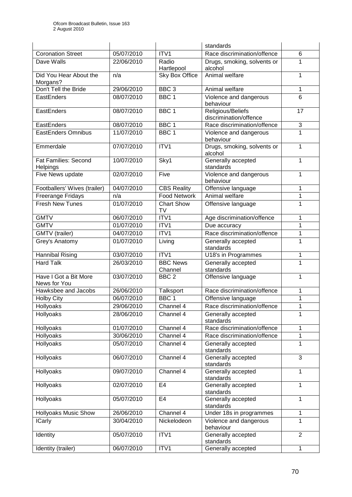|                                         |            |                         | standards                                   |                |
|-----------------------------------------|------------|-------------------------|---------------------------------------------|----------------|
| <b>Coronation Street</b>                | 05/07/2010 | ITV <sub>1</sub>        | Race discrimination/offence                 | 6              |
| Dave Walls                              | 22/06/2010 | Radio<br>Hartlepool     | Drugs, smoking, solvents or<br>alcohol      | 1              |
| Did You Hear About the<br>Morgans?      | n/a        | <b>Sky Box Office</b>   | Animal welfare                              | 1              |
| Don't Tell the Bride                    | 29/06/2010 | BBC <sub>3</sub>        | Animal welfare                              | 1              |
| EastEnders                              | 08/07/2010 | BBC <sub>1</sub>        | Violence and dangerous<br>behaviour         | 6              |
| EastEnders                              | 08/07/2010 | BBC <sub>1</sub>        | Religious/Beliefs<br>discrimination/offence | 17             |
| EastEnders                              | 08/07/2010 | BBC <sub>1</sub>        | Race discrimination/offence                 | 3              |
| <b>EastEnders Omnibus</b>               | 11/07/2010 | BBC <sub>1</sub>        | Violence and dangerous<br>behaviour         | 1              |
| Emmerdale                               | 07/07/2010 | ITV1                    | Drugs, smoking, solvents or<br>alcohol      | $\mathbf{1}$   |
| <b>Fat Families: Second</b><br>Helpings | 10/07/2010 | Sky1                    | Generally accepted<br>standards             | 1              |
| Five News update                        | 02/07/2010 | Five                    | Violence and dangerous                      | $\mathbf{1}$   |
|                                         |            |                         | behaviour                                   |                |
| Footballers' Wives (trailer)            | 04/07/2010 | <b>CBS Reality</b>      | Offensive language                          | 1              |
| Freerange Fridays                       | n/a        | <b>Food Network</b>     | Animal welfare                              | $\mathbf{1}$   |
| <b>Fresh New Tunes</b>                  | 01/07/2010 | <b>Chart Show</b><br>TV | Offensive language                          | 1              |
| <b>GMTV</b>                             | 06/07/2010 | ITV1                    | Age discrimination/offence                  | 1              |
| <b>GMTV</b>                             | 01/07/2010 | ITV1                    | Due accuracy                                | 1              |
| GMTV (trailer)                          | 04/07/2010 | ITV1                    | Race discrimination/offence                 | $\mathbf{1}$   |
| Grey's Anatomy                          | 01/07/2010 | Living                  | Generally accepted<br>standards             | $\mathbf{1}$   |
| <b>Hannibal Rising</b>                  | 03/07/2010 | ITV1                    | U18's in Programmes                         | 1              |
| <b>Hard Talk</b>                        | 26/03/2010 | <b>BBC News</b>         | Generally accepted                          | $\mathbf{1}$   |
|                                         |            | Channel                 | standards                                   |                |
| Have I Got a Bit More<br>News for You   | 03/07/2010 | BBC <sub>2</sub>        | Offensive language                          | 1              |
| Hawksbee and Jacobs                     | 26/06/2010 | Talksport               | Race discrimination/offence                 | 1              |
| <b>Holby City</b>                       | 06/07/2010 | BBC <sub>1</sub>        | Offensive language                          | 1              |
| Hollyoaks                               | 29/06/2010 | Channel 4               | Race discrimination/offence                 | $\mathbf{1}$   |
| Hollyoaks                               | 28/06/2010 | Channel 4               | Generally accepted<br>standards             | 1              |
| Hollyoaks                               | 01/07/2010 | Channel 4               | Race discrimination/offence                 | 1              |
| Hollyoaks                               | 30/06/2010 | Channel 4               | Race discrimination/offence                 | 1              |
| Hollyoaks                               | 05/07/2010 | Channel 4               | Generally accepted<br>standards             | 1              |
| <b>Hollyoaks</b>                        | 06/07/2010 | Channel 4               | Generally accepted<br>standards             | 3              |
| Hollyoaks                               | 09/07/2010 | Channel 4               | Generally accepted<br>standards             | $\mathbf{1}$   |
| Hollyoaks                               | 02/07/2010 | E <sub>4</sub>          | Generally accepted<br>standards             | 1              |
| Hollyoaks                               | 05/07/2010 | E <sub>4</sub>          | Generally accepted<br>standards             | $\mathbf{1}$   |
| <b>Hollyoaks Music Show</b>             | 26/06/2010 | Channel 4               | Under 18s in programmes                     | $\mathbf{1}$   |
| <b>ICarly</b>                           | 30/04/2010 | Nickelodeon             | Violence and dangerous<br>behaviour         | 1              |
| Identity                                | 05/07/2010 | ITV1                    | Generally accepted<br>standards             | $\overline{2}$ |
| Identity (trailer)                      | 06/07/2010 | ITV1                    | Generally accepted                          | 1              |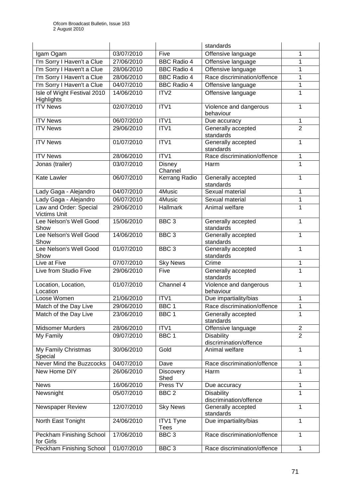| 03/07/2010<br>Igam Ogam<br>Five<br>Offensive language<br>1<br>I'm Sorry I Haven't a Clue<br>27/06/2010<br><b>BBC Radio 4</b><br>Offensive language<br>1<br>I'm Sorry I Haven't a Clue<br><b>BBC Radio 4</b><br>Offensive language<br>1<br>28/06/2010<br>I'm Sorry I Haven't a Clue<br>Race discrimination/offence<br>28/06/2010<br><b>BBC Radio 4</b><br>1<br>I'm Sorry I Haven't a Clue<br>04/07/2010<br>$\mathbf{1}$<br><b>BBC Radio 4</b><br>Offensive language<br>Isle of Wight Festival 2010<br>$\mathbf{1}$<br>14/06/2010<br>ITV <sub>2</sub><br>Offensive language<br>Highlights<br>ITV1<br><b>ITV News</b><br>02/07/2010<br>$\mathbf{1}$<br>Violence and dangerous<br>behaviour<br><b>ITV News</b><br>ITV1<br>06/07/2010<br>Due accuracy<br>1<br>$\overline{2}$<br><b>ITV News</b><br>29/06/2010<br>ITV1<br>Generally accepted<br>standards<br>ITV1<br>Generally accepted<br><b>ITV News</b><br>01/07/2010<br>1<br>standards<br>ITV1<br><b>ITV News</b><br>28/06/2010<br>Race discrimination/offence<br>$\mathbf{1}$ |                 |            |        | standards |              |
|------------------------------------------------------------------------------------------------------------------------------------------------------------------------------------------------------------------------------------------------------------------------------------------------------------------------------------------------------------------------------------------------------------------------------------------------------------------------------------------------------------------------------------------------------------------------------------------------------------------------------------------------------------------------------------------------------------------------------------------------------------------------------------------------------------------------------------------------------------------------------------------------------------------------------------------------------------------------------------------------------------------------------|-----------------|------------|--------|-----------|--------------|
|                                                                                                                                                                                                                                                                                                                                                                                                                                                                                                                                                                                                                                                                                                                                                                                                                                                                                                                                                                                                                              |                 |            |        |           |              |
|                                                                                                                                                                                                                                                                                                                                                                                                                                                                                                                                                                                                                                                                                                                                                                                                                                                                                                                                                                                                                              |                 |            |        |           |              |
|                                                                                                                                                                                                                                                                                                                                                                                                                                                                                                                                                                                                                                                                                                                                                                                                                                                                                                                                                                                                                              |                 |            |        |           |              |
|                                                                                                                                                                                                                                                                                                                                                                                                                                                                                                                                                                                                                                                                                                                                                                                                                                                                                                                                                                                                                              |                 |            |        |           |              |
|                                                                                                                                                                                                                                                                                                                                                                                                                                                                                                                                                                                                                                                                                                                                                                                                                                                                                                                                                                                                                              |                 |            |        |           |              |
|                                                                                                                                                                                                                                                                                                                                                                                                                                                                                                                                                                                                                                                                                                                                                                                                                                                                                                                                                                                                                              |                 |            |        |           |              |
|                                                                                                                                                                                                                                                                                                                                                                                                                                                                                                                                                                                                                                                                                                                                                                                                                                                                                                                                                                                                                              |                 |            |        |           |              |
|                                                                                                                                                                                                                                                                                                                                                                                                                                                                                                                                                                                                                                                                                                                                                                                                                                                                                                                                                                                                                              |                 |            |        |           |              |
|                                                                                                                                                                                                                                                                                                                                                                                                                                                                                                                                                                                                                                                                                                                                                                                                                                                                                                                                                                                                                              |                 |            |        |           |              |
|                                                                                                                                                                                                                                                                                                                                                                                                                                                                                                                                                                                                                                                                                                                                                                                                                                                                                                                                                                                                                              |                 |            |        |           |              |
|                                                                                                                                                                                                                                                                                                                                                                                                                                                                                                                                                                                                                                                                                                                                                                                                                                                                                                                                                                                                                              |                 |            |        |           |              |
|                                                                                                                                                                                                                                                                                                                                                                                                                                                                                                                                                                                                                                                                                                                                                                                                                                                                                                                                                                                                                              |                 |            |        |           |              |
| Channel                                                                                                                                                                                                                                                                                                                                                                                                                                                                                                                                                                                                                                                                                                                                                                                                                                                                                                                                                                                                                      | Jonas (trailer) | 03/07/2010 | Disney | Harm      | $\mathbf{1}$ |
| 06/07/2010<br><b>Kerrang Radio</b><br>$\mathbf{1}$<br><b>Kate Lawler</b><br>Generally accepted<br>standards                                                                                                                                                                                                                                                                                                                                                                                                                                                                                                                                                                                                                                                                                                                                                                                                                                                                                                                  |                 |            |        |           |              |
| Sexual material<br>$\mathbf{1}$<br>04/07/2010<br>4Music<br>Lady Gaga - Alejandro                                                                                                                                                                                                                                                                                                                                                                                                                                                                                                                                                                                                                                                                                                                                                                                                                                                                                                                                             |                 |            |        |           |              |
| Lady Gaga - Alejandro<br>06/07/2010<br>4Music<br>$\mathbf{1}$<br>Sexual material                                                                                                                                                                                                                                                                                                                                                                                                                                                                                                                                                                                                                                                                                                                                                                                                                                                                                                                                             |                 |            |        |           |              |
| Law and Order: Special<br>29/06/2010<br><b>Hallmark</b><br>1<br>Animal welfare                                                                                                                                                                                                                                                                                                                                                                                                                                                                                                                                                                                                                                                                                                                                                                                                                                                                                                                                               |                 |            |        |           |              |
| <b>Victims Unit</b>                                                                                                                                                                                                                                                                                                                                                                                                                                                                                                                                                                                                                                                                                                                                                                                                                                                                                                                                                                                                          |                 |            |        |           |              |
| Lee Nelson's Well Good<br>15/06/2010<br>BBC <sub>3</sub><br>$\mathbf{1}$<br>Generally accepted<br>standards<br>Show                                                                                                                                                                                                                                                                                                                                                                                                                                                                                                                                                                                                                                                                                                                                                                                                                                                                                                          |                 |            |        |           |              |
| Lee Nelson's Well Good<br>BBC <sub>3</sub><br>Generally accepted<br>$\mathbf{1}$<br>14/06/2010<br>standards<br>Show                                                                                                                                                                                                                                                                                                                                                                                                                                                                                                                                                                                                                                                                                                                                                                                                                                                                                                          |                 |            |        |           |              |
| Lee Nelson's Well Good<br>Generally accepted<br>01/07/2010<br>BBC <sub>3</sub><br>1<br>standards<br>Show                                                                                                                                                                                                                                                                                                                                                                                                                                                                                                                                                                                                                                                                                                                                                                                                                                                                                                                     |                 |            |        |           |              |
| Live at Five<br>07/07/2010<br><b>Sky News</b><br>Crime<br>$\mathbf{1}$                                                                                                                                                                                                                                                                                                                                                                                                                                                                                                                                                                                                                                                                                                                                                                                                                                                                                                                                                       |                 |            |        |           |              |
| Live from Studio Five<br>29/06/2010<br>Five<br>Generally accepted<br>1<br>standards                                                                                                                                                                                                                                                                                                                                                                                                                                                                                                                                                                                                                                                                                                                                                                                                                                                                                                                                          |                 |            |        |           |              |
| Violence and dangerous<br>01/07/2010<br>Channel 4<br>$\mathbf{1}$<br>Location, Location,<br>Location<br>behaviour                                                                                                                                                                                                                                                                                                                                                                                                                                                                                                                                                                                                                                                                                                                                                                                                                                                                                                            |                 |            |        |           |              |
| Due impartiality/bias<br>Loose Women<br>21/06/2010<br>ITV1<br>1                                                                                                                                                                                                                                                                                                                                                                                                                                                                                                                                                                                                                                                                                                                                                                                                                                                                                                                                                              |                 |            |        |           |              |
| BBC <sub>1</sub><br>$\overline{1}$<br>29/06/2010<br>Race discrimination/offence<br>Match of the Day Live                                                                                                                                                                                                                                                                                                                                                                                                                                                                                                                                                                                                                                                                                                                                                                                                                                                                                                                     |                 |            |        |           |              |
| Match of the Day Live<br>1<br>23/06/2010<br>BBC <sub>1</sub><br>Generally accepted                                                                                                                                                                                                                                                                                                                                                                                                                                                                                                                                                                                                                                                                                                                                                                                                                                                                                                                                           |                 |            |        |           |              |
| standards                                                                                                                                                                                                                                                                                                                                                                                                                                                                                                                                                                                                                                                                                                                                                                                                                                                                                                                                                                                                                    |                 |            |        |           |              |
| ITV1<br>$\overline{2}$<br><b>Midsomer Murders</b><br>28/06/2010<br>Offensive language                                                                                                                                                                                                                                                                                                                                                                                                                                                                                                                                                                                                                                                                                                                                                                                                                                                                                                                                        |                 |            |        |           |              |
| 09/07/2010<br>$\overline{2}$<br>My Family<br>BBC <sub>1</sub><br><b>Disability</b><br>discrimination/offence                                                                                                                                                                                                                                                                                                                                                                                                                                                                                                                                                                                                                                                                                                                                                                                                                                                                                                                 |                 |            |        |           |              |
| My Family Christmas<br>Gold<br>Animal welfare<br>$\mathbf{1}$<br>30/06/2010<br>Special                                                                                                                                                                                                                                                                                                                                                                                                                                                                                                                                                                                                                                                                                                                                                                                                                                                                                                                                       |                 |            |        |           |              |
| Never Mind the Buzzcocks<br>04/07/2010<br>Race discrimination/offence<br>Dave<br>1                                                                                                                                                                                                                                                                                                                                                                                                                                                                                                                                                                                                                                                                                                                                                                                                                                                                                                                                           |                 |            |        |           |              |
| $\mathbf{1}$<br>New Home DIY<br>26/06/2010<br>Harm<br><b>Discovery</b>                                                                                                                                                                                                                                                                                                                                                                                                                                                                                                                                                                                                                                                                                                                                                                                                                                                                                                                                                       |                 |            |        |           |              |
| Shed<br>16/06/2010<br><b>News</b><br>Press TV<br>1<br>Due accuracy                                                                                                                                                                                                                                                                                                                                                                                                                                                                                                                                                                                                                                                                                                                                                                                                                                                                                                                                                           |                 |            |        |           |              |
| BBC <sub>2</sub><br>$\mathbf{1}$<br>05/07/2010<br><b>Disability</b><br>Newsnight                                                                                                                                                                                                                                                                                                                                                                                                                                                                                                                                                                                                                                                                                                                                                                                                                                                                                                                                             |                 |            |        |           |              |
| discrimination/offence                                                                                                                                                                                                                                                                                                                                                                                                                                                                                                                                                                                                                                                                                                                                                                                                                                                                                                                                                                                                       |                 |            |        |           |              |
| <b>Sky News</b><br>Newspaper Review<br>12/07/2010<br>Generally accepted<br>1<br>standards                                                                                                                                                                                                                                                                                                                                                                                                                                                                                                                                                                                                                                                                                                                                                                                                                                                                                                                                    |                 |            |        |           |              |
| <b>ITV1 Tyne</b><br>24/06/2010<br>Due impartiality/bias<br>$\mathbf{1}$<br>North East Tonight<br>Tees                                                                                                                                                                                                                                                                                                                                                                                                                                                                                                                                                                                                                                                                                                                                                                                                                                                                                                                        |                 |            |        |           |              |
| Peckham Finishing School<br>17/06/2010<br>BBC <sub>3</sub><br>Race discrimination/offence<br>$\mathbf{1}$<br>for Girls                                                                                                                                                                                                                                                                                                                                                                                                                                                                                                                                                                                                                                                                                                                                                                                                                                                                                                       |                 |            |        |           |              |
| <b>Peckham Finishing School</b><br>BBC <sub>3</sub><br>01/07/2010<br>Race discrimination/offence<br>1                                                                                                                                                                                                                                                                                                                                                                                                                                                                                                                                                                                                                                                                                                                                                                                                                                                                                                                        |                 |            |        |           |              |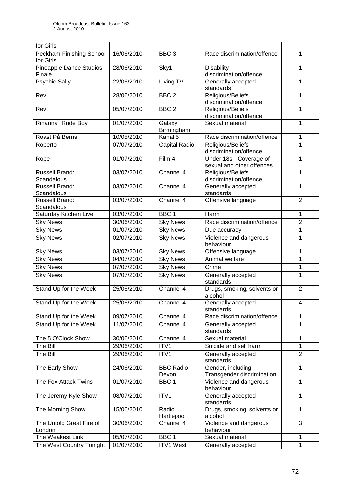| for Girls                             |            |                           |                                                      |                |
|---------------------------------------|------------|---------------------------|------------------------------------------------------|----------------|
| Peckham Finishing School<br>for Girls | 16/06/2010 | BBC <sub>3</sub>          | Race discrimination/offence                          | $\mathbf{1}$   |
| Pineapple Dance Studios<br>Finale     | 28/06/2010 | Sky1                      | <b>Disability</b><br>discrimination/offence          | 1              |
| <b>Psychic Sally</b>                  | 22/06/2010 | Living TV                 | Generally accepted<br>standards                      | 1              |
| Rev                                   | 28/06/2010 | BBC <sub>2</sub>          | Religious/Beliefs<br>discrimination/offence          | 1              |
| Rev                                   | 05/07/2010 | BBC <sub>2</sub>          | Religious/Beliefs<br>discrimination/offence          | 1              |
| Rihanna "Rude Boy"                    | 01/07/2010 | Galaxy<br>Birmingham      | Sexual material                                      | 1              |
| Roast På Berns                        | 10/05/2010 | Kanal 5                   | Race discrimination/offence                          | $\mathbf{1}$   |
| Roberto                               | 07/07/2010 | Capital Radio             | Religious/Beliefs<br>discrimination/offence          | 1              |
| Rope                                  | 01/07/2010 | Film 4                    | Under 18s - Coverage of<br>sexual and other offences | 1              |
| <b>Russell Brand:</b><br>Scandalous   | 03/07/2010 | Channel 4                 | Religious/Beliefs<br>discrimination/offence          | 1              |
| Russell Brand:<br>Scandalous          | 03/07/2010 | Channel 4                 | Generally accepted<br>standards                      | 1              |
| Russell Brand:<br>Scandalous          | 03/07/2010 | Channel 4                 | Offensive language                                   | $\overline{2}$ |
| Saturday Kitchen Live                 | 03/07/2010 | BBC <sub>1</sub>          | Harm                                                 | 1              |
| <b>Sky News</b>                       | 30/06/2010 | <b>Sky News</b>           | Race discrimination/offence                          | $\overline{2}$ |
| <b>Sky News</b>                       | 01/07/2010 | <b>Sky News</b>           | Due accuracy                                         | 1              |
| <b>Sky News</b>                       | 02/07/2010 | <b>Sky News</b>           | Violence and dangerous<br>behaviour                  | 1              |
| <b>Sky News</b>                       | 03/07/2010 | <b>Sky News</b>           | Offensive language                                   | 1              |
| <b>Sky News</b>                       | 04/07/2010 | <b>Sky News</b>           | Animal welfare                                       | 1              |
| <b>Sky News</b>                       | 07/07/2010 | <b>Sky News</b>           | Crime                                                | $\mathbf{1}$   |
| <b>Sky News</b>                       | 07/07/2010 | <b>Sky News</b>           | Generally accepted<br>standards                      | 1              |
| Stand Up for the Week                 | 25/06/2010 | Channel 4                 | Drugs, smoking, solvents or<br>alcohol               | $\overline{2}$ |
| Stand Up for the Week                 | 25/06/2010 | Channel 4                 | Generally accepted<br>standards                      | 4              |
| Stand Up for the Week                 | 09/07/2010 | Channel 4                 | Race discrimination/offence                          | $\mathbf{1}$   |
| Stand Up for the Week                 | 11/07/2010 | Channel 4                 | Generally accepted<br>standards                      | 1              |
| The 5 O'Clock Show                    | 30/06/2010 | Channel 4                 | Sexual material                                      | $\mathbf{1}$   |
| The Bill                              | 29/06/2010 | ITV1                      | Suicide and self harm                                | 1              |
| The Bill                              | 29/06/2010 | ITV1                      | Generally accepted<br>standards                      | $\overline{2}$ |
| The Early Show                        | 24/06/2010 | <b>BBC Radio</b><br>Devon | Gender, including<br>Transgender discrimination      | 1              |
| The Fox Attack Twins                  | 01/07/2010 | BBC <sub>1</sub>          | Violence and dangerous<br>behaviour                  | 1              |
| The Jeremy Kyle Show                  | 08/07/2010 | ITV1                      | Generally accepted<br>standards                      | 1              |
| The Morning Show                      | 15/06/2010 | Radio<br>Hartlepool       | Drugs, smoking, solvents or<br>alcohol               | $\mathbf{1}$   |
| The Untold Great Fire of<br>London    | 30/06/2010 | Channel 4                 | Violence and dangerous<br>behaviour                  | 3              |
| The Weakest Link                      | 05/07/2010 | BBC <sub>1</sub>          | Sexual material                                      | $\mathbf{1}$   |
| The West Country Tonight              | 01/07/2010 | <b>ITV1 West</b>          | Generally accepted                                   | $\mathbf{1}$   |